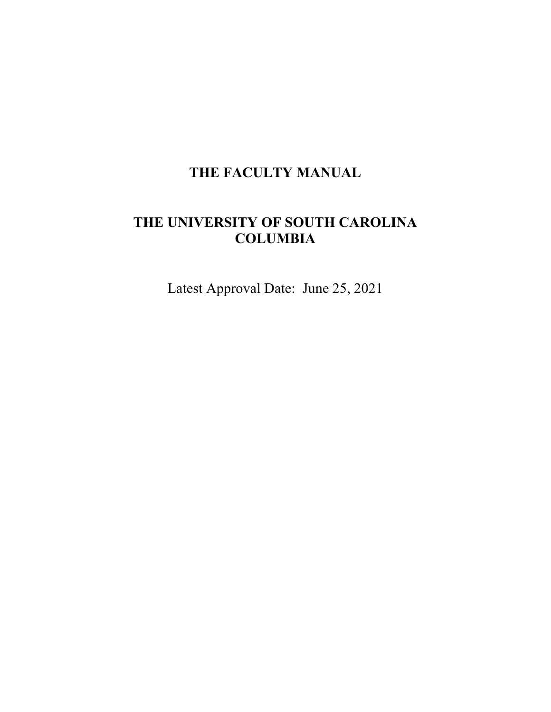# **THE FACULTY MANUAL**

# **THE UNIVERSITY OF SOUTH CAROLINA COLUMBIA**

Latest Approval Date: June 25, 2021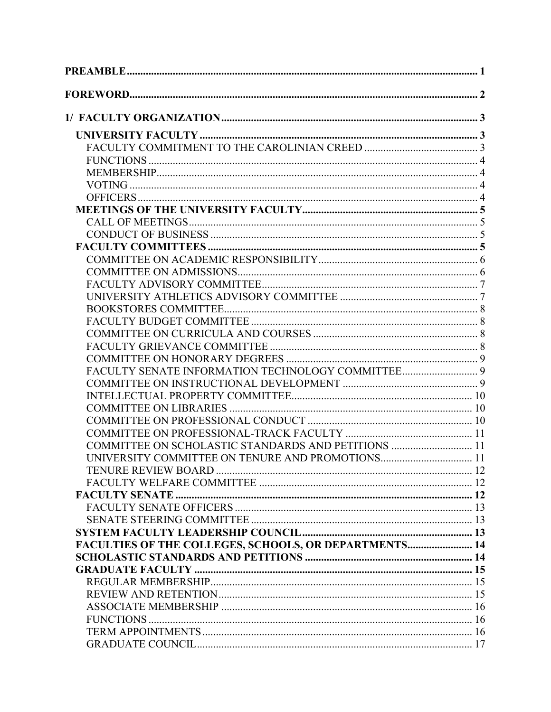| COMMITTEE ON SCHOLASTIC STANDARDS AND PETITIONS  11   |  |
|-------------------------------------------------------|--|
|                                                       |  |
|                                                       |  |
|                                                       |  |
|                                                       |  |
|                                                       |  |
|                                                       |  |
|                                                       |  |
| FACULTIES OF THE COLLEGES, SCHOOLS, OR DEPARTMENTS 14 |  |
|                                                       |  |
|                                                       |  |
|                                                       |  |
|                                                       |  |
|                                                       |  |
|                                                       |  |
|                                                       |  |
|                                                       |  |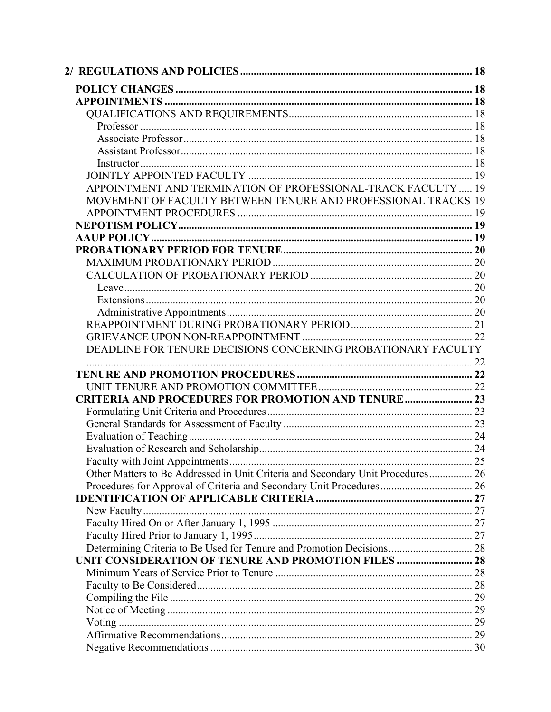| APPOINTMENT AND TERMINATION OF PROFESSIONAL-TRACK FACULTY  19                   |  |
|---------------------------------------------------------------------------------|--|
| MOVEMENT OF FACULTY BETWEEN TENURE AND PROFESSIONAL TRACKS 19                   |  |
|                                                                                 |  |
|                                                                                 |  |
|                                                                                 |  |
|                                                                                 |  |
|                                                                                 |  |
|                                                                                 |  |
|                                                                                 |  |
|                                                                                 |  |
|                                                                                 |  |
|                                                                                 |  |
|                                                                                 |  |
| DEADLINE FOR TENURE DECISIONS CONCERNING PROBATIONARY FACULTY                   |  |
|                                                                                 |  |
|                                                                                 |  |
|                                                                                 |  |
| <b>CRITERIA AND PROCEDURES FOR PROMOTION AND TENURE  23</b>                     |  |
|                                                                                 |  |
|                                                                                 |  |
|                                                                                 |  |
|                                                                                 |  |
|                                                                                 |  |
| Other Matters to Be Addressed in Unit Criteria and Secondary Unit Procedures 26 |  |
| Procedures for Approval of Criteria and Secondary Unit Procedures 26            |  |
|                                                                                 |  |
|                                                                                 |  |
|                                                                                 |  |
|                                                                                 |  |
|                                                                                 |  |
| Determining Criteria to Be Used for Tenure and Promotion Decisions 28           |  |
| UNIT CONSIDERATION OF TENURE AND PROMOTION FILES  28                            |  |
|                                                                                 |  |
|                                                                                 |  |
|                                                                                 |  |
|                                                                                 |  |
|                                                                                 |  |
|                                                                                 |  |
|                                                                                 |  |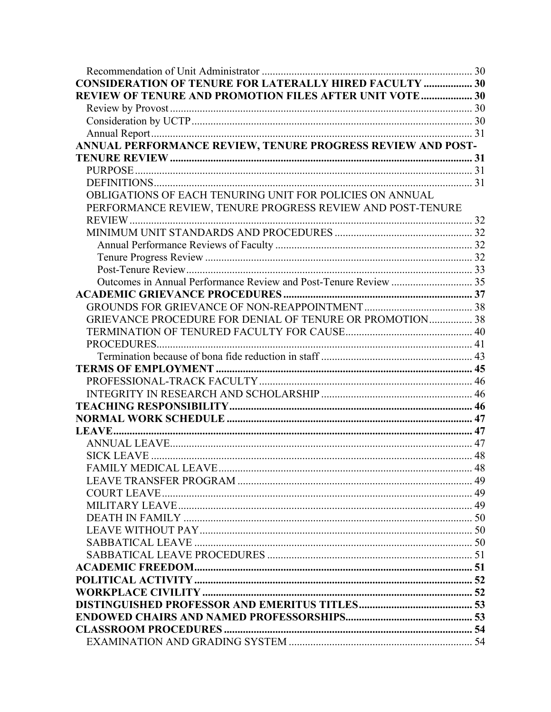| <b>CONSIDERATION OF TENURE FOR LATERALLY HIRED FACULTY  30</b> |  |
|----------------------------------------------------------------|--|
| REVIEW OF TENURE AND PROMOTION FILES AFTER UNIT VOTE 30        |  |
|                                                                |  |
|                                                                |  |
|                                                                |  |
| ANNUAL PERFORMANCE REVIEW, TENURE PROGRESS REVIEW AND POST-    |  |
|                                                                |  |
|                                                                |  |
|                                                                |  |
| OBLIGATIONS OF EACH TENURING UNIT FOR POLICIES ON ANNUAL       |  |
| PERFORMANCE REVIEW, TENURE PROGRESS REVIEW AND POST-TENURE     |  |
|                                                                |  |
|                                                                |  |
|                                                                |  |
|                                                                |  |
|                                                                |  |
|                                                                |  |
|                                                                |  |
|                                                                |  |
| GRIEVANCE PROCEDURE FOR DENIAL OF TENURE OR PROMOTION 38       |  |
|                                                                |  |
|                                                                |  |
|                                                                |  |
|                                                                |  |
|                                                                |  |
|                                                                |  |
|                                                                |  |
|                                                                |  |
|                                                                |  |
|                                                                |  |
|                                                                |  |
| <b>FAMILY MEDICAL LEAVE</b>                                    |  |
|                                                                |  |
|                                                                |  |
|                                                                |  |
|                                                                |  |
|                                                                |  |
|                                                                |  |
|                                                                |  |
|                                                                |  |
|                                                                |  |
|                                                                |  |
|                                                                |  |
|                                                                |  |
|                                                                |  |
|                                                                |  |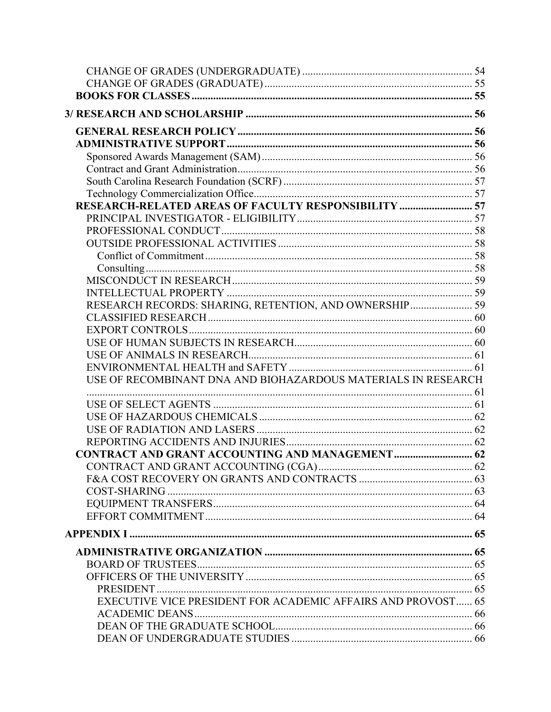| RESEARCH-RELATED AREAS OF FACULTY RESPONSIBILITY  57          |  |
|---------------------------------------------------------------|--|
|                                                               |  |
|                                                               |  |
|                                                               |  |
|                                                               |  |
|                                                               |  |
|                                                               |  |
|                                                               |  |
| RESEARCH RECORDS: SHARING, RETENTION, AND OWNERSHIP 59        |  |
|                                                               |  |
|                                                               |  |
|                                                               |  |
|                                                               |  |
|                                                               |  |
| USE OF RECOMBINANT DNA AND BIOHAZARDOUS MATERIALS IN RESEARCH |  |
|                                                               |  |
|                                                               |  |
|                                                               |  |
|                                                               |  |
|                                                               |  |
|                                                               |  |
|                                                               |  |
|                                                               |  |
|                                                               |  |
|                                                               |  |
|                                                               |  |
|                                                               |  |
|                                                               |  |
|                                                               |  |
|                                                               |  |
| EXECUTIVE VICE PRESIDENT FOR ACADEMIC AFFAIRS AND PROVOST 65  |  |
|                                                               |  |
|                                                               |  |
|                                                               |  |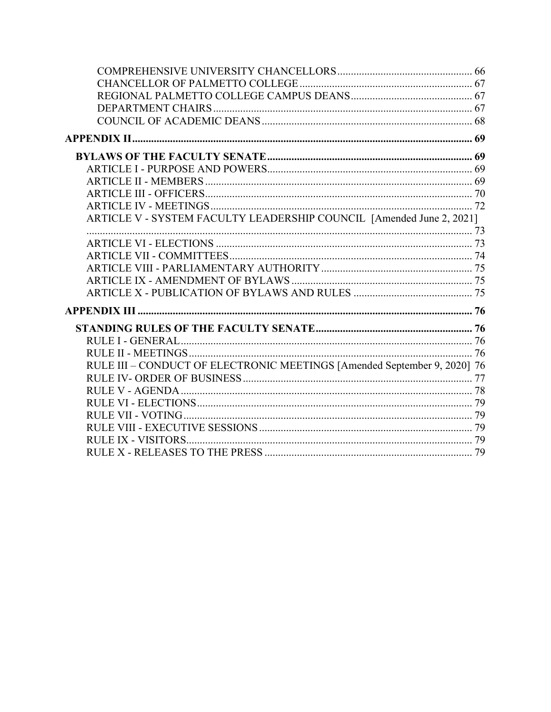| ARTICLE V - SYSTEM FACULTY LEADERSHIP COUNCIL [Amended June 2, 2021]     |  |
|--------------------------------------------------------------------------|--|
|                                                                          |  |
|                                                                          |  |
|                                                                          |  |
|                                                                          |  |
|                                                                          |  |
|                                                                          |  |
|                                                                          |  |
|                                                                          |  |
|                                                                          |  |
|                                                                          |  |
| RULE III - CONDUCT OF ELECTRONIC MEETINGS [Amended September 9, 2020] 76 |  |
|                                                                          |  |
|                                                                          |  |
|                                                                          |  |
|                                                                          |  |
|                                                                          |  |
|                                                                          |  |
|                                                                          |  |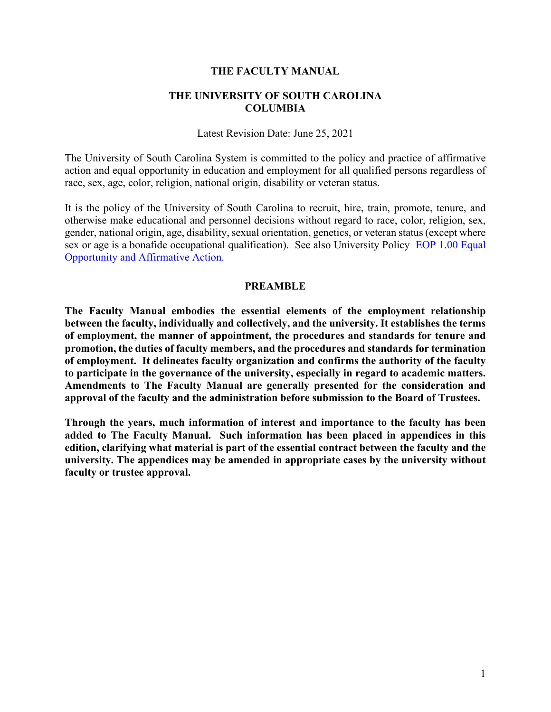#### **THE FACULTY MANUAL**

#### **THE UNIVERSITY OF SOUTH CAROLINA COLUMBIA**

Latest Revision Date: June 25, 2021

The University of South Carolina System is committed to the policy and practice of affirmative action and equal opportunity in education and employment for all qualified persons regardless of race, sex, age, color, religion, national origin, disability or veteran status.

It is the policy of the University of South Carolina to recruit, hire, train, promote, tenure, and otherwise make educational and personnel decisions without regard to race, color, religion, sex, gender, national origin, age, disability, sexual orientation, genetics, or veteran status (except where sex or age is a bonafide occupational qualification). See also University Policy [EOP 1.00 Equal](http://www.sc.edu/policies/eop100.pdf)  [Opportunity and Affirmative Action.](http://www.sc.edu/policies/eop100.pdf)

#### **PREAMBLE**

<span id="page-6-0"></span>**The Faculty Manual embodies the essential elements of the employment relationship between the faculty, individually and collectively, and the university. It establishes the terms of employment, the manner of appointment, the procedures and standards for tenure and promotion, the duties of faculty members, and the procedures and standards for termination of employment. It delineates faculty organization and confirms the authority of the faculty to participate in the governance of the university, especially in regard to academic matters. Amendments to The Faculty Manual are generally presented for the consideration and approval of the faculty and the administration before submission to the Board of Trustees.** 

**Through the years, much information of interest and importance to the faculty has been added to The Faculty Manual. Such information has been placed in appendices in this edition, clarifying what material is part of the essential contract between the faculty and the university. The appendices may be amended in appropriate cases by the university without faculty or trustee approval.**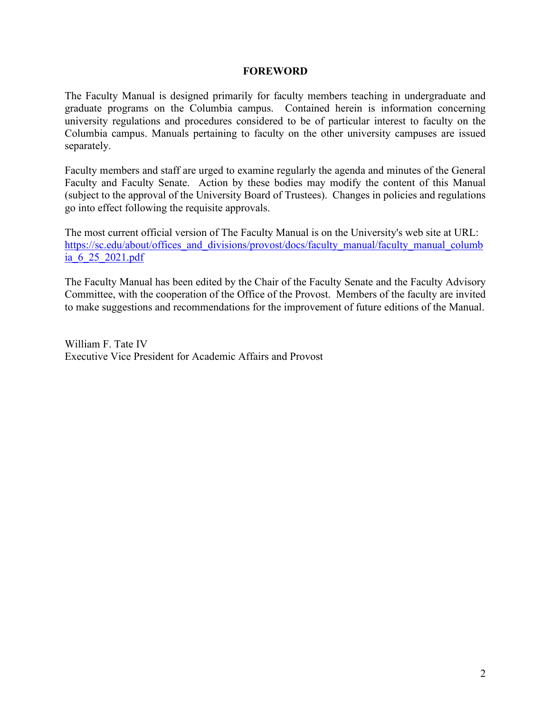#### **FOREWORD**

<span id="page-7-0"></span>The Faculty Manual is designed primarily for faculty members teaching in undergraduate and graduate programs on the Columbia campus. Contained herein is information concerning university regulations and procedures considered to be of particular interest to faculty on the Columbia campus. Manuals pertaining to faculty on the other university campuses are issued separately.

Faculty members and staff are urged to examine regularly the agenda and minutes of the General Faculty and Faculty Senate. Action by these bodies may modify the content of this Manual (subject to the approval of the University Board of Trustees). Changes in policies and regulations go into effect following the requisite approvals.

The most current official version of The Faculty Manual is on the University's web site at URL: [https://sc.edu/about/offices\\_and\\_divisions/provost/docs/faculty\\_manual/faculty\\_manual\\_columb](https://sc.edu/about/offices_and_divisions/provost/docs/faculty_manual/faculty_manual_columbia_6_25_2021.pdf) [ia\\_6\\_25\\_2021.pdf](https://sc.edu/about/offices_and_divisions/provost/docs/faculty_manual/faculty_manual_columbia_6_25_2021.pdf)

The Faculty Manual has been edited by the Chair of the Faculty Senate and the Faculty Advisory Committee, with the cooperation of the Office of the Provost. Members of the faculty are invited to make suggestions and recommendations for the improvement of future editions of the Manual.

William F. Tate IV Executive Vice President for Academic Affairs and Provost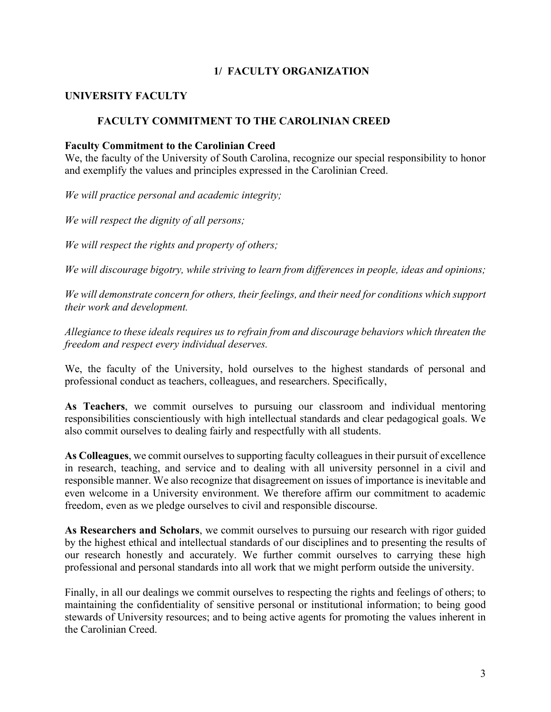### <span id="page-8-0"></span>**1/ FACULTY ORGANIZATION**

### <span id="page-8-2"></span><span id="page-8-1"></span>**UNIVERSITY FACULTY**

### **FACULTY COMMITMENT TO THE CAROLINIAN CREED**

#### **Faculty Commitment to the Carolinian Creed**

We, the faculty of the University of South Carolina, recognize our special responsibility to honor and exemplify the values and principles expressed in the Carolinian Creed.

*We will practice personal and academic integrity;* 

*We will respect the dignity of all persons;* 

*We will respect the rights and property of others;* 

*We will discourage bigotry, while striving to learn from differences in people, ideas and opinions;* 

*We will demonstrate concern for others, their feelings, and their need for conditions which support their work and development.* 

*Allegiance to these ideals requires us to refrain from and discourage behaviors which threaten the freedom and respect every individual deserves.* 

We, the faculty of the University, hold ourselves to the highest standards of personal and professional conduct as teachers, colleagues, and researchers. Specifically,

**As Teachers**, we commit ourselves to pursuing our classroom and individual mentoring responsibilities conscientiously with high intellectual standards and clear pedagogical goals. We also commit ourselves to dealing fairly and respectfully with all students.

**As Colleagues**, we commit ourselves to supporting faculty colleagues in their pursuit of excellence in research, teaching, and service and to dealing with all university personnel in a civil and responsible manner. We also recognize that disagreement on issues of importance is inevitable and even welcome in a University environment. We therefore affirm our commitment to academic freedom, even as we pledge ourselves to civil and responsible discourse.

**As Researchers and Scholars**, we commit ourselves to pursuing our research with rigor guided by the highest ethical and intellectual standards of our disciplines and to presenting the results of our research honestly and accurately. We further commit ourselves to carrying these high professional and personal standards into all work that we might perform outside the university.

Finally, in all our dealings we commit ourselves to respecting the rights and feelings of others; to maintaining the confidentiality of sensitive personal or institutional information; to being good stewards of University resources; and to being active agents for promoting the values inherent in the Carolinian Creed.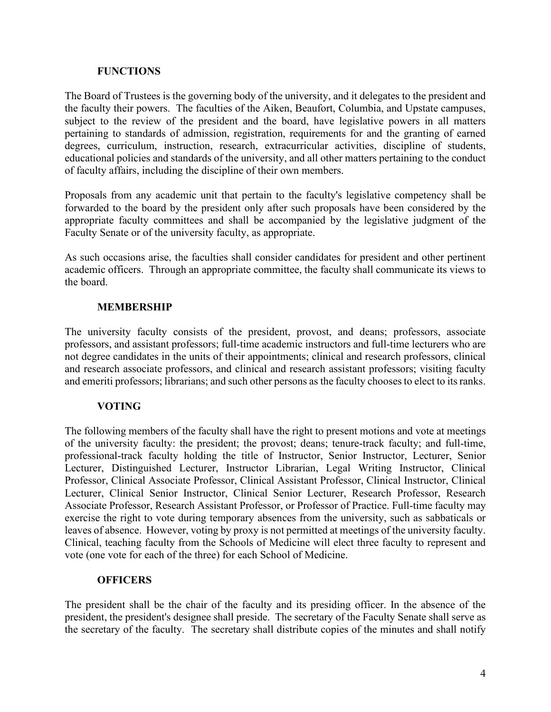#### **FUNCTIONS**

<span id="page-9-0"></span>The Board of Trustees is the governing body of the university, and it delegates to the president and the faculty their powers. The faculties of the Aiken, Beaufort, Columbia, and Upstate campuses, subject to the review of the president and the board, have legislative powers in all matters pertaining to standards of admission, registration, requirements for and the granting of earned degrees, curriculum, instruction, research, extracurricular activities, discipline of students, educational policies and standards of the university, and all other matters pertaining to the conduct of faculty affairs, including the discipline of their own members.

Proposals from any academic unit that pertain to the faculty's legislative competency shall be forwarded to the board by the president only after such proposals have been considered by the appropriate faculty committees and shall be accompanied by the legislative judgment of the Faculty Senate or of the university faculty, as appropriate.

As such occasions arise, the faculties shall consider candidates for president and other pertinent academic officers. Through an appropriate committee, the faculty shall communicate its views to the board.

### **MEMBERSHIP**

<span id="page-9-1"></span>The university faculty consists of the president, provost, and deans; professors, associate professors, and assistant professors; full-time academic instructors and full-time lecturers who are not degree candidates in the units of their appointments; clinical and research professors, clinical and research associate professors, and clinical and research assistant professors; visiting faculty and emeriti professors; librarians; and such other persons as the faculty chooses to elect to its ranks.

### **VOTING**

<span id="page-9-2"></span>The following members of the faculty shall have the right to present motions and vote at meetings of the university faculty: the president; the provost; deans; tenure-track faculty; and full-time, professional-track faculty holding the title of Instructor, Senior Instructor, Lecturer, Senior Lecturer, Distinguished Lecturer, Instructor Librarian, Legal Writing Instructor, Clinical Professor, Clinical Associate Professor, Clinical Assistant Professor, Clinical Instructor, Clinical Lecturer, Clinical Senior Instructor, Clinical Senior Lecturer, Research Professor, Research Associate Professor, Research Assistant Professor, or Professor of Practice. Full-time faculty may exercise the right to vote during temporary absences from the university, such as sabbaticals or leaves of absence. However, voting by proxy is not permitted at meetings of the university faculty. Clinical, teaching faculty from the Schools of Medicine will elect three faculty to represent and vote (one vote for each of the three) for each School of Medicine.

#### **OFFICERS**

<span id="page-9-3"></span>The president shall be the chair of the faculty and its presiding officer. In the absence of the president, the president's designee shall preside. The secretary of the Faculty Senate shall serve as the secretary of the faculty. The secretary shall distribute copies of the minutes and shall notify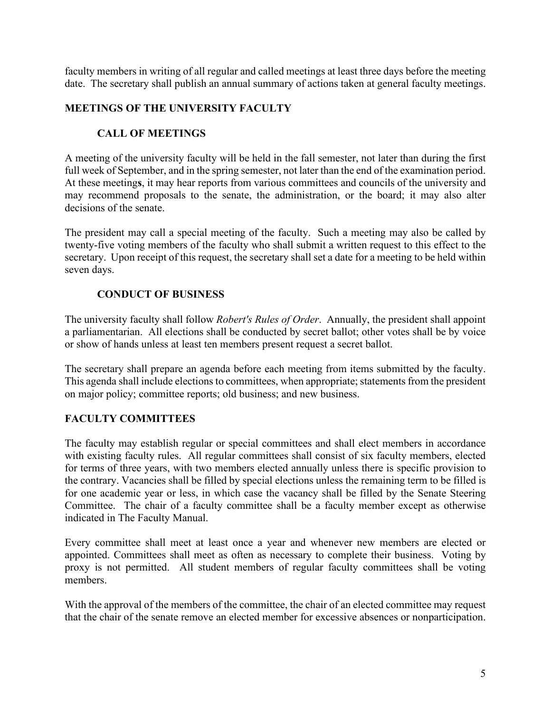faculty members in writing of all regular and called meetings at least three days before the meeting date. The secretary shall publish an annual summary of actions taken at general faculty meetings.

### <span id="page-10-1"></span><span id="page-10-0"></span>**MEETINGS OF THE UNIVERSITY FACULTY**

### **CALL OF MEETINGS**

A meeting of the university faculty will be held in the fall semester, not later than during the first full week of September, and in the spring semester, not later than the end of the examination period. At these meeting**s**, it may hear reports from various committees and councils of the university and may recommend proposals to the senate, the administration, or the board; it may also alter decisions of the senate.

The president may call a special meeting of the faculty. Such a meeting may also be called by twenty-five voting members of the faculty who shall submit a written request to this effect to the secretary. Upon receipt of this request, the secretary shall set a date for a meeting to be held within seven days.

### **CONDUCT OF BUSINESS**

<span id="page-10-2"></span>The university faculty shall follow *Robert's Rules of Order*. Annually, the president shall appoint a parliamentarian. All elections shall be conducted by secret ballot; other votes shall be by voice or show of hands unless at least ten members present request a secret ballot.

The secretary shall prepare an agenda before each meeting from items submitted by the faculty. This agenda shall include elections to committees, when appropriate; statements from the president on major policy; committee reports; old business; and new business.

### <span id="page-10-3"></span>**FACULTY COMMITTEES**

The faculty may establish regular or special committees and shall elect members in accordance with existing faculty rules. All regular committees shall consist of six faculty members, elected for terms of three years, with two members elected annually unless there is specific provision to the contrary. Vacancies shall be filled by special elections unless the remaining term to be filled is for one academic year or less, in which case the vacancy shall be filled by the Senate Steering Committee. The chair of a faculty committee shall be a faculty member except as otherwise indicated in The Faculty Manual.

Every committee shall meet at least once a year and whenever new members are elected or appointed. Committees shall meet as often as necessary to complete their business. Voting by proxy is not permitted. All student members of regular faculty committees shall be voting members.

With the approval of the members of the committee, the chair of an elected committee may request that the chair of the senate remove an elected member for excessive absences or nonparticipation.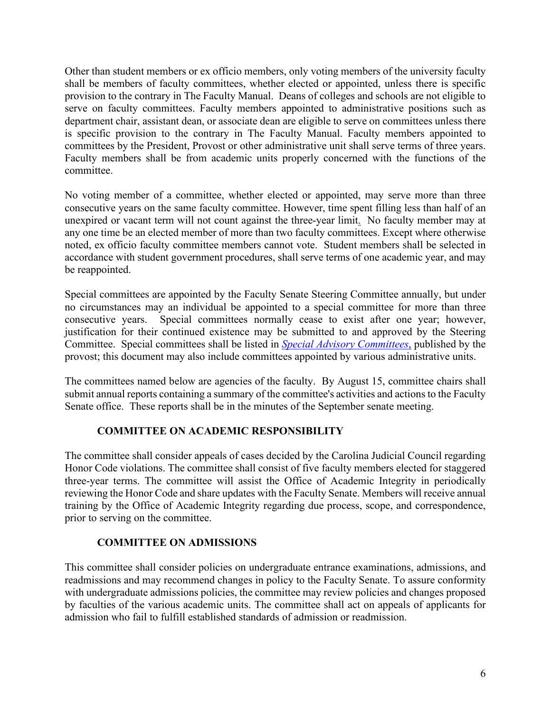Other than student members or ex officio members, only voting members of the university faculty shall be members of faculty committees, whether elected or appointed, unless there is specific provision to the contrary in The Faculty Manual. Deans of colleges and schools are not eligible to serve on faculty committees. Faculty members appointed to administrative positions such as department chair, assistant dean, or associate dean are eligible to serve on committees unless there is specific provision to the contrary in The Faculty Manual. Faculty members appointed to committees by the President, Provost or other administrative unit shall serve terms of three years. Faculty members shall be from academic units properly concerned with the functions of the committee.

No voting member of a committee, whether elected or appointed, may serve more than three consecutive years on the same faculty committee. However, time spent filling less than half of an unexpired or vacant term will not count against the three-year limit. No faculty member may at any one time be an elected member of more than two faculty committees. Except where otherwise noted, ex officio faculty committee members cannot vote. Student members shall be selected in accordance with student government procedures, shall serve terms of one academic year, and may be reappointed.

Special committees are appointed by the Faculty Senate Steering Committee annually, but under no circumstances may an individual be appointed to a special committee for more than three consecutive years. Special committees normally cease to exist after one year; however, justification for their continued existence may be submitted to and approved by the Steering Committee. Special committees shall be listed in *[Special Advisory](http://www.sc.edu/about/offices_and_divisions/provost/committees/facultyspecialadvisory.php) Committees*, published by the provost; this document may also include committees appointed by various administrative units.

The committees named below are agencies of the faculty. By August 15, committee chairs shall submit annual reports containing a summary of the committee's activities and actions to the Faculty Senate office. These reports shall be in the minutes of the September senate meeting.

### **COMMITTEE ON ACADEMIC RESPONSIBILITY**

<span id="page-11-0"></span>The committee shall consider appeals of cases decided by the Carolina Judicial Council regarding Honor Code violations. The committee shall consist of five faculty members elected for staggered three-year terms. The committee will assist the Office of Academic Integrity in periodically reviewing the Honor Code and share updates with the Faculty Senate. Members will receive annual training by the Office of Academic Integrity regarding due process, scope, and correspondence, prior to serving on the committee.

### **COMMITTEE ON ADMISSIONS**

<span id="page-11-1"></span>This committee shall consider policies on undergraduate entrance examinations, admissions, and readmissions and may recommend changes in policy to the Faculty Senate. To assure conformity with undergraduate admissions policies, the committee may review policies and changes proposed by faculties of the various academic units. The committee shall act on appeals of applicants for admission who fail to fulfill established standards of admission or readmission.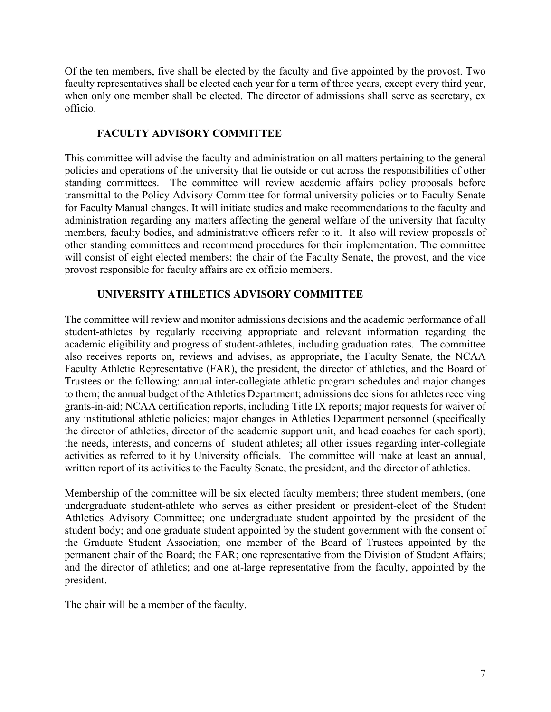Of the ten members, five shall be elected by the faculty and five appointed by the provost. Two faculty representatives shall be elected each year for a term of three years, except every third year, when only one member shall be elected. The director of admissions shall serve as secretary, ex officio.

### **FACULTY ADVISORY COMMITTEE**

<span id="page-12-0"></span>This committee will advise the faculty and administration on all matters pertaining to the general policies and operations of the university that lie outside or cut across the responsibilities of other standing committees. The committee will review academic affairs policy proposals before transmittal to the Policy Advisory Committee for formal university policies or to Faculty Senate for Faculty Manual changes. It will initiate studies and make recommendations to the faculty and administration regarding any matters affecting the general welfare of the university that faculty members, faculty bodies, and administrative officers refer to it. It also will review proposals of other standing committees and recommend procedures for their implementation. The committee will consist of eight elected members; the chair of the Faculty Senate, the provost, and the vice provost responsible for faculty affairs are ex officio members.

### **UNIVERSITY ATHLETICS ADVISORY COMMITTEE**

<span id="page-12-1"></span>The committee will review and monitor admissions decisions and the academic performance of all student-athletes by regularly receiving appropriate and relevant information regarding the academic eligibility and progress of student-athletes, including graduation rates. The committee also receives reports on, reviews and advises, as appropriate, the Faculty Senate, the NCAA Faculty Athletic Representative (FAR), the president, the director of athletics, and the Board of Trustees on the following: annual inter-collegiate athletic program schedules and major changes to them; the annual budget of the Athletics Department; admissions decisions for athletes receiving grants-in-aid; NCAA certification reports, including Title IX reports; major requests for waiver of any institutional athletic policies; major changes in Athletics Department personnel (specifically the director of athletics, director of the academic support unit, and head coaches for each sport); the needs, interests, and concerns of student athletes; all other issues regarding inter-collegiate activities as referred to it by University officials. The committee will make at least an annual, written report of its activities to the Faculty Senate, the president, and the director of athletics.

Membership of the committee will be six elected faculty members; three student members, (one undergraduate student-athlete who serves as either president or president-elect of the Student Athletics Advisory Committee; one undergraduate student appointed by the president of the student body; and one graduate student appointed by the student government with the consent of the Graduate Student Association; one member of the Board of Trustees appointed by the permanent chair of the Board; the FAR; one representative from the Division of Student Affairs; and the director of athletics; and one at-large representative from the faculty, appointed by the president.

The chair will be a member of the faculty.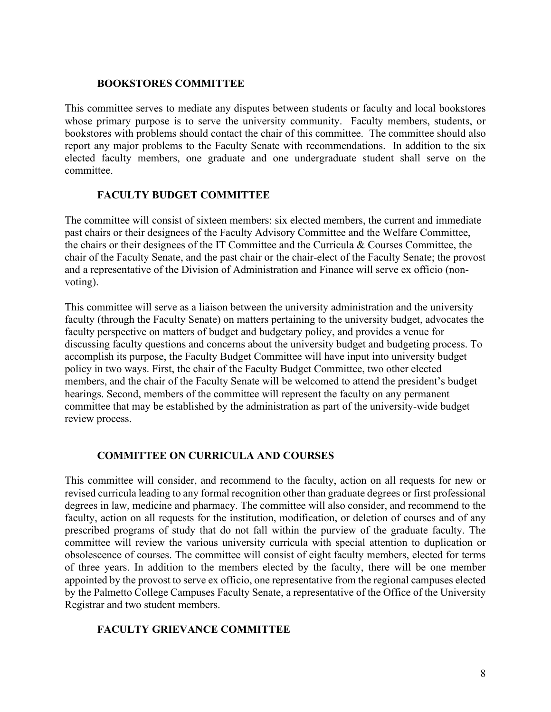#### **BOOKSTORES COMMITTEE**

<span id="page-13-0"></span>This committee serves to mediate any disputes between students or faculty and local bookstores whose primary purpose is to serve the university community. Faculty members, students, or bookstores with problems should contact the chair of this committee. The committee should also report any major problems to the Faculty Senate with recommendations. In addition to the six elected faculty members, one graduate and one undergraduate student shall serve on the committee.

#### **FACULTY BUDGET COMMITTEE**

<span id="page-13-1"></span>The committee will consist of sixteen members: six elected members, the current and immediate past chairs or their designees of the Faculty Advisory Committee and the Welfare Committee, the chairs or their designees of the IT Committee and the Curricula & Courses Committee, the chair of the Faculty Senate, and the past chair or the chair-elect of the Faculty Senate; the provost and a representative of the Division of Administration and Finance will serve ex officio (nonvoting).

This committee will serve as a liaison between the university administration and the university faculty (through the Faculty Senate) on matters pertaining to the university budget, advocates the faculty perspective on matters of budget and budgetary policy, and provides a venue for discussing faculty questions and concerns about the university budget and budgeting process. To accomplish its purpose, the Faculty Budget Committee will have input into university budget policy in two ways. First, the chair of the Faculty Budget Committee, two other elected members, and the chair of the Faculty Senate will be welcomed to attend the president's budget hearings. Second, members of the committee will represent the faculty on any permanent committee that may be established by the administration as part of the university-wide budget review process.

### **COMMITTEE ON CURRICULA AND COURSES**

<span id="page-13-2"></span>This committee will consider, and recommend to the faculty, action on all requests for new or revised curricula leading to any formal recognition other than graduate degrees or first professional degrees in law, medicine and pharmacy. The committee will also consider, and recommend to the faculty, action on all requests for the institution, modification, or deletion of courses and of any prescribed programs of study that do not fall within the purview of the graduate faculty. The committee will review the various university curricula with special attention to duplication or obsolescence of courses. The committee will consist of eight faculty members, elected for terms of three years. In addition to the members elected by the faculty, there will be one member appointed by the provost to serve ex officio, one representative from the regional campuses elected by the Palmetto College Campuses Faculty Senate, a representative of the Office of the University Registrar and two student members.

#### <span id="page-13-3"></span>**FACULTY GRIEVANCE COMMITTEE**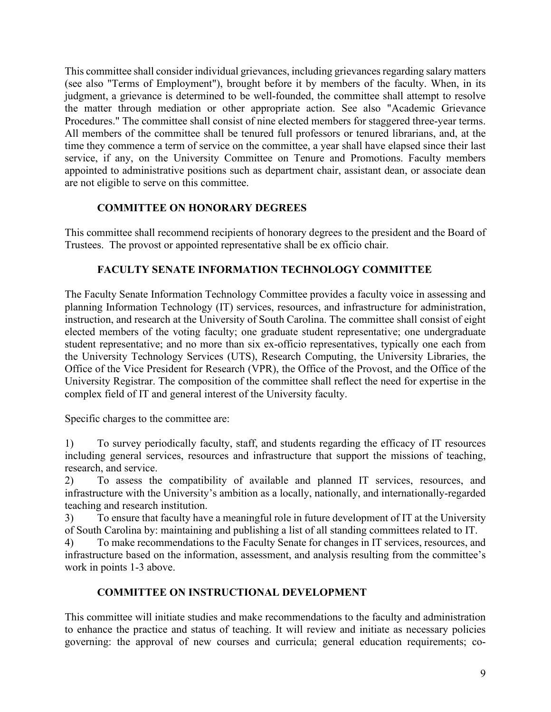This committee shall consider individual grievances, including grievances regarding salary matters (see also "Terms of Employment"), brought before it by members of the faculty. When, in its judgment, a grievance is determined to be well-founded, the committee shall attempt to resolve the matter through mediation or other appropriate action. See also "Academic Grievance Procedures." The committee shall consist of nine elected members for staggered three-year terms. All members of the committee shall be tenured full professors or tenured librarians, and, at the time they commence a term of service on the committee, a year shall have elapsed since their last service, if any, on the University Committee on Tenure and Promotions. Faculty members appointed to administrative positions such as department chair, assistant dean, or associate dean are not eligible to serve on this committee.

### **COMMITTEE ON HONORARY DEGREES**

<span id="page-14-0"></span>This committee shall recommend recipients of honorary degrees to the president and the Board of Trustees. The provost or appointed representative shall be ex officio chair.

### <span id="page-14-1"></span>**FACULTY SENATE INFORMATION TECHNOLOGY COMMITTEE**

The Faculty Senate Information Technology Committee provides a faculty voice in assessing and planning Information Technology (IT) services, resources, and infrastructure for administration, instruction, and research at the University of South Carolina. The committee shall consist of eight elected members of the voting faculty; one graduate student representative; one undergraduate student representative; and no more than six ex-officio representatives, typically one each from the University Technology Services (UTS), Research Computing, the University Libraries, the Office of the Vice President for Research (VPR), the Office of the Provost, and the Office of the University Registrar. The composition of the committee shall reflect the need for expertise in the complex field of IT and general interest of the University faculty.

Specific charges to the committee are:

1) To survey periodically faculty, staff, and students regarding the efficacy of IT resources including general services, resources and infrastructure that support the missions of teaching, research, and service.

2) To assess the compatibility of available and planned IT services, resources, and infrastructure with the University's ambition as a locally, nationally, and internationally-regarded teaching and research institution.

3) To ensure that faculty have a meaningful role in future development of IT at the University of South Carolina by: maintaining and publishing a list of all standing committees related to IT.

4) To make recommendations to the Faculty Senate for changes in IT services, resources, and infrastructure based on the information, assessment, and analysis resulting from the committee's work in points 1-3 above.

# **COMMITTEE ON INSTRUCTIONAL DEVELOPMENT**

<span id="page-14-2"></span>This committee will initiate studies and make recommendations to the faculty and administration to enhance the practice and status of teaching. It will review and initiate as necessary policies governing: the approval of new courses and curricula; general education requirements; co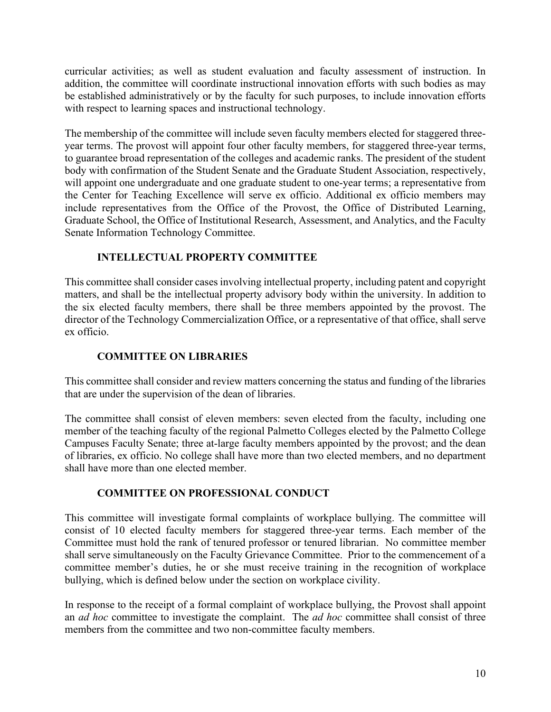curricular activities; as well as student evaluation and faculty assessment of instruction. In addition, the committee will coordinate instructional innovation efforts with such bodies as may be established administratively or by the faculty for such purposes, to include innovation efforts with respect to learning spaces and instructional technology.

The membership of the committee will include seven faculty members elected for staggered threeyear terms. The provost will appoint four other faculty members, for staggered three-year terms, to guarantee broad representation of the colleges and academic ranks. The president of the student body with confirmation of the Student Senate and the Graduate Student Association, respectively, will appoint one undergraduate and one graduate student to one-year terms; a representative from the Center for Teaching Excellence will serve ex officio. Additional ex officio members may include representatives from the Office of the Provost, the Office of Distributed Learning, Graduate School, the Office of Institutional Research, Assessment, and Analytics, and the Faculty Senate Information Technology Committee.

### **INTELLECTUAL PROPERTY COMMITTEE**

<span id="page-15-0"></span>This committee shall consider cases involving intellectual property, including patent and copyright matters, and shall be the intellectual property advisory body within the university. In addition to the six elected faculty members, there shall be three members appointed by the provost. The director of the Technology Commercialization Office, or a representative of that office, shall serve ex officio.

# **COMMITTEE ON LIBRARIES**

<span id="page-15-1"></span>This committee shall consider and review matters concerning the status and funding of the libraries that are under the supervision of the dean of libraries.

The committee shall consist of eleven members: seven elected from the faculty, including one member of the teaching faculty of the regional Palmetto Colleges elected by the Palmetto College Campuses Faculty Senate; three at-large faculty members appointed by the provost; and the dean of libraries, ex officio. No college shall have more than two elected members, and no department shall have more than one elected member.

### **COMMITTEE ON PROFESSIONAL CONDUCT**

<span id="page-15-2"></span>This committee will investigate formal complaints of workplace bullying. The committee will consist of 10 elected faculty members for staggered three-year terms. Each member of the Committee must hold the rank of tenured professor or tenured librarian. No committee member shall serve simultaneously on the Faculty Grievance Committee. Prior to the commencement of a committee member's duties, he or she must receive training in the recognition of workplace bullying, which is defined below under the section on workplace civility.

In response to the receipt of a formal complaint of workplace bullying, the Provost shall appoint an *ad hoc* committee to investigate the complaint. The *ad hoc* committee shall consist of three members from the committee and two non-committee faculty members.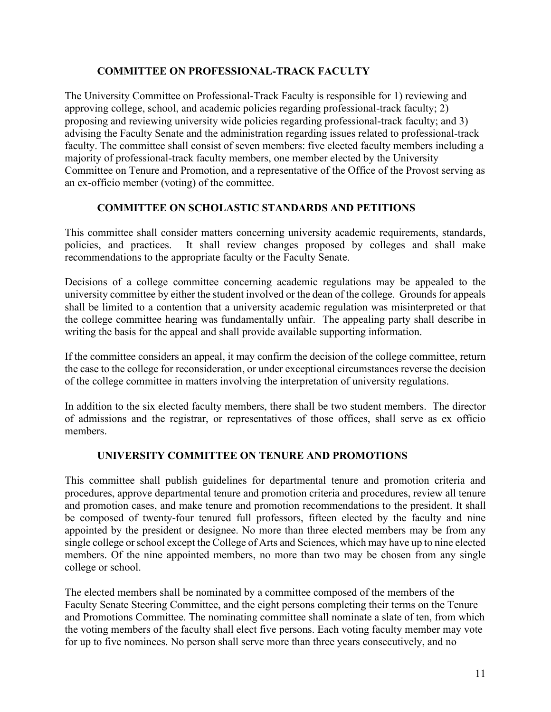### **COMMITTEE ON PROFESSIONAL-TRACK FACULTY**

<span id="page-16-0"></span>The University Committee on Professional-Track Faculty is responsible for 1) reviewing and approving college, school, and academic policies regarding professional-track faculty; 2) proposing and reviewing university wide policies regarding professional-track faculty; and 3) advising the Faculty Senate and the administration regarding issues related to professional-track faculty. The committee shall consist of seven members: five elected faculty members including a majority of professional-track faculty members, one member elected by the University Committee on Tenure and Promotion, and a representative of the Office of the Provost serving as an ex-officio member (voting) of the committee.

### **COMMITTEE ON SCHOLASTIC STANDARDS AND PETITIONS**

<span id="page-16-1"></span>This committee shall consider matters concerning university academic requirements, standards, policies, and practices. It shall review changes proposed by colleges and shall make recommendations to the appropriate faculty or the Faculty Senate.

Decisions of a college committee concerning academic regulations may be appealed to the university committee by either the student involved or the dean of the college. Grounds for appeals shall be limited to a contention that a university academic regulation was misinterpreted or that the college committee hearing was fundamentally unfair. The appealing party shall describe in writing the basis for the appeal and shall provide available supporting information.

If the committee considers an appeal, it may confirm the decision of the college committee, return the case to the college for reconsideration, or under exceptional circumstances reverse the decision of the college committee in matters involving the interpretation of university regulations.

In addition to the six elected faculty members, there shall be two student members. The director of admissions and the registrar, or representatives of those offices, shall serve as ex officio members.

# **UNIVERSITY COMMITTEE ON TENURE AND PROMOTIONS**

<span id="page-16-2"></span>This committee shall publish guidelines for departmental tenure and promotion criteria and procedures, approve departmental tenure and promotion criteria and procedures, review all tenure and promotion cases, and make tenure and promotion recommendations to the president. It shall be composed of twenty-four tenured full professors, fifteen elected by the faculty and nine appointed by the president or designee. No more than three elected members may be from any single college or school except the College of Arts and Sciences, which may have up to nine elected members. Of the nine appointed members, no more than two may be chosen from any single college or school.

The elected members shall be nominated by a committee composed of the members of the Faculty Senate Steering Committee, and the eight persons completing their terms on the Tenure and Promotions Committee. The nominating committee shall nominate a slate of ten, from which the voting members of the faculty shall elect five persons. Each voting faculty member may vote for up to five nominees. No person shall serve more than three years consecutively, and no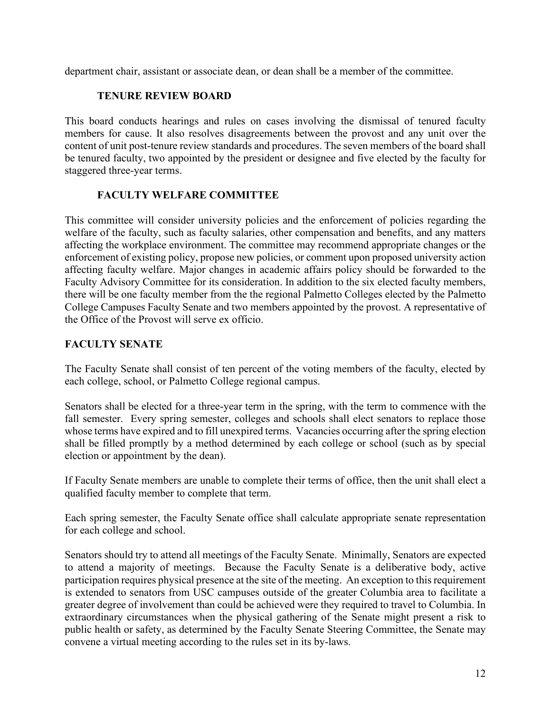<span id="page-17-0"></span>department chair, assistant or associate dean, or dean shall be a member of the committee.

### **TENURE REVIEW BOARD**

This board conducts hearings and rules on cases involving the dismissal of tenured faculty members for cause. It also resolves disagreements between the provost and any unit over the content of unit post-tenure review standards and procedures. The seven members of the board shall be tenured faculty, two appointed by the president or designee and five elected by the faculty for staggered three-year terms.

# **FACULTY WELFARE COMMITTEE**

<span id="page-17-1"></span>This committee will consider university policies and the enforcement of policies regarding the welfare of the faculty, such as faculty salaries, other compensation and benefits, and any matters affecting the workplace environment. The committee may recommend appropriate changes or the enforcement of existing policy, propose new policies, or comment upon proposed university action affecting faculty welfare. Major changes in academic affairs policy should be forwarded to the Faculty Advisory Committee for its consideration. In addition to the six elected faculty members, there will be one faculty member from the the regional Palmetto Colleges elected by the Palmetto College Campuses Faculty Senate and two members appointed by the provost. A representative of the Office of the Provost will serve ex officio.

### <span id="page-17-2"></span>**FACULTY SENATE**

The Faculty Senate shall consist of ten percent of the voting members of the faculty, elected by each college, school, or Palmetto College regional campus.

Senators shall be elected for a three-year term in the spring, with the term to commence with the fall semester. Every spring semester, colleges and schools shall elect senators to replace those whose terms have expired and to fill unexpired terms. Vacancies occurring after the spring election shall be filled promptly by a method determined by each college or school (such as by special election or appointment by the dean).

If Faculty Senate members are unable to complete their terms of office, then the unit shall elect a qualified faculty member to complete that term.

Each spring semester, the Faculty Senate office shall calculate appropriate senate representation for each college and school.

Senators should try to attend all meetings of the Faculty Senate. Minimally, Senators are expected to attend a majority of meetings. Because the Faculty Senate is a deliberative body, active participation requires physical presence at the site of the meeting. An exception to this requirement is extended to senators from USC campuses outside of the greater Columbia area to facilitate a greater degree of involvement than could be achieved were they required to travel to Columbia. In extraordinary circumstances when the physical gathering of the Senate might present a risk to public health or safety, as determined by the Faculty Senate Steering Committee, the Senate may convene a virtual meeting according to the rules set in its by-laws.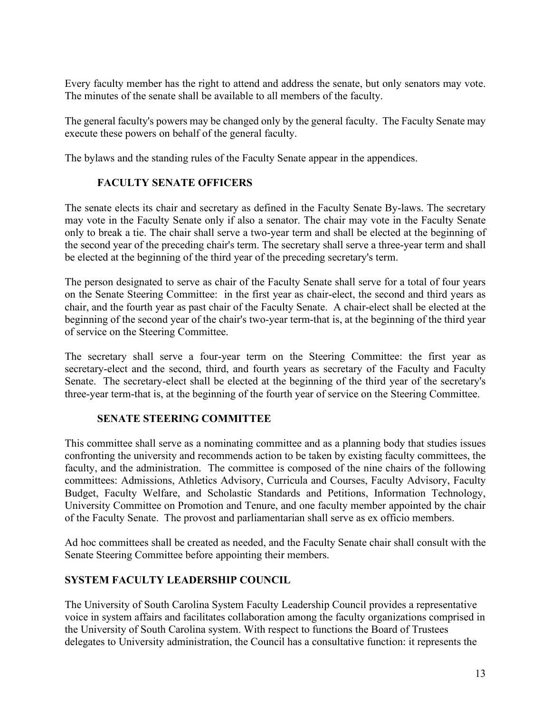Every faculty member has the right to attend and address the senate, but only senators may vote. The minutes of the senate shall be available to all members of the faculty.

The general faculty's powers may be changed only by the general faculty. The Faculty Senate may execute these powers on behalf of the general faculty.

<span id="page-18-0"></span>The bylaws and the standing rules of the Faculty Senate appear in the appendices.

# **FACULTY SENATE OFFICERS**

The senate elects its chair and secretary as defined in the Faculty Senate By-laws. The secretary may vote in the Faculty Senate only if also a senator. The chair may vote in the Faculty Senate only to break a tie. The chair shall serve a two-year term and shall be elected at the beginning of the second year of the preceding chair's term. The secretary shall serve a three-year term and shall be elected at the beginning of the third year of the preceding secretary's term.

The person designated to serve as chair of the Faculty Senate shall serve for a total of four years on the Senate Steering Committee: in the first year as chair-elect, the second and third years as chair, and the fourth year as past chair of the Faculty Senate. A chair-elect shall be elected at the beginning of the second year of the chair's two-year term-that is, at the beginning of the third year of service on the Steering Committee.

The secretary shall serve a four-year term on the Steering Committee: the first year as secretary-elect and the second, third, and fourth years as secretary of the Faculty and Faculty Senate. The secretary-elect shall be elected at the beginning of the third year of the secretary's three-year term-that is, at the beginning of the fourth year of service on the Steering Committee.

### **SENATE STEERING COMMITTEE**

<span id="page-18-1"></span>This committee shall serve as a nominating committee and as a planning body that studies issues confronting the university and recommends action to be taken by existing faculty committees, the faculty, and the administration. The committee is composed of the nine chairs of the following committees: Admissions, Athletics Advisory, Curricula and Courses, Faculty Advisory, Faculty Budget, Faculty Welfare, and Scholastic Standards and Petitions, Information Technology, University Committee on Promotion and Tenure, and one faculty member appointed by the chair of the Faculty Senate. The provost and parliamentarian shall serve as ex officio members.

Ad hoc committees shall be created as needed, and the Faculty Senate chair shall consult with the Senate Steering Committee before appointing their members.

# <span id="page-18-2"></span>**SYSTEM FACULTY LEADERSHIP COUNCIL**

The University of South Carolina System Faculty Leadership Council provides a representative voice in system affairs and facilitates collaboration among the faculty organizations comprised in the University of South Carolina system. With respect to functions the Board of Trustees delegates to University administration, the Council has a consultative function: it represents the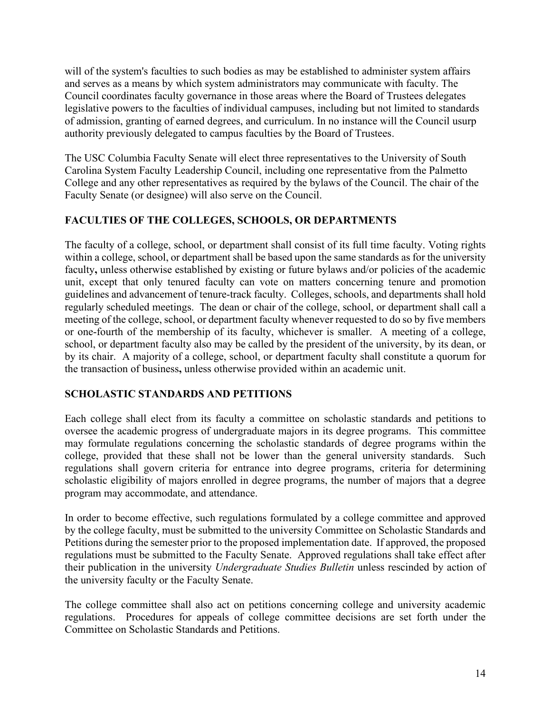will of the system's faculties to such bodies as may be established to administer system affairs and serves as a means by which system administrators may communicate with faculty. The Council coordinates faculty governance in those areas where the Board of Trustees delegates legislative powers to the faculties of individual campuses, including but not limited to standards of admission, granting of earned degrees, and curriculum. In no instance will the Council usurp authority previously delegated to campus faculties by the Board of Trustees.

The USC Columbia Faculty Senate will elect three representatives to the University of South Carolina System Faculty Leadership Council, including one representative from the Palmetto College and any other representatives as required by the bylaws of the Council. The chair of the Faculty Senate (or designee) will also serve on the Council.

### <span id="page-19-0"></span>**FACULTIES OF THE COLLEGES, SCHOOLS, OR DEPARTMENTS**

The faculty of a college, school, or department shall consist of its full time faculty. Voting rights within a college, school, or department shall be based upon the same standards as for the university faculty, unless otherwise established by existing or future bylaws and/or policies of the academic unit, except that only tenured faculty can vote on matters concerning tenure and promotion guidelines and advancement of tenure-track faculty. Colleges, schools, and departments shall hold regularly scheduled meetings. The dean or chair of the college, school, or department shall call a meeting of the college, school, or department faculty whenever requested to do so by five members or one-fourth of the membership of its faculty, whichever is smaller. A meeting of a college, school, or department faculty also may be called by the president of the university, by its dean, or by its chair. A majority of a college, school, or department faculty shall constitute a quorum for the transaction of business**,** unless otherwise provided within an academic unit.

### <span id="page-19-1"></span>**SCHOLASTIC STANDARDS AND PETITIONS**

Each college shall elect from its faculty a committee on scholastic standards and petitions to oversee the academic progress of undergraduate majors in its degree programs. This committee may formulate regulations concerning the scholastic standards of degree programs within the college, provided that these shall not be lower than the general university standards. Such regulations shall govern criteria for entrance into degree programs, criteria for determining scholastic eligibility of majors enrolled in degree programs, the number of majors that a degree program may accommodate, and attendance.

In order to become effective, such regulations formulated by a college committee and approved by the college faculty, must be submitted to the university Committee on Scholastic Standards and Petitions during the semester prior to the proposed implementation date. If approved, the proposed regulations must be submitted to the Faculty Senate. Approved regulations shall take effect after their publication in the university *Undergraduate Studies Bulletin* unless rescinded by action of the university faculty or the Faculty Senate.

The college committee shall also act on petitions concerning college and university academic regulations. Procedures for appeals of college committee decisions are set forth under the Committee on Scholastic Standards and Petitions.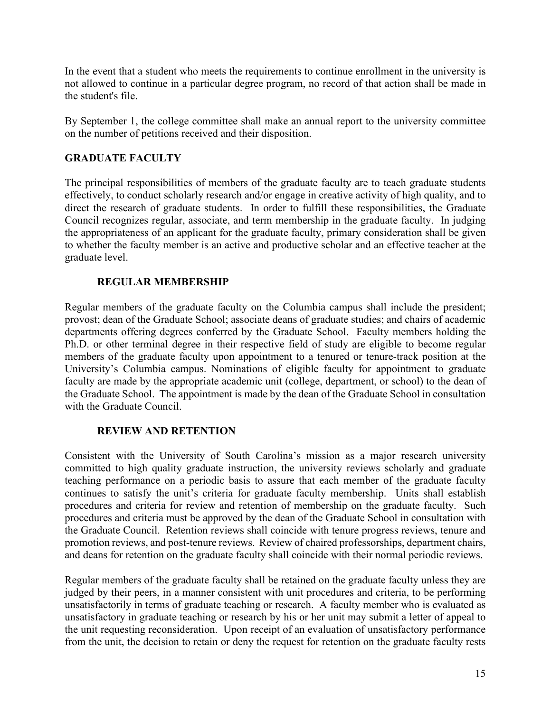In the event that a student who meets the requirements to continue enrollment in the university is not allowed to continue in a particular degree program, no record of that action shall be made in the student's file.

By September 1, the college committee shall make an annual report to the university committee on the number of petitions received and their disposition.

# <span id="page-20-0"></span>**GRADUATE FACULTY**

The principal responsibilities of members of the graduate faculty are to teach graduate students effectively, to conduct scholarly research and/or engage in creative activity of high quality, and to direct the research of graduate students. In order to fulfill these responsibilities, the Graduate Council recognizes regular, associate, and term membership in the graduate faculty. In judging the appropriateness of an applicant for the graduate faculty, primary consideration shall be given to whether the faculty member is an active and productive scholar and an effective teacher at the graduate level.

# <span id="page-20-1"></span>**REGULAR MEMBERSHIP**

Regular members of the graduate faculty on the Columbia campus shall include the president; provost; dean of the Graduate School; associate deans of graduate studies; and chairs of academic departments offering degrees conferred by the Graduate School. Faculty members holding the Ph.D. or other terminal degree in their respective field of study are eligible to become regular members of the graduate faculty upon appointment to a tenured or tenure-track position at the University's Columbia campus. Nominations of eligible faculty for appointment to graduate faculty are made by the appropriate academic unit (college, department, or school) to the dean of the Graduate School. The appointment is made by the dean of the Graduate School in consultation with the Graduate Council.

# <span id="page-20-2"></span>**REVIEW AND RETENTION**

Consistent with the University of South Carolina's mission as a major research university committed to high quality graduate instruction, the university reviews scholarly and graduate teaching performance on a periodic basis to assure that each member of the graduate faculty continues to satisfy the unit's criteria for graduate faculty membership. Units shall establish procedures and criteria for review and retention of membership on the graduate faculty. Such procedures and criteria must be approved by the dean of the Graduate School in consultation with the Graduate Council. Retention reviews shall coincide with tenure progress reviews, tenure and promotion reviews, and post-tenure reviews. Review of chaired professorships, department chairs, and deans for retention on the graduate faculty shall coincide with their normal periodic reviews.

Regular members of the graduate faculty shall be retained on the graduate faculty unless they are judged by their peers, in a manner consistent with unit procedures and criteria, to be performing unsatisfactorily in terms of graduate teaching or research. A faculty member who is evaluated as unsatisfactory in graduate teaching or research by his or her unit may submit a letter of appeal to the unit requesting reconsideration. Upon receipt of an evaluation of unsatisfactory performance from the unit, the decision to retain or deny the request for retention on the graduate faculty rests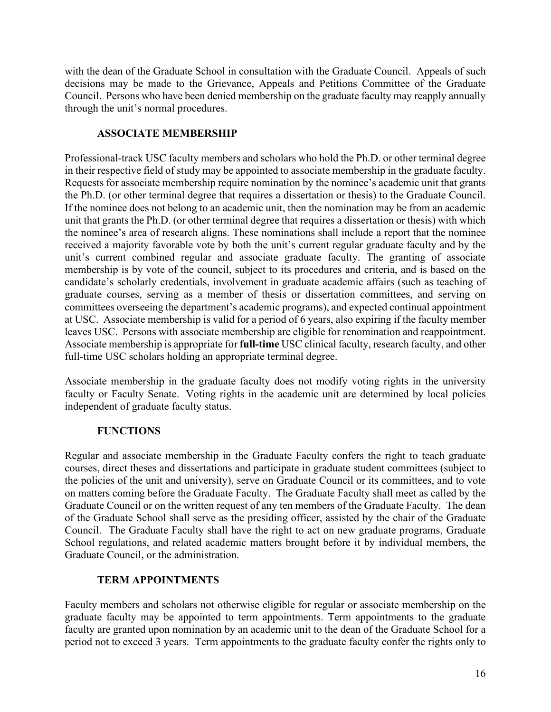with the dean of the Graduate School in consultation with the Graduate Council. Appeals of such decisions may be made to the Grievance, Appeals and Petitions Committee of the Graduate Council. Persons who have been denied membership on the graduate faculty may reapply annually through the unit's normal procedures.

### **ASSOCIATE MEMBERSHIP**

<span id="page-21-0"></span>Professional-track USC faculty members and scholars who hold the Ph.D. or other terminal degree in their respective field of study may be appointed to associate membership in the graduate faculty. Requests for associate membership require nomination by the nominee's academic unit that grants the Ph.D. (or other terminal degree that requires a dissertation or thesis) to the Graduate Council. If the nominee does not belong to an academic unit, then the nomination may be from an academic unit that grants the Ph.D. (or other terminal degree that requires a dissertation or thesis) with which the nominee's area of research aligns. These nominations shall include a report that the nominee received a majority favorable vote by both the unit's current regular graduate faculty and by the unit's current combined regular and associate graduate faculty. The granting of associate membership is by vote of the council, subject to its procedures and criteria, and is based on the candidate's scholarly credentials, involvement in graduate academic affairs (such as teaching of graduate courses, serving as a member of thesis or dissertation committees, and serving on committees overseeing the department's academic programs), and expected continual appointment at USC. Associate membership is valid for a period of 6 years, also expiring if the faculty member leaves USC. Persons with associate membership are eligible for renomination and reappointment. Associate membership is appropriate for **full-time** USC clinical faculty, research faculty, and other full-time USC scholars holding an appropriate terminal degree.

Associate membership in the graduate faculty does not modify voting rights in the university faculty or Faculty Senate. Voting rights in the academic unit are determined by local policies independent of graduate faculty status.

# <span id="page-21-1"></span>**FUNCTIONS**

Regular and associate membership in the Graduate Faculty confers the right to teach graduate courses, direct theses and dissertations and participate in graduate student committees (subject to the policies of the unit and university), serve on Graduate Council or its committees, and to vote on matters coming before the Graduate Faculty. The Graduate Faculty shall meet as called by the Graduate Council or on the written request of any ten members of the Graduate Faculty. The dean of the Graduate School shall serve as the presiding officer, assisted by the chair of the Graduate Council. The Graduate Faculty shall have the right to act on new graduate programs, Graduate School regulations, and related academic matters brought before it by individual members, the Graduate Council, or the administration.

# **TERM APPOINTMENTS**

<span id="page-21-2"></span>Faculty members and scholars not otherwise eligible for regular or associate membership on the graduate faculty may be appointed to term appointments. Term appointments to the graduate faculty are granted upon nomination by an academic unit to the dean of the Graduate School for a period not to exceed 3 years. Term appointments to the graduate faculty confer the rights only to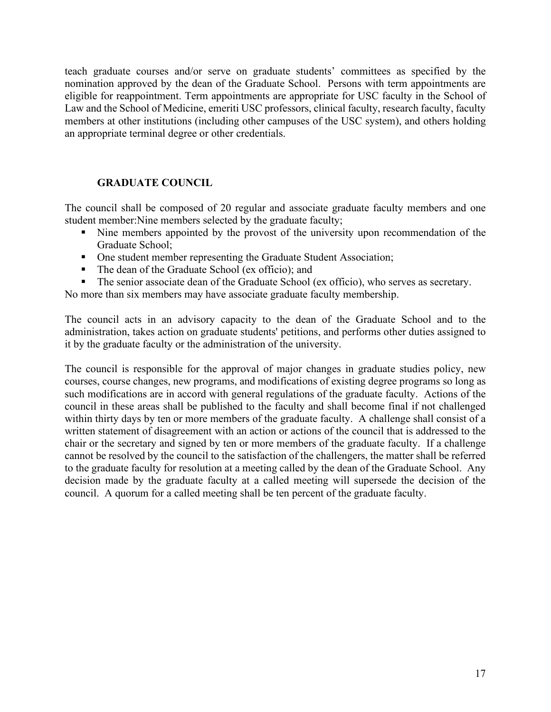teach graduate courses and/or serve on graduate students' committees as specified by the nomination approved by the dean of the Graduate School. Persons with term appointments are eligible for reappointment. Term appointments are appropriate for USC faculty in the School of Law and the School of Medicine, emeriti USC professors, clinical faculty, research faculty, faculty members at other institutions (including other campuses of the USC system), and others holding an appropriate terminal degree or other credentials.

### **GRADUATE COUNCIL**

<span id="page-22-0"></span>The council shall be composed of 20 regular and associate graduate faculty members and one student member:Nine members selected by the graduate faculty;

- Nine members appointed by the provost of the university upon recommendation of the Graduate School;
- One student member representing the Graduate Student Association;
- The dean of the Graduate School (ex officio); and
- The senior associate dean of the Graduate School (ex officio), who serves as secretary.

No more than six members may have associate graduate faculty membership.

The council acts in an advisory capacity to the dean of the Graduate School and to the administration, takes action on graduate students' petitions, and performs other duties assigned to it by the graduate faculty or the administration of the university.

The council is responsible for the approval of major changes in graduate studies policy, new courses, course changes, new programs, and modifications of existing degree programs so long as such modifications are in accord with general regulations of the graduate faculty. Actions of the council in these areas shall be published to the faculty and shall become final if not challenged within thirty days by ten or more members of the graduate faculty. A challenge shall consist of a written statement of disagreement with an action or actions of the council that is addressed to the chair or the secretary and signed by ten or more members of the graduate faculty. If a challenge cannot be resolved by the council to the satisfaction of the challengers, the matter shall be referred to the graduate faculty for resolution at a meeting called by the dean of the Graduate School. Any decision made by the graduate faculty at a called meeting will supersede the decision of the council. A quorum for a called meeting shall be ten percent of the graduate faculty.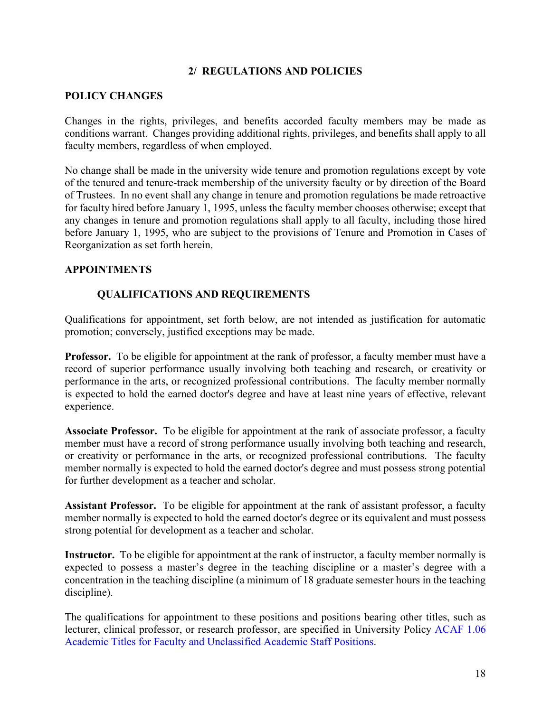### **2/ REGULATIONS AND POLICIES**

### <span id="page-23-1"></span><span id="page-23-0"></span>**POLICY CHANGES**

Changes in the rights, privileges, and benefits accorded faculty members may be made as conditions warrant. Changes providing additional rights, privileges, and benefits shall apply to all faculty members, regardless of when employed.

No change shall be made in the university wide tenure and promotion regulations except by vote of the tenured and tenure-track membership of the university faculty or by direction of the Board of Trustees. In no event shall any change in tenure and promotion regulations be made retroactive for faculty hired before January 1, 1995, unless the faculty member chooses otherwise; except that any changes in tenure and promotion regulations shall apply to all faculty, including those hired before January 1, 1995, who are subject to the provisions of Tenure and Promotion in Cases of Reorganization as set forth herein.

### <span id="page-23-3"></span><span id="page-23-2"></span>**APPOINTMENTS**

### **QUALIFICATIONS AND REQUIREMENTS**

Qualifications for appointment, set forth below, are not intended as justification for automatic promotion; conversely, justified exceptions may be made.

<span id="page-23-4"></span>**Professor.** To be eligible for appointment at the rank of professor, a faculty member must have a record of superior performance usually involving both teaching and research, or creativity or performance in the arts, or recognized professional contributions. The faculty member normally is expected to hold the earned doctor's degree and have at least nine years of effective, relevant experience.

<span id="page-23-5"></span>**Associate Professor.** To be eligible for appointment at the rank of associate professor, a faculty member must have a record of strong performance usually involving both teaching and research, or creativity or performance in the arts, or recognized professional contributions. The faculty member normally is expected to hold the earned doctor's degree and must possess strong potential for further development as a teacher and scholar.

<span id="page-23-6"></span>**Assistant Professor.** To be eligible for appointment at the rank of assistant professor, a faculty member normally is expected to hold the earned doctor's degree or its equivalent and must possess strong potential for development as a teacher and scholar.

<span id="page-23-7"></span>**Instructor.** To be eligible for appointment at the rank of instructor, a faculty member normally is expected to possess a master's degree in the teaching discipline or a master's degree with a concentration in the teaching discipline (a minimum of 18 graduate semester hours in the teaching discipline).

The qualifications for appointment to these positions and positions bearing other titles, such as lecturer, clinical professor, or research professor, are specified in University Policy [ACAF 1.06](http://www.sc.edu/policies/acaf106.pdf)  [Academic Titles for Faculty and Unclassified Academic Staff Positions.](http://www.sc.edu/policies/acaf106.pdf)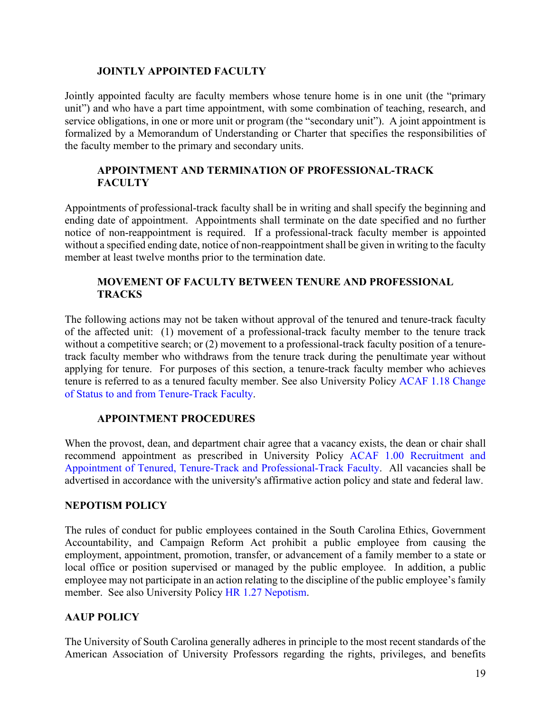### <span id="page-24-0"></span>**JOINTLY APPOINTED FACULTY**

Jointly appointed faculty are faculty members whose tenure home is in one unit (the "primary unit") and who have a part time appointment, with some combination of teaching, research, and service obligations, in one or more unit or program (the "secondary unit"). A joint appointment is formalized by a Memorandum of Understanding or Charter that specifies the responsibilities of the faculty member to the primary and secondary units.

### <span id="page-24-1"></span>**APPOINTMENT AND TERMINATION OF PROFESSIONAL-TRACK FACULTY**

Appointments of professional-track faculty shall be in writing and shall specify the beginning and ending date of appointment. Appointments shall terminate on the date specified and no further notice of non-reappointment is required. If a professional-track faculty member is appointed without a specified ending date, notice of non-reappointment shall be given in writing to the faculty member at least twelve months prior to the termination date.

### <span id="page-24-2"></span>**MOVEMENT OF FACULTY BETWEEN TENURE AND PROFESSIONAL TRACKS**

The following actions may not be taken without approval of the tenured and tenure-track faculty of the affected unit: (1) movement of a professional-track faculty member to the tenure track without a competitive search; or (2) movement to a professional-track faculty position of a tenuretrack faculty member who withdraws from the tenure track during the penultimate year without applying for tenure. For purposes of this section, a tenure-track faculty member who achieves tenure is referred to as a tenured faculty member. See also University Policy [ACAF 1.18 Change](http://www.sc.edu/policies/acaf106.pdf)  [of Status to and from Tenure-Track](http://www.sc.edu/policies/acaf106.pdf) Faculty.

### **APPOINTMENT PROCEDURES**

<span id="page-24-3"></span>When the provost, dean, and department chair agree that a vacancy exists, the dean or chair shall recommend appointment as prescribed in University Policy [ACAF 1.00 Recruitment and](http://www.sc.edu/policies/acaf100.pdf)  [Appointment of Tenured, Tenure-Track and Professional-Track Faculty.](http://www.sc.edu/policies/acaf100.pdf) All vacancies shall be advertised in accordance with the university's affirmative action policy and state and federal law.

### <span id="page-24-4"></span>**NEPOTISM POLICY**

The rules of conduct for public employees contained in the South Carolina Ethics, Government Accountability, and Campaign Reform Act prohibit a public employee from causing the employment, appointment, promotion, transfer, or advancement of a family member to a state or local office or position supervised or managed by the public employee. In addition, a public employee may not participate in an action relating to the discipline of the public employee's family member. See also University Policy [HR 1.27 Nepotism.](http://www.sc.edu/policies/hr127.pdf)

### <span id="page-24-5"></span>**AAUP POLICY**

The University of South Carolina generally adheres in principle to the most recent standards of the American Association of University Professors regarding the rights, privileges, and benefits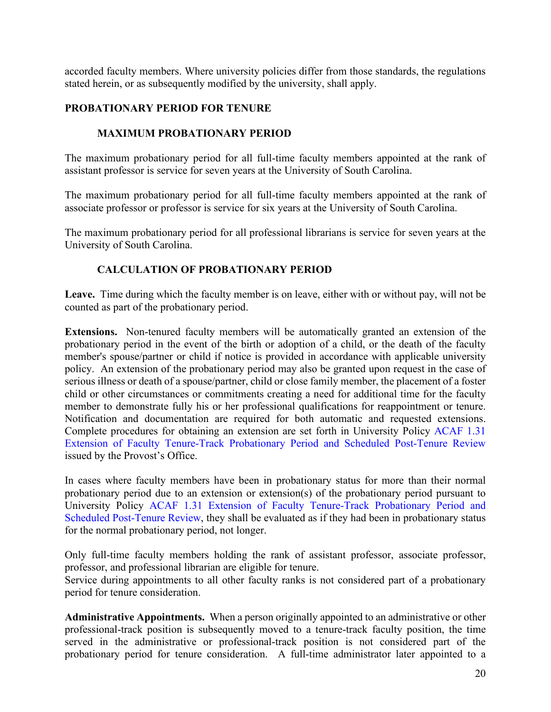accorded faculty members. Where university policies differ from those standards, the regulations stated herein, or as subsequently modified by the university, shall apply.

### <span id="page-25-0"></span>**PROBATIONARY PERIOD FOR TENURE**

### <span id="page-25-1"></span>**MAXIMUM PROBATIONARY PERIOD**

The maximum probationary period for all full-time faculty members appointed at the rank of assistant professor is service for seven years at the University of South Carolina.

The maximum probationary period for all full-time faculty members appointed at the rank of associate professor or professor is service for six years at the University of South Carolina.

The maximum probationary period for all professional librarians is service for seven years at the University of South Carolina.

### <span id="page-25-2"></span>**CALCULATION OF PROBATIONARY PERIOD**

<span id="page-25-3"></span>**Leave.** Time during which the faculty member is on leave, either with or without pay, will not be counted as part of the probationary period.

<span id="page-25-4"></span>**Extensions.** Non-tenured faculty members will be automatically granted an extension of the probationary period in the event of the birth or adoption of a child, or the death of the faculty member's spouse/partner or child if notice is provided in accordance with applicable university policy. An extension of the probationary period may also be granted upon request in the case of serious illness or death of a spouse/partner, child or close family member, the placement of a foster child or other circumstances or commitments creating a need for additional time for the faculty member to demonstrate fully his or her professional qualifications for reappointment or tenure. Notification and documentation are required for both automatic and requested extensions. Complete procedures for obtaining an extension are set forth in University Policy [ACAF 1.31](http://www.sc.edu/policies/acaf131.pdf) [Extension of Faculty Tenure-Track Probationary Period](http://www.sc.edu/policies/acaf131.pdf) and Scheduled Post-Tenure Review issued by the Provost's Office.

In cases where faculty members have been in probationary status for more than their normal probationary period due to an extension or extension(s) of the probationary period pursuant to University Policy [ACAF 1.31 Extension of Faculty Tenure-Track Probationary Period](http://www.sc.edu/policies/acaf131.pdf) and [Scheduled Post-Tenure Review,](http://www.sc.edu/policies/acaf131.pdf) they shall be evaluated as if they had been in probationary status for the normal probationary period, not longer.

Only full-time faculty members holding the rank of assistant professor, associate professor, professor, and professional librarian are eligible for tenure.

Service during appointments to all other faculty ranks is not considered part of a probationary period for tenure consideration.

<span id="page-25-5"></span>**Administrative Appointments.** When a person originally appointed to an administrative or other professional-track position is subsequently moved to a tenure-track faculty position, the time served in the administrative or professional-track position is not considered part of the probationary period for tenure consideration. A full-time administrator later appointed to a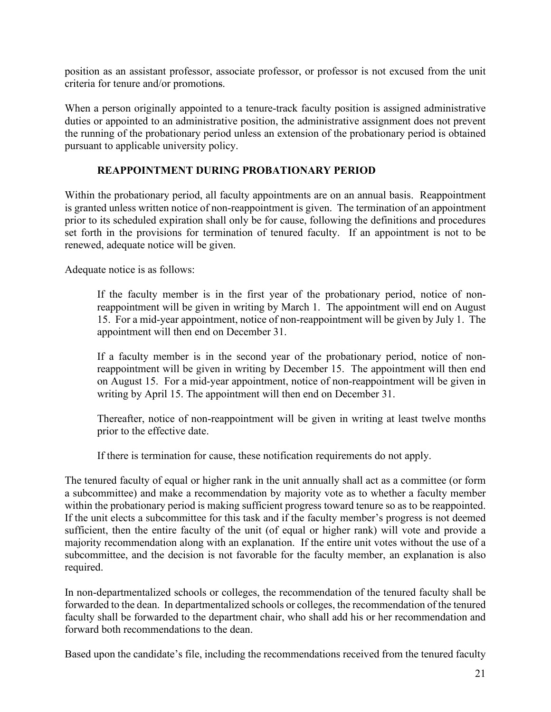position as an assistant professor, associate professor, or professor is not excused from the unit criteria for tenure and/or promotions.

When a person originally appointed to a tenure-track faculty position is assigned administrative duties or appointed to an administrative position, the administrative assignment does not prevent the running of the probationary period unless an extension of the probationary period is obtained pursuant to applicable university policy.

### <span id="page-26-0"></span>**REAPPOINTMENT DURING PROBATIONARY PERIOD**

Within the probationary period, all faculty appointments are on an annual basis. Reappointment is granted unless written notice of non-reappointment is given. The termination of an appointment prior to its scheduled expiration shall only be for cause, following the definitions and procedures set forth in the provisions for termination of tenured faculty. If an appointment is not to be renewed, adequate notice will be given.

Adequate notice is as follows:

If the faculty member is in the first year of the probationary period, notice of nonreappointment will be given in writing by March 1. The appointment will end on August 15. For a mid-year appointment, notice of non-reappointment will be given by July 1. The appointment will then end on December 31.

If a faculty member is in the second year of the probationary period, notice of nonreappointment will be given in writing by December 15. The appointment will then end on August 15. For a mid-year appointment, notice of non-reappointment will be given in writing by April 15. The appointment will then end on December 31.

Thereafter, notice of non-reappointment will be given in writing at least twelve months prior to the effective date.

If there is termination for cause, these notification requirements do not apply.

The tenured faculty of equal or higher rank in the unit annually shall act as a committee (or form a subcommittee) and make a recommendation by majority vote as to whether a faculty member within the probationary period is making sufficient progress toward tenure so as to be reappointed. If the unit elects a subcommittee for this task and if the faculty member's progress is not deemed sufficient, then the entire faculty of the unit (of equal or higher rank) will vote and provide a majority recommendation along with an explanation. If the entire unit votes without the use of a subcommittee, and the decision is not favorable for the faculty member, an explanation is also required.

In non-departmentalized schools or colleges, the recommendation of the tenured faculty shall be forwarded to the dean. In departmentalized schools or colleges, the recommendation of the tenured faculty shall be forwarded to the department chair, who shall add his or her recommendation and forward both recommendations to the dean.

Based upon the candidate's file, including the recommendations received from the tenured faculty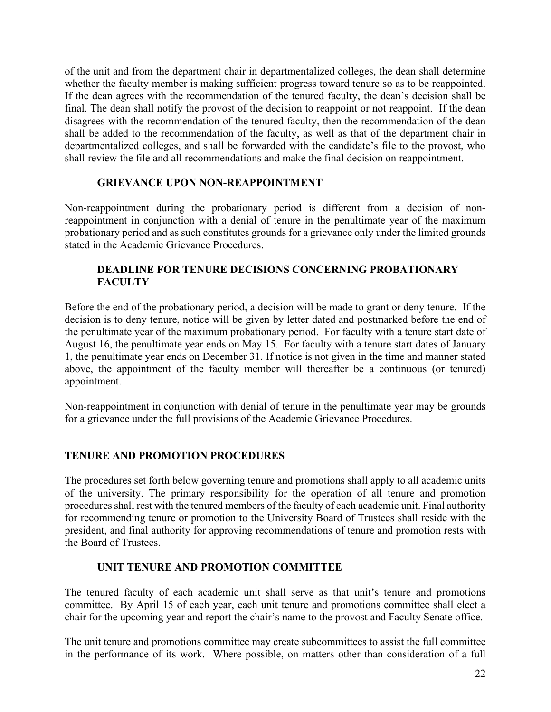of the unit and from the department chair in departmentalized colleges, the dean shall determine whether the faculty member is making sufficient progress toward tenure so as to be reappointed. If the dean agrees with the recommendation of the tenured faculty, the dean's decision shall be final. The dean shall notify the provost of the decision to reappoint or not reappoint. If the dean disagrees with the recommendation of the tenured faculty, then the recommendation of the dean shall be added to the recommendation of the faculty, as well as that of the department chair in departmentalized colleges, and shall be forwarded with the candidate's file to the provost, who shall review the file and all recommendations and make the final decision on reappointment.

### <span id="page-27-0"></span>**GRIEVANCE UPON NON-REAPPOINTMENT**

Non-reappointment during the probationary period is different from a decision of nonreappointment in conjunction with a denial of tenure in the penultimate year of the maximum probationary period and as such constitutes grounds for a grievance only under the limited grounds stated in the Academic Grievance Procedures.

### <span id="page-27-1"></span>**DEADLINE FOR TENURE DECISIONS CONCERNING PROBATIONARY FACULTY**

Before the end of the probationary period, a decision will be made to grant or deny tenure. If the decision is to deny tenure, notice will be given by letter dated and postmarked before the end of the penultimate year of the maximum probationary period. For faculty with a tenure start date of August 16, the penultimate year ends on May 15. For faculty with a tenure start dates of January 1, the penultimate year ends on December 31. If notice is not given in the time and manner stated above, the appointment of the faculty member will thereafter be a continuous (or tenured) appointment.

Non-reappointment in conjunction with denial of tenure in the penultimate year may be grounds for a grievance under the full provisions of the Academic Grievance Procedures.

### <span id="page-27-2"></span>**TENURE AND PROMOTION PROCEDURES**

The procedures set forth below governing tenure and promotions shall apply to all academic units of the university. The primary responsibility for the operation of all tenure and promotion procedures shall rest with the tenured members of the faculty of each academic unit. Final authority for recommending tenure or promotion to the University Board of Trustees shall reside with the president, and final authority for approving recommendations of tenure and promotion rests with the Board of Trustees.

#### <span id="page-27-3"></span>**UNIT TENURE AND PROMOTION COMMITTEE**

The tenured faculty of each academic unit shall serve as that unit's tenure and promotions committee. By April 15 of each year, each unit tenure and promotions committee shall elect a chair for the upcoming year and report the chair's name to the provost and Faculty Senate office.

The unit tenure and promotions committee may create subcommittees to assist the full committee in the performance of its work. Where possible, on matters other than consideration of a full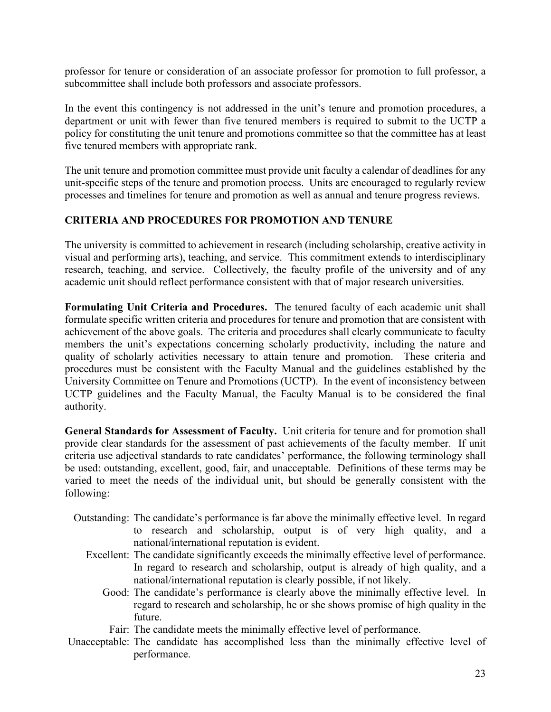professor for tenure or consideration of an associate professor for promotion to full professor, a subcommittee shall include both professors and associate professors.

In the event this contingency is not addressed in the unit's tenure and promotion procedures, a department or unit with fewer than five tenured members is required to submit to the UCTP a policy for constituting the unit tenure and promotions committee so that the committee has at least five tenured members with appropriate rank.

The unit tenure and promotion committee must provide unit faculty a calendar of deadlines for any unit-specific steps of the tenure and promotion process. Units are encouraged to regularly review processes and timelines for tenure and promotion as well as annual and tenure progress reviews.

### <span id="page-28-0"></span>**CRITERIA AND PROCEDURES FOR PROMOTION AND TENURE**

The university is committed to achievement in research (including scholarship, creative activity in visual and performing arts), teaching, and service. This commitment extends to interdisciplinary research, teaching, and service. Collectively, the faculty profile of the university and of any academic unit should reflect performance consistent with that of major research universities.

<span id="page-28-1"></span>**Formulating Unit Criteria and Procedures.** The tenured faculty of each academic unit shall formulate specific written criteria and procedures for tenure and promotion that are consistent with achievement of the above goals. The criteria and procedures shall clearly communicate to faculty members the unit's expectations concerning scholarly productivity, including the nature and quality of scholarly activities necessary to attain tenure and promotion. These criteria and procedures must be consistent with the Faculty Manual and the guidelines established by the University Committee on Tenure and Promotions (UCTP). In the event of inconsistency between UCTP guidelines and the Faculty Manual, the Faculty Manual is to be considered the final authority.

<span id="page-28-2"></span>**General Standards for Assessment of Faculty.** Unit criteria for tenure and for promotion shall provide clear standards for the assessment of past achievements of the faculty member. If unit criteria use adjectival standards to rate candidates' performance, the following terminology shall be used: outstanding, excellent, good, fair, and unacceptable. Definitions of these terms may be varied to meet the needs of the individual unit, but should be generally consistent with the following:

- Outstanding: The candidate's performance is far above the minimally effective level. In regard to research and scholarship, output is of very high quality, and a national/international reputation is evident.
	- Excellent: The candidate significantly exceeds the minimally effective level of performance. In regard to research and scholarship, output is already of high quality, and a national/international reputation is clearly possible, if not likely.
		- Good: The candidate's performance is clearly above the minimally effective level. In regard to research and scholarship, he or she shows promise of high quality in the future.
			- Fair: The candidate meets the minimally effective level of performance.
- Unacceptable: The candidate has accomplished less than the minimally effective level of performance.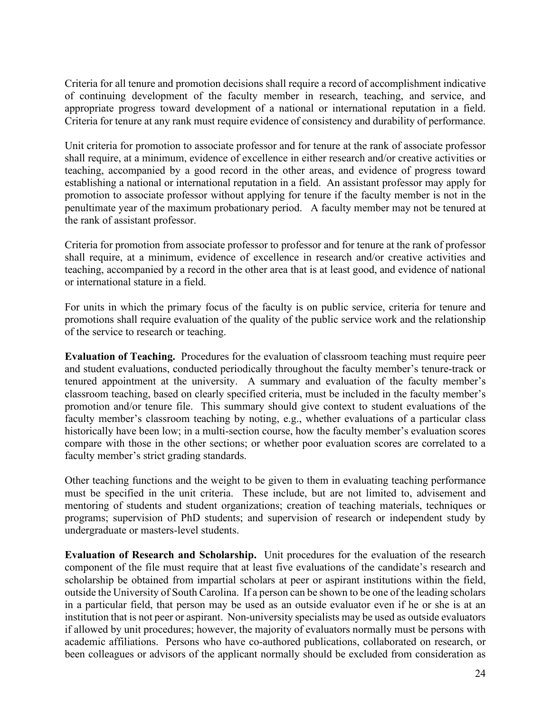Criteria for all tenure and promotion decisions shall require a record of accomplishment indicative of continuing development of the faculty member in research, teaching, and service, and appropriate progress toward development of a national or international reputation in a field. Criteria for tenure at any rank must require evidence of consistency and durability of performance.

Unit criteria for promotion to associate professor and for tenure at the rank of associate professor shall require, at a minimum, evidence of excellence in either research and/or creative activities or teaching, accompanied by a good record in the other areas, and evidence of progress toward establishing a national or international reputation in a field. An assistant professor may apply for promotion to associate professor without applying for tenure if the faculty member is not in the penultimate year of the maximum probationary period. A faculty member may not be tenured at the rank of assistant professor.

Criteria for promotion from associate professor to professor and for tenure at the rank of professor shall require, at a minimum, evidence of excellence in research and/or creative activities and teaching, accompanied by a record in the other area that is at least good, and evidence of national or international stature in a field.

For units in which the primary focus of the faculty is on public service, criteria for tenure and promotions shall require evaluation of the quality of the public service work and the relationship of the service to research or teaching.

<span id="page-29-0"></span>**Evaluation of Teaching.** Procedures for the evaluation of classroom teaching must require peer and student evaluations, conducted periodically throughout the faculty member's tenure-track or tenured appointment at the university. A summary and evaluation of the faculty member's classroom teaching, based on clearly specified criteria, must be included in the faculty member's promotion and/or tenure file. This summary should give context to student evaluations of the faculty member's classroom teaching by noting, e.g., whether evaluations of a particular class historically have been low; in a multi-section course, how the faculty member's evaluation scores compare with those in the other sections; or whether poor evaluation scores are correlated to a faculty member's strict grading standards.

Other teaching functions and the weight to be given to them in evaluating teaching performance must be specified in the unit criteria. These include, but are not limited to, advisement and mentoring of students and student organizations; creation of teaching materials, techniques or programs; supervision of PhD students; and supervision of research or independent study by undergraduate or masters-level students.

<span id="page-29-1"></span>**Evaluation of Research and Scholarship.** Unit procedures for the evaluation of the research component of the file must require that at least five evaluations of the candidate's research and scholarship be obtained from impartial scholars at peer or aspirant institutions within the field, outside the University of South Carolina. If a person can be shown to be one of the leading scholars in a particular field, that person may be used as an outside evaluator even if he or she is at an institution that is not peer or aspirant. Non-university specialists may be used as outside evaluators if allowed by unit procedures; however, the majority of evaluators normally must be persons with academic affiliations. Persons who have co-authored publications, collaborated on research, or been colleagues or advisors of the applicant normally should be excluded from consideration as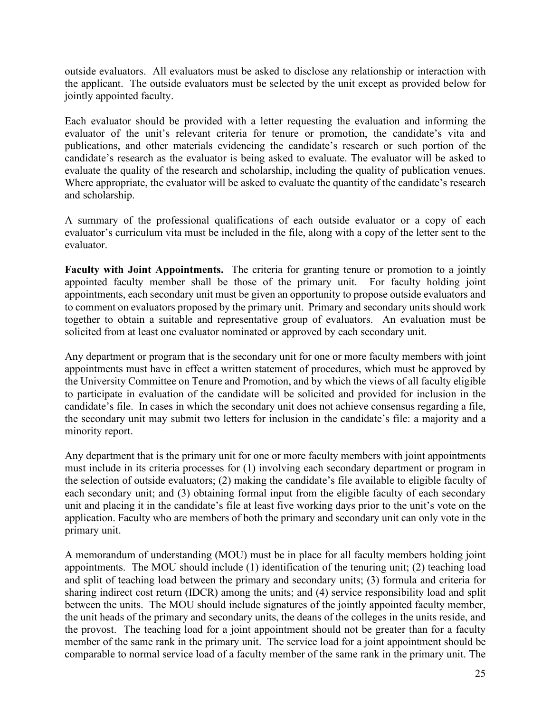outside evaluators. All evaluators must be asked to disclose any relationship or interaction with the applicant. The outside evaluators must be selected by the unit except as provided below for jointly appointed faculty.

Each evaluator should be provided with a letter requesting the evaluation and informing the evaluator of the unit's relevant criteria for tenure or promotion, the candidate's vita and publications, and other materials evidencing the candidate's research or such portion of the candidate's research as the evaluator is being asked to evaluate. The evaluator will be asked to evaluate the quality of the research and scholarship, including the quality of publication venues. Where appropriate, the evaluator will be asked to evaluate the quantity of the candidate's research and scholarship.

A summary of the professional qualifications of each outside evaluator or a copy of each evaluator's curriculum vita must be included in the file, along with a copy of the letter sent to the evaluator.

<span id="page-30-0"></span>**Faculty with Joint Appointments.** The criteria for granting tenure or promotion to a jointly appointed faculty member shall be those of the primary unit.For faculty holding joint appointments, each secondary unit must be given an opportunity to propose outside evaluators and to comment on evaluators proposed by the primary unit. Primary and secondary units should work together to obtain a suitable and representative group of evaluators. An evaluation must be solicited from at least one evaluator nominated or approved by each secondary unit.

Any department or program that is the secondary unit for one or more faculty members with joint appointments must have in effect a written statement of procedures, which must be approved by the University Committee on Tenure and Promotion, and by which the views of all faculty eligible to participate in evaluation of the candidate will be solicited and provided for inclusion in the candidate's file. In cases in which the secondary unit does not achieve consensus regarding a file, the secondary unit may submit two letters for inclusion in the candidate's file: a majority and a minority report.

Any department that is the primary unit for one or more faculty members with joint appointments must include in its criteria processes for (1) involving each secondary department or program in the selection of outside evaluators; (2) making the candidate's file available to eligible faculty of each secondary unit; and (3) obtaining formal input from the eligible faculty of each secondary unit and placing it in the candidate's file at least five working days prior to the unit's vote on the application. Faculty who are members of both the primary and secondary unit can only vote in the primary unit.

A memorandum of understanding (MOU) must be in place for all faculty members holding joint appointments. The MOU should include (1) identification of the tenuring unit; (2) teaching load and split of teaching load between the primary and secondary units; (3) formula and criteria for sharing indirect cost return (IDCR) among the units; and (4) service responsibility load and split between the units. The MOU should include signatures of the jointly appointed faculty member, the unit heads of the primary and secondary units, the deans of the colleges in the units reside, and the provost. The teaching load for a joint appointment should not be greater than for a faculty member of the same rank in the primary unit. The service load for a joint appointment should be comparable to normal service load of a faculty member of the same rank in the primary unit. The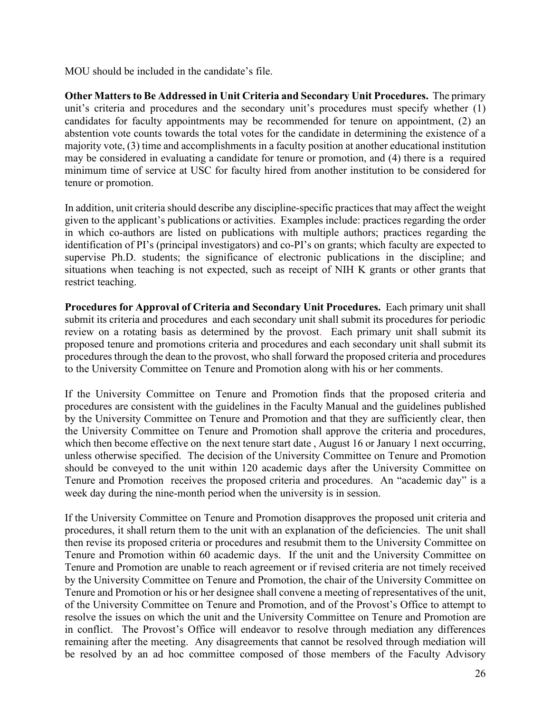MOU should be included in the candidate's file.

<span id="page-31-0"></span>**Other Matters to Be Addressed in Unit Criteria and Secondary Unit Procedures.** The primary unit's criteria and procedures and the secondary unit's procedures must specify whether (1) candidates for faculty appointments may be recommended for tenure on appointment, (2) an abstention vote counts towards the total votes for the candidate in determining the existence of a majority vote, (3) time and accomplishments in a faculty position at another educational institution may be considered in evaluating a candidate for tenure or promotion, and (4) there is a required minimum time of service at USC for faculty hired from another institution to be considered for tenure or promotion.

In addition, unit criteria should describe any discipline-specific practices that may affect the weight given to the applicant's publications or activities. Examples include: practices regarding the order in which co-authors are listed on publications with multiple authors; practices regarding the identification of PI's (principal investigators) and co-PI's on grants; which faculty are expected to supervise Ph.D. students; the significance of electronic publications in the discipline; and situations when teaching is not expected, such as receipt of NIH K grants or other grants that restrict teaching.

<span id="page-31-1"></span>**Procedures for Approval of Criteria and Secondary Unit Procedures.** Each primary unit shall submit its criteria and procedures and each secondary unit shall submit its procedures for periodic review on a rotating basis as determined by the provost. Each primary unit shall submit its proposed tenure and promotions criteria and procedures and each secondary unit shall submit its procedures through the dean to the provost, who shall forward the proposed criteria and procedures to the University Committee on Tenure and Promotion along with his or her comments.

If the University Committee on Tenure and Promotion finds that the proposed criteria and procedures are consistent with the guidelines in the Faculty Manual and the guidelines published by the University Committee on Tenure and Promotion and that they are sufficiently clear, then the University Committee on Tenure and Promotion shall approve the criteria and procedures, which then become effective on the next tenure start date , August 16 or January 1 next occurring, unless otherwise specified. The decision of the University Committee on Tenure and Promotion should be conveyed to the unit within 120 academic days after the University Committee on Tenure and Promotion receives the proposed criteria and procedures. An "academic day" is a week day during the nine-month period when the university is in session.

If the University Committee on Tenure and Promotion disapproves the proposed unit criteria and procedures, it shall return them to the unit with an explanation of the deficiencies. The unit shall then revise its proposed criteria or procedures and resubmit them to the University Committee on Tenure and Promotion within 60 academic days. If the unit and the University Committee on Tenure and Promotion are unable to reach agreement or if revised criteria are not timely received by the University Committee on Tenure and Promotion, the chair of the University Committee on Tenure and Promotion or his or her designee shall convene a meeting of representatives of the unit, of the University Committee on Tenure and Promotion, and of the Provost's Office to attempt to resolve the issues on which the unit and the University Committee on Tenure and Promotion are in conflict. The Provost's Office will endeavor to resolve through mediation any differences remaining after the meeting. Any disagreements that cannot be resolved through mediation will be resolved by an ad hoc committee composed of those members of the Faculty Advisory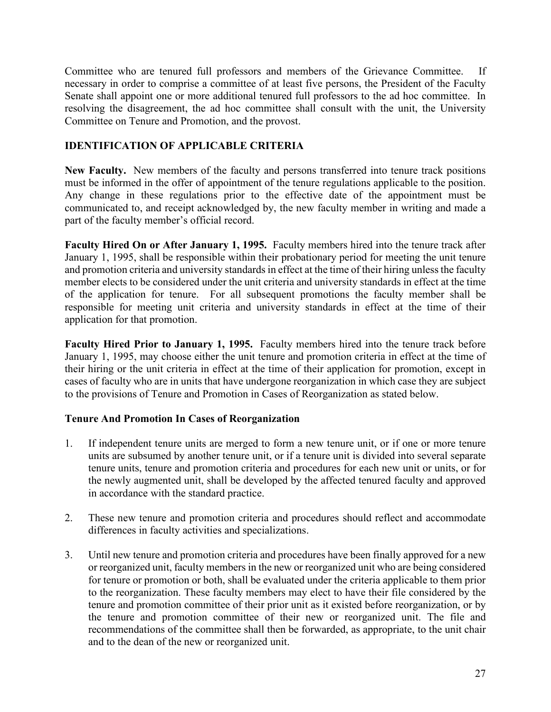Committee who are tenured full professors and members of the Grievance Committee. If necessary in order to comprise a committee of at least five persons, the President of the Faculty Senate shall appoint one or more additional tenured full professors to the ad hoc committee. In resolving the disagreement, the ad hoc committee shall consult with the unit, the University Committee on Tenure and Promotion, and the provost.

### <span id="page-32-0"></span>**IDENTIFICATION OF APPLICABLE CRITERIA**

<span id="page-32-1"></span>**New Faculty.** New members of the faculty and persons transferred into tenure track positions must be informed in the offer of appointment of the tenure regulations applicable to the position. Any change in these regulations prior to the effective date of the appointment must be communicated to, and receipt acknowledged by, the new faculty member in writing and made a part of the faculty member's official record.

<span id="page-32-2"></span>**Faculty Hired On or After January 1, 1995.** Faculty members hired into the tenure track after January 1, 1995, shall be responsible within their probationary period for meeting the unit tenure and promotion criteria and university standards in effect at the time of their hiring unless the faculty member elects to be considered under the unit criteria and university standards in effect at the time of the application for tenure. For all subsequent promotions the faculty member shall be responsible for meeting unit criteria and university standards in effect at the time of their application for that promotion.

<span id="page-32-3"></span>**Faculty Hired Prior to January 1, 1995.** Faculty members hired into the tenure track before January 1, 1995, may choose either the unit tenure and promotion criteria in effect at the time of their hiring or the unit criteria in effect at the time of their application for promotion, except in cases of faculty who are in units that have undergone reorganization in which case they are subject to the provisions of Tenure and Promotion in Cases of Reorganization as stated below.

# **Tenure And Promotion In Cases of Reorganization**

- 1. If independent tenure units are merged to form a new tenure unit, or if one or more tenure units are subsumed by another tenure unit, or if a tenure unit is divided into several separate tenure units, tenure and promotion criteria and procedures for each new unit or units, or for the newly augmented unit, shall be developed by the affected tenured faculty and approved in accordance with the standard practice.
- 2. These new tenure and promotion criteria and procedures should reflect and accommodate differences in faculty activities and specializations.
- 3. Until new tenure and promotion criteria and procedures have been finally approved for a new or reorganized unit, faculty members in the new or reorganized unit who are being considered for tenure or promotion or both, shall be evaluated under the criteria applicable to them prior to the reorganization. These faculty members may elect to have their file considered by the tenure and promotion committee of their prior unit as it existed before reorganization, or by the tenure and promotion committee of their new or reorganized unit. The file and recommendations of the committee shall then be forwarded, as appropriate, to the unit chair and to the dean of the new or reorganized unit.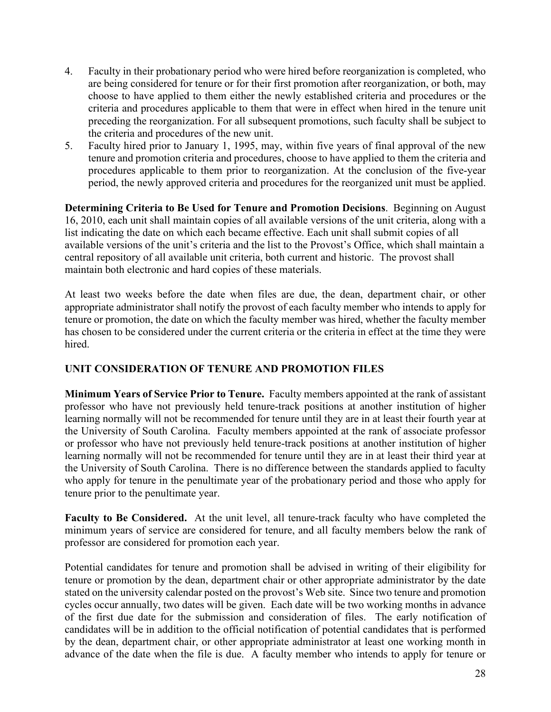- 4. Faculty in their probationary period who were hired before reorganization is completed, who are being considered for tenure or for their first promotion after reorganization, or both, may choose to have applied to them either the newly established criteria and procedures or the criteria and procedures applicable to them that were in effect when hired in the tenure unit preceding the reorganization. For all subsequent promotions, such faculty shall be subject to the criteria and procedures of the new unit.
- 5. Faculty hired prior to January 1, 1995, may, within five years of final approval of the new tenure and promotion criteria and procedures, choose to have applied to them the criteria and procedures applicable to them prior to reorganization. At the conclusion of the five-year period, the newly approved criteria and procedures for the reorganized unit must be applied.

<span id="page-33-0"></span>**Determining Criteria to Be Used for Tenure and Promotion Decisions**. Beginning on August 16, 2010, each unit shall maintain copies of all available versions of the unit criteria, along with a list indicating the date on which each became effective. Each unit shall submit copies of all available versions of the unit's criteria and the list to the Provost's Office, which shall maintain a central repository of all available unit criteria, both current and historic. The provost shall maintain both electronic and hard copies of these materials.

At least two weeks before the date when files are due, the dean, department chair, or other appropriate administrator shall notify the provost of each faculty member who intends to apply for tenure or promotion, the date on which the faculty member was hired, whether the faculty member has chosen to be considered under the current criteria or the criteria in effect at the time they were hired.

# <span id="page-33-1"></span>**UNIT CONSIDERATION OF TENURE AND PROMOTION FILES**

<span id="page-33-2"></span>**Minimum Years of Service Prior to Tenure.** Faculty members appointed at the rank of assistant professor who have not previously held tenure-track positions at another institution of higher learning normally will not be recommended for tenure until they are in at least their fourth year at the University of South Carolina. Faculty members appointed at the rank of associate professor or professor who have not previously held tenure-track positions at another institution of higher learning normally will not be recommended for tenure until they are in at least their third year at the University of South Carolina. There is no difference between the standards applied to faculty who apply for tenure in the penultimate year of the probationary period and those who apply for tenure prior to the penultimate year.

<span id="page-33-3"></span>**Faculty to Be Considered.** At the unit level, all tenure-track faculty who have completed the minimum years of service are considered for tenure, and all faculty members below the rank of professor are considered for promotion each year.

Potential candidates for tenure and promotion shall be advised in writing of their eligibility for tenure or promotion by the dean, department chair or other appropriate administrator by the date stated on the university calendar posted on the provost's Web site. Since two tenure and promotion cycles occur annually, two dates will be given. Each date will be two working months in advance of the first due date for the submission and consideration of files. The early notification of candidates will be in addition to the official notification of potential candidates that is performed by the dean, department chair, or other appropriate administrator at least one working month in advance of the date when the file is due. A faculty member who intends to apply for tenure or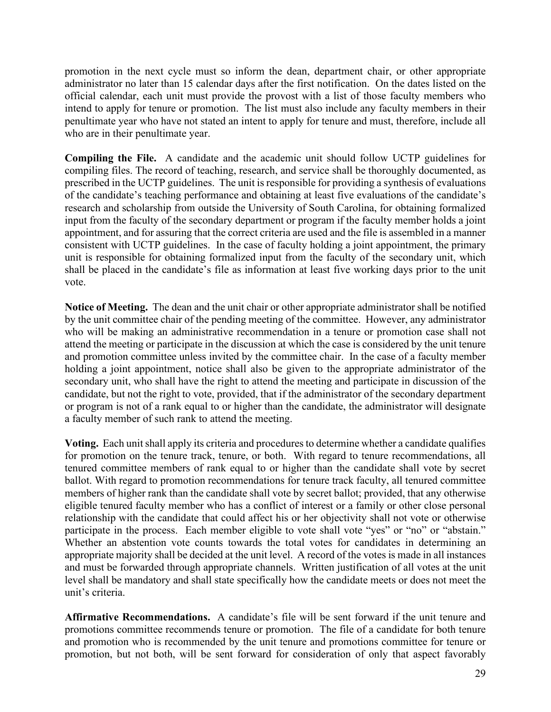promotion in the next cycle must so inform the dean, department chair, or other appropriate administrator no later than 15 calendar days after the first notification. On the dates listed on the official calendar, each unit must provide the provost with a list of those faculty members who intend to apply for tenure or promotion. The list must also include any faculty members in their penultimate year who have not stated an intent to apply for tenure and must, therefore, include all who are in their penultimate year.

<span id="page-34-0"></span>**Compiling the File.** A candidate and the academic unit should follow UCTP guidelines for compiling files. The record of teaching, research, and service shall be thoroughly documented, as prescribed in the UCTP guidelines. The unit is responsible for providing a synthesis of evaluations of the candidate's teaching performance and obtaining at least five evaluations of the candidate's research and scholarship from outside the University of South Carolina, for obtaining formalized input from the faculty of the secondary department or program if the faculty member holds a joint appointment, and for assuring that the correct criteria are used and the file is assembled in a manner consistent with UCTP guidelines. In the case of faculty holding a joint appointment, the primary unit is responsible for obtaining formalized input from the faculty of the secondary unit, which shall be placed in the candidate's file as information at least five working days prior to the unit vote.

<span id="page-34-1"></span>**Notice of Meeting.** The dean and the unit chair or other appropriate administrator shall be notified by the unit committee chair of the pending meeting of the committee. However, any administrator who will be making an administrative recommendation in a tenure or promotion case shall not attend the meeting or participate in the discussion at which the case is considered by the unit tenure and promotion committee unless invited by the committee chair. In the case of a faculty member holding a joint appointment, notice shall also be given to the appropriate administrator of the secondary unit, who shall have the right to attend the meeting and participate in discussion of the candidate, but not the right to vote, provided, that if the administrator of the secondary department or program is not of a rank equal to or higher than the candidate, the administrator will designate a faculty member of such rank to attend the meeting.

<span id="page-34-2"></span>**Voting.** Each unit shall apply its criteria and procedures to determine whether a candidate qualifies for promotion on the tenure track, tenure, or both. With regard to tenure recommendations, all tenured committee members of rank equal to or higher than the candidate shall vote by secret ballot. With regard to promotion recommendations for tenure track faculty, all tenured committee members of higher rank than the candidate shall vote by secret ballot; provided, that any otherwise eligible tenured faculty member who has a conflict of interest or a family or other close personal relationship with the candidate that could affect his or her objectivity shall not vote or otherwise participate in the process. Each member eligible to vote shall vote "yes" or "no" or "abstain." Whether an abstention vote counts towards the total votes for candidates in determining an appropriate majority shall be decided at the unit level. A record of the votes is made in all instances and must be forwarded through appropriate channels. Written justification of all votes at the unit level shall be mandatory and shall state specifically how the candidate meets or does not meet the unit's criteria.

<span id="page-34-3"></span>**Affirmative Recommendations.** A candidate's file will be sent forward if the unit tenure and promotions committee recommends tenure or promotion. The file of a candidate for both tenure and promotion who is recommended by the unit tenure and promotions committee for tenure or promotion, but not both, will be sent forward for consideration of only that aspect favorably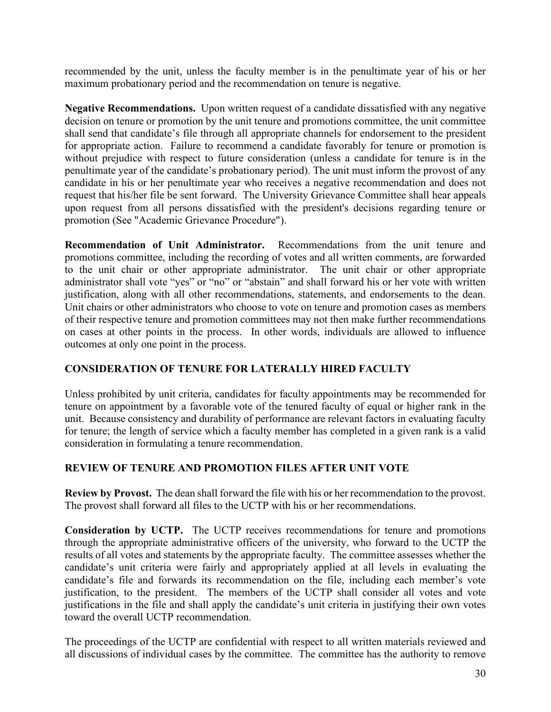recommended by the unit, unless the faculty member is in the penultimate year of his or her maximum probationary period and the recommendation on tenure is negative.

<span id="page-35-0"></span>**Negative Recommendations.** Upon written request of a candidate dissatisfied with any negative decision on tenure or promotion by the unit tenure and promotions committee, the unit committee shall send that candidate's file through all appropriate channels for endorsement to the president for appropriate action. Failure to recommend a candidate favorably for tenure or promotion is without prejudice with respect to future consideration (unless a candidate for tenure is in the penultimate year of the candidate's probationary period). The unit must inform the provost of any candidate in his or her penultimate year who receives a negative recommendation and does not request that his/her file be sent forward. The University Grievance Committee shall hear appeals upon request from all persons dissatisfied with the president's decisions regarding tenure or promotion (See "Academic Grievance Procedure").

<span id="page-35-1"></span>**Recommendation of Unit Administrator.** Recommendations from the unit tenure and promotions committee, including the recording of votes and all written comments, are forwarded to the unit chair or other appropriate administrator. The unit chair or other appropriate administrator shall vote "yes" or "no" or "abstain" and shall forward his or her vote with written justification, along with all other recommendations, statements, and endorsements to the dean. Unit chairs or other administrators who choose to vote on tenure and promotion cases as members of their respective tenure and promotion committees may not then make further recommendations on cases at other points in the process. In other words, individuals are allowed to influence outcomes at only one point in the process.

### <span id="page-35-2"></span>**CONSIDERATION OF TENURE FOR LATERALLY HIRED FACULTY**

Unless prohibited by unit criteria, candidates for faculty appointments may be recommended for tenure on appointment by a favorable vote of the tenured faculty of equal or higher rank in the unit. Because consistency and durability of performance are relevant factors in evaluating faculty for tenure; the length of service which a faculty member has completed in a given rank is a valid consideration in formulating a tenure recommendation.

### <span id="page-35-3"></span>**REVIEW OF TENURE AND PROMOTION FILES AFTER UNIT VOTE**

<span id="page-35-4"></span>**Review by Provost.** The dean shall forward the file with his or her recommendation to the provost. The provost shall forward all files to the UCTP with his or her recommendations.

<span id="page-35-5"></span>**Consideration by UCTP.** The UCTP receives recommendations for tenure and promotions through the appropriate administrative officers of the university, who forward to the UCTP the results of all votes and statements by the appropriate faculty. The committee assesses whether the candidate's unit criteria were fairly and appropriately applied at all levels in evaluating the candidate's file and forwards its recommendation on the file, including each member's vote justification, to the president. The members of the UCTP shall consider all votes and vote justifications in the file and shall apply the candidate's unit criteria in justifying their own votes toward the overall UCTP recommendation.

The proceedings of the UCTP are confidential with respect to all written materials reviewed and all discussions of individual cases by the committee. The committee has the authority to remove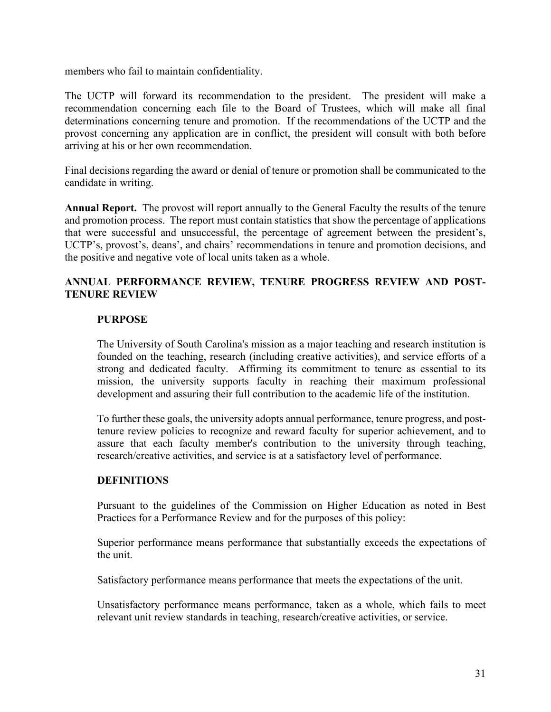members who fail to maintain confidentiality.

The UCTP will forward its recommendation to the president. The president will make a recommendation concerning each file to the Board of Trustees, which will make all final determinations concerning tenure and promotion. If the recommendations of the UCTP and the provost concerning any application are in conflict, the president will consult with both before arriving at his or her own recommendation.

Final decisions regarding the award or denial of tenure or promotion shall be communicated to the candidate in writing.

**Annual Report.** The provost will report annually to the General Faculty the results of the tenure and promotion process. The report must contain statistics that show the percentage of applications that were successful and unsuccessful, the percentage of agreement between the president's, UCTP's, provost's, deans', and chairs' recommendations in tenure and promotion decisions, and the positive and negative vote of local units taken as a whole.

## **ANNUAL PERFORMANCE REVIEW, TENURE PROGRESS REVIEW AND POST-TENURE REVIEW**

### **PURPOSE**

The University of South Carolina's mission as a major teaching and research institution is founded on the teaching, research (including creative activities), and service efforts of a strong and dedicated faculty. Affirming its commitment to tenure as essential to its mission, the university supports faculty in reaching their maximum professional development and assuring their full contribution to the academic life of the institution.

To further these goals, the university adopts annual performance, tenure progress, and posttenure review policies to recognize and reward faculty for superior achievement, and to assure that each faculty member's contribution to the university through teaching, research/creative activities, and service is at a satisfactory level of performance.

### **DEFINITIONS**

Pursuant to the guidelines of the Commission on Higher Education as noted in Best Practices for a Performance Review and for the purposes of this policy:

Superior performance means performance that substantially exceeds the expectations of the unit.

Satisfactory performance means performance that meets the expectations of the unit.

Unsatisfactory performance means performance, taken as a whole, which fails to meet relevant unit review standards in teaching, research/creative activities, or service.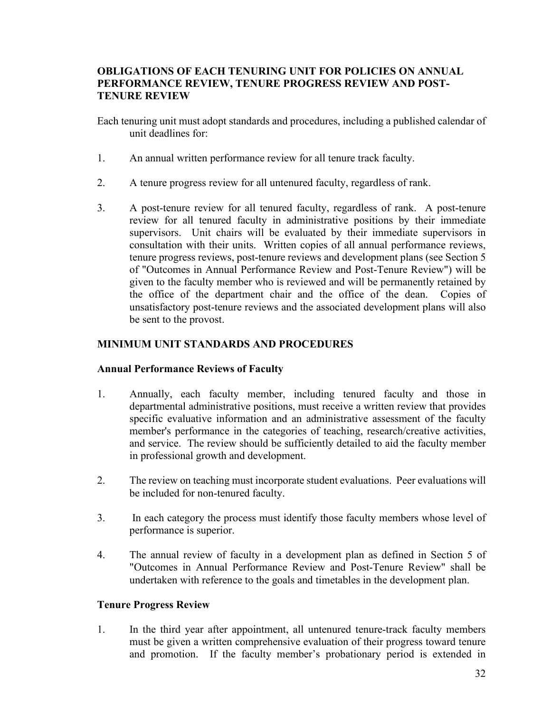## **OBLIGATIONS OF EACH TENURING UNIT FOR POLICIES ON ANNUAL PERFORMANCE REVIEW, TENURE PROGRESS REVIEW AND POST-TENURE REVIEW**

Each tenuring unit must adopt standards and procedures, including a published calendar of unit deadlines for:

- 1. An annual written performance review for all tenure track faculty.
- 2. A tenure progress review for all untenured faculty, regardless of rank.
- 3. A post-tenure review for all tenured faculty, regardless of rank. A post-tenure review for all tenured faculty in administrative positions by their immediate supervisors. Unit chairs will be evaluated by their immediate supervisors in consultation with their units. Written copies of all annual performance reviews, tenure progress reviews, post-tenure reviews and development plans (see Section 5 of "Outcomes in Annual Performance Review and Post-Tenure Review") will be given to the faculty member who is reviewed and will be permanently retained by the office of the department chair and the office of the dean. Copies of unsatisfactory post-tenure reviews and the associated development plans will also be sent to the provost.

## **MINIMUM UNIT STANDARDS AND PROCEDURES**

### **Annual Performance Reviews of Faculty**

- 1. Annually, each faculty member, including tenured faculty and those in departmental administrative positions, must receive a written review that provides specific evaluative information and an administrative assessment of the faculty member's performance in the categories of teaching, research/creative activities, and service. The review should be sufficiently detailed to aid the faculty member in professional growth and development.
- 2. The review on teaching must incorporate student evaluations. Peer evaluations will be included for non-tenured faculty.
- 3. In each category the process must identify those faculty members whose level of performance is superior.
- 4. The annual review of faculty in a development plan as defined in Section 5 of "Outcomes in Annual Performance Review and Post-Tenure Review" shall be undertaken with reference to the goals and timetables in the development plan.

## **Tenure Progress Review**

1. In the third year after appointment, all untenured tenure-track faculty members must be given a written comprehensive evaluation of their progress toward tenure and promotion. If the faculty member's probationary period is extended in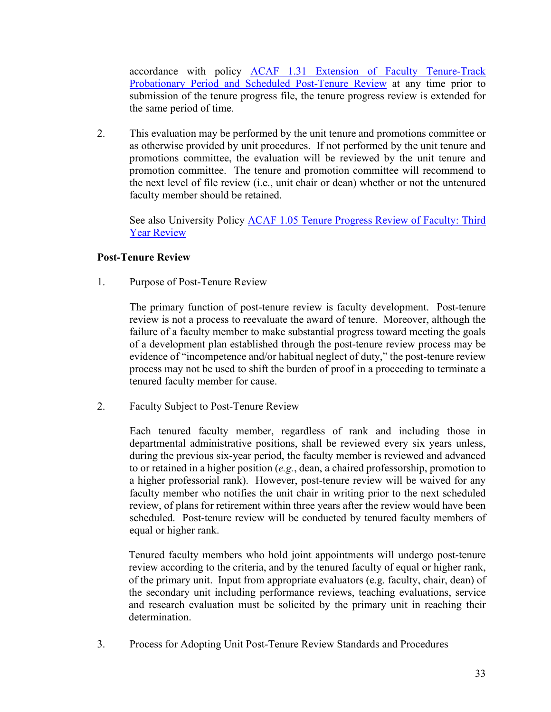accordance with policy [ACAF 1.31 Extension of Faculty Tenure-Track](http://www.sc.edu/policies/ppm/acaf131.pdf)  [Probationary Period and Scheduled Post-Tenure Review](http://www.sc.edu/policies/ppm/acaf131.pdf) at any time prior to submission of the tenure progress file, the tenure progress review is extended for the same period of time.

2. This evaluation may be performed by the unit tenure and promotions committee or as otherwise provided by unit procedures. If not performed by the unit tenure and promotions committee, the evaluation will be reviewed by the unit tenure and promotion committee. The tenure and promotion committee will recommend to the next level of file review (i.e., unit chair or dean) whether or not the untenured faculty member should be retained.

See also University Policy [ACAF 1.05 Tenure Progress Review of Faculty: Third](http://www.sc.edu/policies/acaf105.pdf)  [Year Review](http://www.sc.edu/policies/acaf105.pdf)

## **Post-Tenure Review**

1. Purpose of Post-Tenure Review

The primary function of post-tenure review is faculty development. Post-tenure review is not a process to reevaluate the award of tenure. Moreover, although the failure of a faculty member to make substantial progress toward meeting the goals of a development plan established through the post-tenure review process may be evidence of "incompetence and/or habitual neglect of duty," the post-tenure review process may not be used to shift the burden of proof in a proceeding to terminate a tenured faculty member for cause.

2. Faculty Subject to Post-Tenure Review

Each tenured faculty member, regardless of rank and including those in departmental administrative positions, shall be reviewed every six years unless, during the previous six-year period, the faculty member is reviewed and advanced to or retained in a higher position (*e.g.*, dean, a chaired professorship, promotion to a higher professorial rank). However, post-tenure review will be waived for any faculty member who notifies the unit chair in writing prior to the next scheduled review, of plans for retirement within three years after the review would have been scheduled. Post-tenure review will be conducted by tenured faculty members of equal or higher rank.

Tenured faculty members who hold joint appointments will undergo post-tenure review according to the criteria, and by the tenured faculty of equal or higher rank, of the primary unit. Input from appropriate evaluators (e.g. faculty, chair, dean) of the secondary unit including performance reviews, teaching evaluations, service and research evaluation must be solicited by the primary unit in reaching their determination.

3. Process for Adopting Unit Post-Tenure Review Standards and Procedures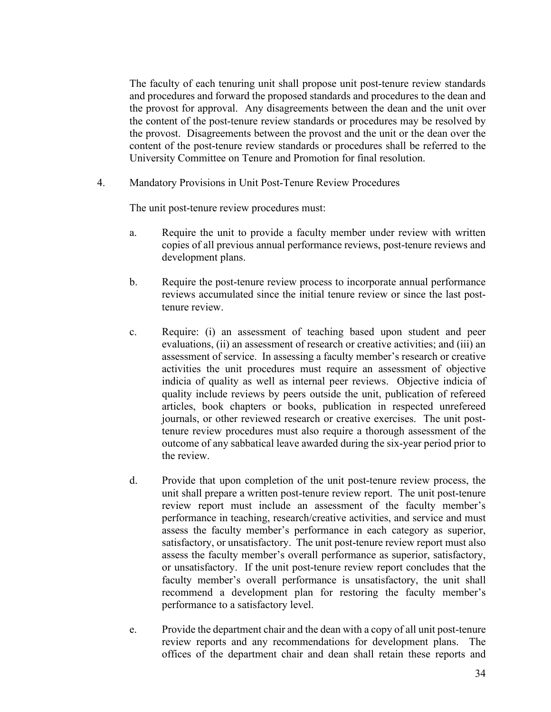The faculty of each tenuring unit shall propose unit post-tenure review standards and procedures and forward the proposed standards and procedures to the dean and the provost for approval. Any disagreements between the dean and the unit over the content of the post-tenure review standards or procedures may be resolved by the provost. Disagreements between the provost and the unit or the dean over the content of the post-tenure review standards or procedures shall be referred to the University Committee on Tenure and Promotion for final resolution.

4. Mandatory Provisions in Unit Post-Tenure Review Procedures

The unit post-tenure review procedures must:

- a. Require the unit to provide a faculty member under review with written copies of all previous annual performance reviews, post-tenure reviews and development plans.
- b. Require the post-tenure review process to incorporate annual performance reviews accumulated since the initial tenure review or since the last posttenure review.
- c. Require: (i) an assessment of teaching based upon student and peer evaluations, (ii) an assessment of research or creative activities; and (iii) an assessment of service. In assessing a faculty member's research or creative activities the unit procedures must require an assessment of objective indicia of quality as well as internal peer reviews. Objective indicia of quality include reviews by peers outside the unit, publication of refereed articles, book chapters or books, publication in respected unrefereed journals, or other reviewed research or creative exercises. The unit posttenure review procedures must also require a thorough assessment of the outcome of any sabbatical leave awarded during the six-year period prior to the review.
- d. Provide that upon completion of the unit post-tenure review process, the unit shall prepare a written post-tenure review report. The unit post-tenure review report must include an assessment of the faculty member's performance in teaching, research/creative activities, and service and must assess the faculty member's performance in each category as superior, satisfactory, or unsatisfactory. The unit post-tenure review report must also assess the faculty member's overall performance as superior, satisfactory, or unsatisfactory. If the unit post-tenure review report concludes that the faculty member's overall performance is unsatisfactory, the unit shall recommend a development plan for restoring the faculty member's performance to a satisfactory level.
- e. Provide the department chair and the dean with a copy of all unit post-tenure review reports and any recommendations for development plans. The offices of the department chair and dean shall retain these reports and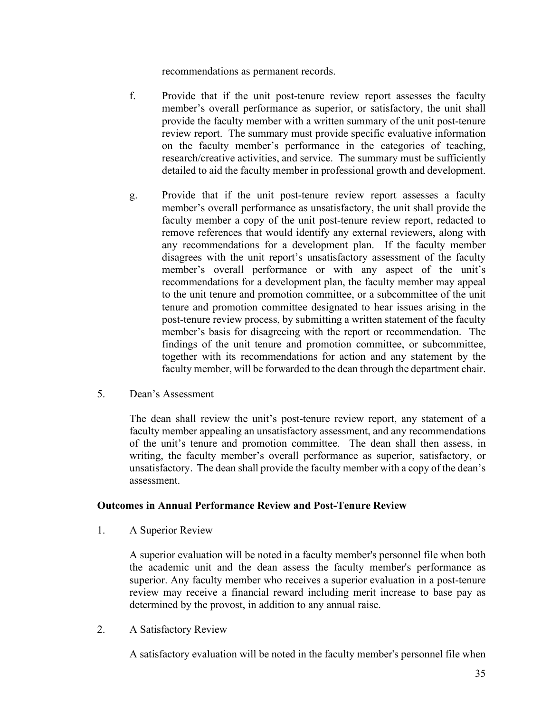recommendations as permanent records.

- f. Provide that if the unit post-tenure review report assesses the faculty member's overall performance as superior, or satisfactory, the unit shall provide the faculty member with a written summary of the unit post-tenure review report. The summary must provide specific evaluative information on the faculty member's performance in the categories of teaching, research/creative activities, and service. The summary must be sufficiently detailed to aid the faculty member in professional growth and development.
- g. Provide that if the unit post-tenure review report assesses a faculty member's overall performance as unsatisfactory, the unit shall provide the faculty member a copy of the unit post-tenure review report, redacted to remove references that would identify any external reviewers, along with any recommendations for a development plan. If the faculty member disagrees with the unit report's unsatisfactory assessment of the faculty member's overall performance or with any aspect of the unit's recommendations for a development plan, the faculty member may appeal to the unit tenure and promotion committee, or a subcommittee of the unit tenure and promotion committee designated to hear issues arising in the post-tenure review process, by submitting a written statement of the faculty member's basis for disagreeing with the report or recommendation. The findings of the unit tenure and promotion committee, or subcommittee, together with its recommendations for action and any statement by the faculty member, will be forwarded to the dean through the department chair.
- 5. Dean's Assessment

The dean shall review the unit's post-tenure review report, any statement of a faculty member appealing an unsatisfactory assessment, and any recommendations of the unit's tenure and promotion committee. The dean shall then assess, in writing, the faculty member's overall performance as superior, satisfactory, or unsatisfactory. The dean shall provide the faculty member with a copy of the dean's assessment.

### **Outcomes in Annual Performance Review and Post-Tenure Review**

1. A Superior Review

A superior evaluation will be noted in a faculty member's personnel file when both the academic unit and the dean assess the faculty member's performance as superior. Any faculty member who receives a superior evaluation in a post-tenure review may receive a financial reward including merit increase to base pay as determined by the provost, in addition to any annual raise.

2. A Satisfactory Review

A satisfactory evaluation will be noted in the faculty member's personnel file when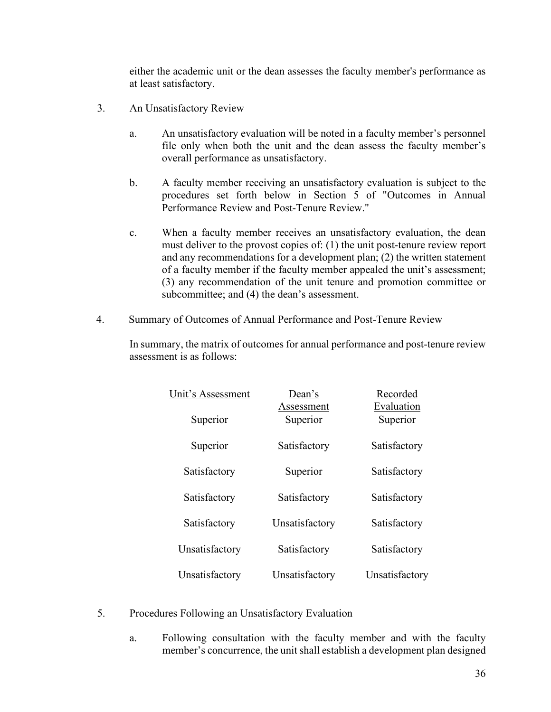either the academic unit or the dean assesses the faculty member's performance as at least satisfactory.

- 3. An Unsatisfactory Review
	- a. An unsatisfactory evaluation will be noted in a faculty member's personnel file only when both the unit and the dean assess the faculty member's overall performance as unsatisfactory.
	- b. A faculty member receiving an unsatisfactory evaluation is subject to the procedures set forth below in Section 5 of "Outcomes in Annual Performance Review and Post-Tenure Review."
	- c. When a faculty member receives an unsatisfactory evaluation, the dean must deliver to the provost copies of: (1) the unit post-tenure review report and any recommendations for a development plan; (2) the written statement of a faculty member if the faculty member appealed the unit's assessment; (3) any recommendation of the unit tenure and promotion committee or subcommittee; and (4) the dean's assessment.
- 4. Summary of Outcomes of Annual Performance and Post-Tenure Review

In summary, the matrix of outcomes for annual performance and post-tenure review assessment is as follows:

| Unit's Assessment | Dean's<br>Assessment | Recorded<br>Evaluation |
|-------------------|----------------------|------------------------|
| Superior          | Superior             | Superior               |
| Superior          | Satisfactory         | Satisfactory           |
| Satisfactory      | Superior             | Satisfactory           |
| Satisfactory      | Satisfactory         | Satisfactory           |
| Satisfactory      | Unsatisfactory       | Satisfactory           |
| Unsatisfactory    | Satisfactory         | Satisfactory           |
| Unsatisfactory    | Unsatisfactory       | Unsatisfactory         |

- 5. Procedures Following an Unsatisfactory Evaluation
	- a. Following consultation with the faculty member and with the faculty member's concurrence, the unit shall establish a development plan designed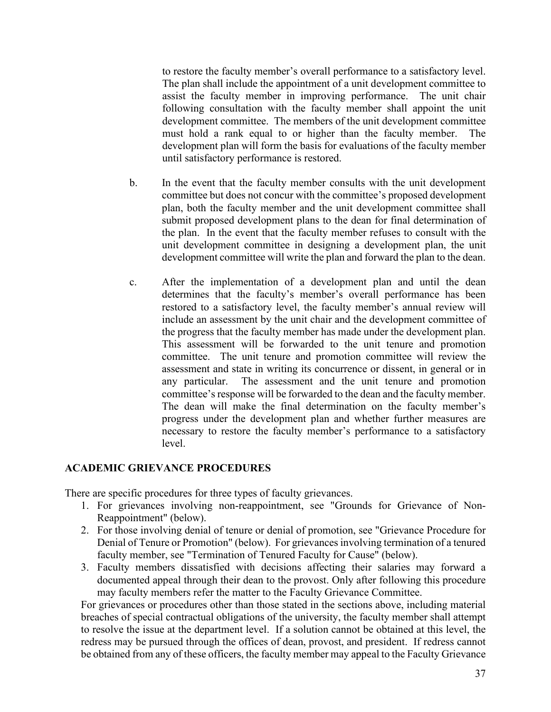to restore the faculty member's overall performance to a satisfactory level. The plan shall include the appointment of a unit development committee to assist the faculty member in improving performance. The unit chair following consultation with the faculty member shall appoint the unit development committee. The members of the unit development committee must hold a rank equal to or higher than the faculty member. The development plan will form the basis for evaluations of the faculty member until satisfactory performance is restored.

- b. In the event that the faculty member consults with the unit development committee but does not concur with the committee's proposed development plan, both the faculty member and the unit development committee shall submit proposed development plans to the dean for final determination of the plan. In the event that the faculty member refuses to consult with the unit development committee in designing a development plan, the unit development committee will write the plan and forward the plan to the dean.
- c. After the implementation of a development plan and until the dean determines that the faculty's member's overall performance has been restored to a satisfactory level, the faculty member's annual review will include an assessment by the unit chair and the development committee of the progress that the faculty member has made under the development plan. This assessment will be forwarded to the unit tenure and promotion committee. The unit tenure and promotion committee will review the assessment and state in writing its concurrence or dissent, in general or in any particular. The assessment and the unit tenure and promotion committee's response will be forwarded to the dean and the faculty member. The dean will make the final determination on the faculty member's progress under the development plan and whether further measures are necessary to restore the faculty member's performance to a satisfactory level.

### **ACADEMIC GRIEVANCE PROCEDURES**

There are specific procedures for three types of faculty grievances.

- 1. For grievances involving non-reappointment, see "Grounds for Grievance of Non-Reappointment" (below).
- 2. For those involving denial of tenure or denial of promotion, see "Grievance Procedure for Denial of Tenure or Promotion" (below). For grievances involving termination of a tenured faculty member, see "Termination of Tenured Faculty for Cause" (below).
- 3. Faculty members dissatisfied with decisions affecting their salaries may forward a documented appeal through their dean to the provost. Only after following this procedure may faculty members refer the matter to the Faculty Grievance Committee.

For grievances or procedures other than those stated in the sections above, including material breaches of special contractual obligations of the university, the faculty member shall attempt to resolve the issue at the department level. If a solution cannot be obtained at this level, the redress may be pursued through the offices of dean, provost, and president. If redress cannot be obtained from any of these officers, the faculty member may appeal to the Faculty Grievance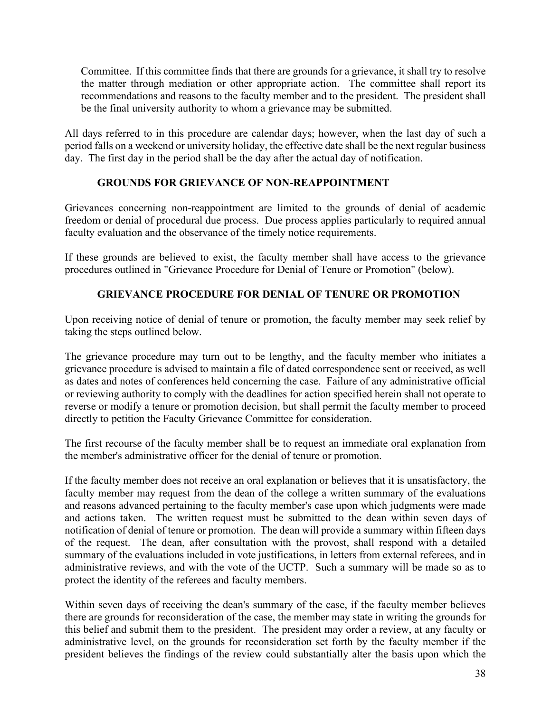Committee. If this committee finds that there are grounds for a grievance, it shall try to resolve the matter through mediation or other appropriate action. The committee shall report its recommendations and reasons to the faculty member and to the president. The president shall be the final university authority to whom a grievance may be submitted.

All days referred to in this procedure are calendar days; however, when the last day of such a period falls on a weekend or university holiday, the effective date shall be the next regular business day. The first day in the period shall be the day after the actual day of notification.

## **GROUNDS FOR GRIEVANCE OF NON-REAPPOINTMENT**

Grievances concerning non-reappointment are limited to the grounds of denial of academic freedom or denial of procedural due process. Due process applies particularly to required annual faculty evaluation and the observance of the timely notice requirements.

If these grounds are believed to exist, the faculty member shall have access to the grievance procedures outlined in "Grievance Procedure for Denial of Tenure or Promotion" (below).

# **GRIEVANCE PROCEDURE FOR DENIAL OF TENURE OR PROMOTION**

Upon receiving notice of denial of tenure or promotion, the faculty member may seek relief by taking the steps outlined below.

The grievance procedure may turn out to be lengthy, and the faculty member who initiates a grievance procedure is advised to maintain a file of dated correspondence sent or received, as well as dates and notes of conferences held concerning the case. Failure of any administrative official or reviewing authority to comply with the deadlines for action specified herein shall not operate to reverse or modify a tenure or promotion decision, but shall permit the faculty member to proceed directly to petition the Faculty Grievance Committee for consideration.

The first recourse of the faculty member shall be to request an immediate oral explanation from the member's administrative officer for the denial of tenure or promotion.

If the faculty member does not receive an oral explanation or believes that it is unsatisfactory, the faculty member may request from the dean of the college a written summary of the evaluations and reasons advanced pertaining to the faculty member's case upon which judgments were made and actions taken. The written request must be submitted to the dean within seven days of notification of denial of tenure or promotion. The dean will provide a summary within fifteen days of the request. The dean, after consultation with the provost, shall respond with a detailed summary of the evaluations included in vote justifications, in letters from external referees, and in administrative reviews, and with the vote of the UCTP. Such a summary will be made so as to protect the identity of the referees and faculty members.

Within seven days of receiving the dean's summary of the case, if the faculty member believes there are grounds for reconsideration of the case, the member may state in writing the grounds for this belief and submit them to the president. The president may order a review, at any faculty or administrative level, on the grounds for reconsideration set forth by the faculty member if the president believes the findings of the review could substantially alter the basis upon which the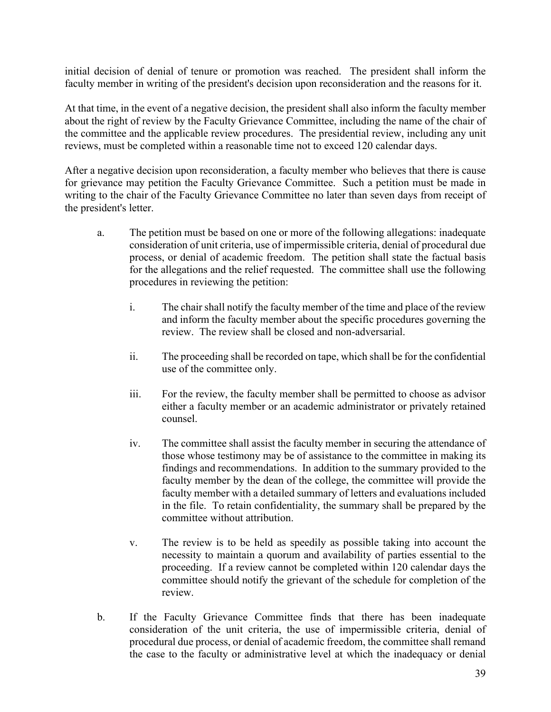initial decision of denial of tenure or promotion was reached. The president shall inform the faculty member in writing of the president's decision upon reconsideration and the reasons for it.

At that time, in the event of a negative decision, the president shall also inform the faculty member about the right of review by the Faculty Grievance Committee, including the name of the chair of the committee and the applicable review procedures. The presidential review, including any unit reviews, must be completed within a reasonable time not to exceed 120 calendar days.

After a negative decision upon reconsideration, a faculty member who believes that there is cause for grievance may petition the Faculty Grievance Committee. Such a petition must be made in writing to the chair of the Faculty Grievance Committee no later than seven days from receipt of the president's letter.

- a. The petition must be based on one or more of the following allegations: inadequate consideration of unit criteria, use of impermissible criteria, denial of procedural due process, or denial of academic freedom. The petition shall state the factual basis for the allegations and the relief requested. The committee shall use the following procedures in reviewing the petition:
	- i. The chair shall notify the faculty member of the time and place of the review and inform the faculty member about the specific procedures governing the review. The review shall be closed and non-adversarial.
	- ii. The proceeding shall be recorded on tape, which shall be for the confidential use of the committee only.
	- iii. For the review, the faculty member shall be permitted to choose as advisor either a faculty member or an academic administrator or privately retained counsel.
	- iv. The committee shall assist the faculty member in securing the attendance of those whose testimony may be of assistance to the committee in making its findings and recommendations. In addition to the summary provided to the faculty member by the dean of the college, the committee will provide the faculty member with a detailed summary of letters and evaluations included in the file. To retain confidentiality, the summary shall be prepared by the committee without attribution.
	- v. The review is to be held as speedily as possible taking into account the necessity to maintain a quorum and availability of parties essential to the proceeding. If a review cannot be completed within 120 calendar days the committee should notify the grievant of the schedule for completion of the review.
- b. If the Faculty Grievance Committee finds that there has been inadequate consideration of the unit criteria, the use of impermissible criteria, denial of procedural due process, or denial of academic freedom, the committee shall remand the case to the faculty or administrative level at which the inadequacy or denial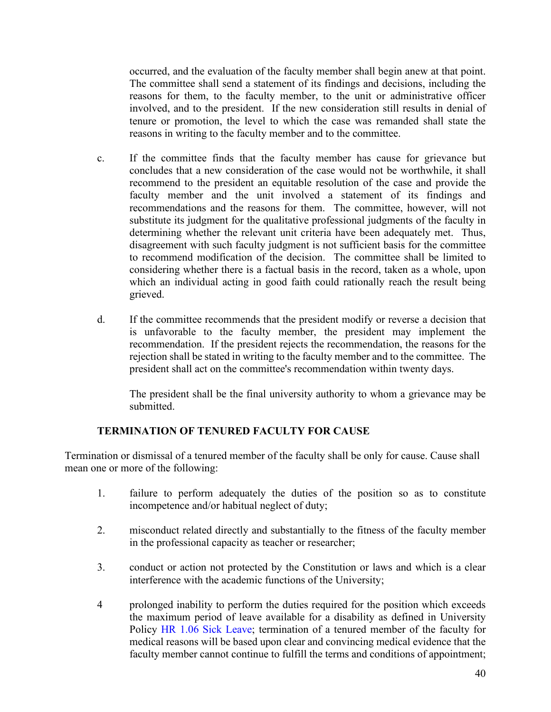occurred, and the evaluation of the faculty member shall begin anew at that point. The committee shall send a statement of its findings and decisions, including the reasons for them, to the faculty member, to the unit or administrative officer involved, and to the president. If the new consideration still results in denial of tenure or promotion, the level to which the case was remanded shall state the reasons in writing to the faculty member and to the committee.

- c. If the committee finds that the faculty member has cause for grievance but concludes that a new consideration of the case would not be worthwhile, it shall recommend to the president an equitable resolution of the case and provide the faculty member and the unit involved a statement of its findings and recommendations and the reasons for them. The committee, however, will not substitute its judgment for the qualitative professional judgments of the faculty in determining whether the relevant unit criteria have been adequately met. Thus, disagreement with such faculty judgment is not sufficient basis for the committee to recommend modification of the decision. The committee shall be limited to considering whether there is a factual basis in the record, taken as a whole, upon which an individual acting in good faith could rationally reach the result being grieved.
- d. If the committee recommends that the president modify or reverse a decision that is unfavorable to the faculty member, the president may implement the recommendation. If the president rejects the recommendation, the reasons for the rejection shall be stated in writing to the faculty member and to the committee. The president shall act on the committee's recommendation within twenty days.

The president shall be the final university authority to whom a grievance may be submitted.

# **TERMINATION OF TENURED FACULTY FOR CAUSE**

Termination or dismissal of a tenured member of the faculty shall be only for cause. Cause shall mean one or more of the following:

- 1. failure to perform adequately the duties of the position so as to constitute incompetence and/or habitual neglect of duty;
- 2. misconduct related directly and substantially to the fitness of the faculty member in the professional capacity as teacher or researcher;
- 3. conduct or action not protected by the Constitution or laws and which is a clear interference with the academic functions of the University;
- 4 prolonged inability to perform the duties required for the position which exceeds the maximum period of leave available for a disability as defined in University Policy HR [1.06 Sick Leave;](http://www.sc.edu/policies/hr106.pdf) termination of a tenured member of the faculty for medical reasons will be based upon clear and convincing medical evidence that the faculty member cannot continue to fulfill the terms and conditions of appointment;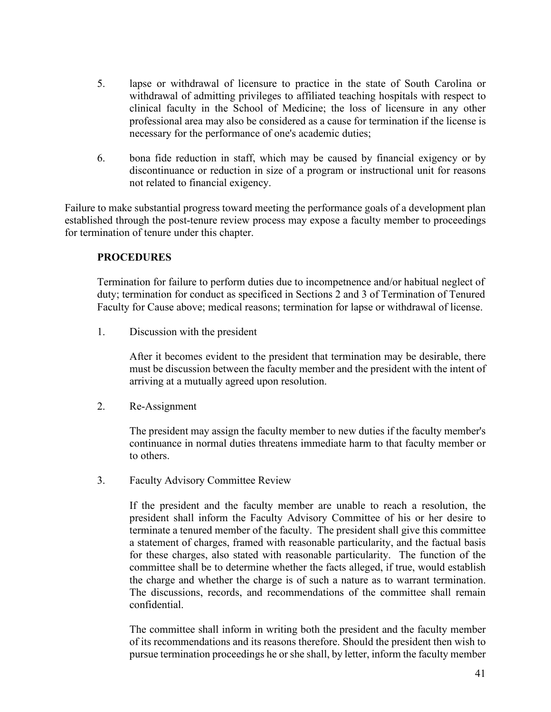- 5. lapse or withdrawal of licensure to practice in the state of South Carolina or withdrawal of admitting privileges to affiliated teaching hospitals with respect to clinical faculty in the School of Medicine; the loss of licensure in any other professional area may also be considered as a cause for termination if the license is necessary for the performance of one's academic duties;
- 6. bona fide reduction in staff, which may be caused by financial exigency or by discontinuance or reduction in size of a program or instructional unit for reasons not related to financial exigency.

Failure to make substantial progress toward meeting the performance goals of a development plan established through the post-tenure review process may expose a faculty member to proceedings for termination of tenure under this chapter.

## **PROCEDURES**

Termination for failure to perform duties due to incompetnence and/or habitual neglect of duty; termination for conduct as specificed in Sections 2 and 3 of Termination of Tenured Faculty for Cause above; medical reasons; termination for lapse or withdrawal of license.

1. Discussion with the president

After it becomes evident to the president that termination may be desirable, there must be discussion between the faculty member and the president with the intent of arriving at a mutually agreed upon resolution.

2. Re-Assignment

The president may assign the faculty member to new duties if the faculty member's continuance in normal duties threatens immediate harm to that faculty member or to others.

3. Faculty Advisory Committee Review

If the president and the faculty member are unable to reach a resolution, the president shall inform the Faculty Advisory Committee of his or her desire to terminate a tenured member of the faculty. The president shall give this committee a statement of charges, framed with reasonable particularity, and the factual basis for these charges, also stated with reasonable particularity. The function of the committee shall be to determine whether the facts alleged, if true, would establish the charge and whether the charge is of such a nature as to warrant termination. The discussions, records, and recommendations of the committee shall remain confidential.

The committee shall inform in writing both the president and the faculty member of its recommendations and its reasons therefore. Should the president then wish to pursue termination proceedings he or she shall, by letter, inform the faculty member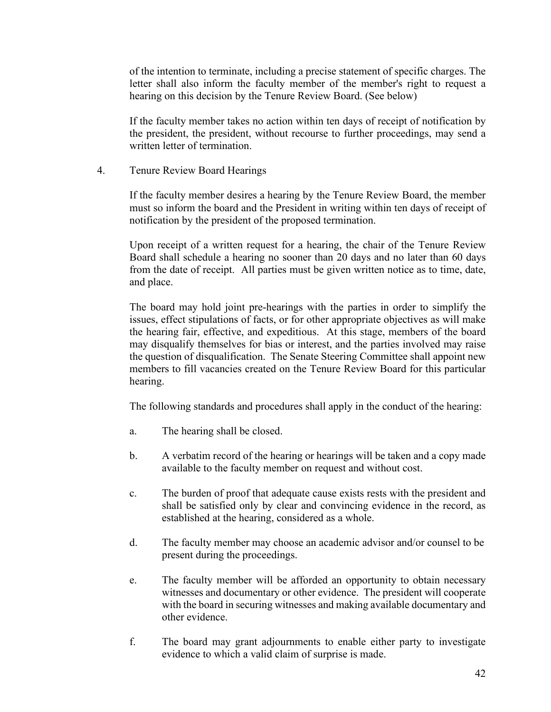of the intention to terminate, including a precise statement of specific charges. The letter shall also inform the faculty member of the member's right to request a hearing on this decision by the Tenure Review Board. (See below)

If the faculty member takes no action within ten days of receipt of notification by the president, the president, without recourse to further proceedings, may send a written letter of termination.

4. Tenure Review Board Hearings

If the faculty member desires a hearing by the Tenure Review Board, the member must so inform the board and the President in writing within ten days of receipt of notification by the president of the proposed termination.

Upon receipt of a written request for a hearing, the chair of the Tenure Review Board shall schedule a hearing no sooner than 20 days and no later than 60 days from the date of receipt. All parties must be given written notice as to time, date, and place.

The board may hold joint pre-hearings with the parties in order to simplify the issues, effect stipulations of facts, or for other appropriate objectives as will make the hearing fair, effective, and expeditious. At this stage, members of the board may disqualify themselves for bias or interest, and the parties involved may raise the question of disqualification. The Senate Steering Committee shall appoint new members to fill vacancies created on the Tenure Review Board for this particular hearing.

The following standards and procedures shall apply in the conduct of the hearing:

- a. The hearing shall be closed.
- b. A verbatim record of the hearing or hearings will be taken and a copy made available to the faculty member on request and without cost.
- c. The burden of proof that adequate cause exists rests with the president and shall be satisfied only by clear and convincing evidence in the record, as established at the hearing, considered as a whole.
- d. The faculty member may choose an academic advisor and/or counsel to be present during the proceedings.
- e. The faculty member will be afforded an opportunity to obtain necessary witnesses and documentary or other evidence. The president will cooperate with the board in securing witnesses and making available documentary and other evidence.
- f. The board may grant adjournments to enable either party to investigate evidence to which a valid claim of surprise is made.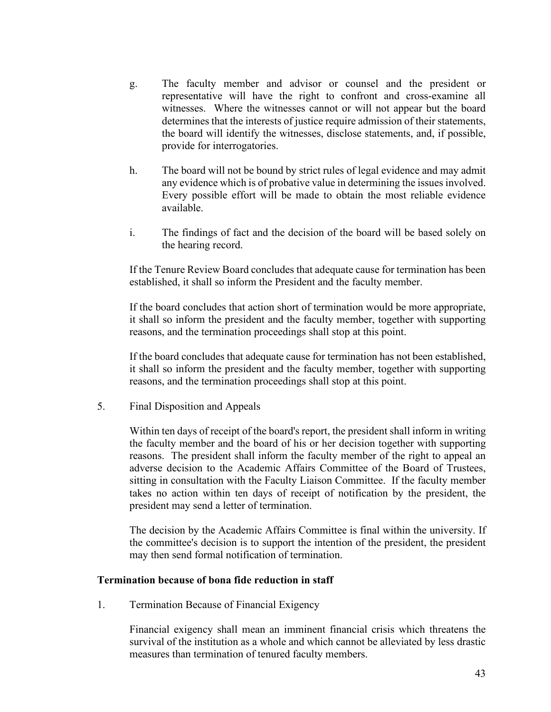- g. The faculty member and advisor or counsel and the president or representative will have the right to confront and cross-examine all witnesses. Where the witnesses cannot or will not appear but the board determines that the interests of justice require admission of their statements, the board will identify the witnesses, disclose statements, and, if possible, provide for interrogatories.
- h. The board will not be bound by strict rules of legal evidence and may admit any evidence which is of probative value in determining the issues involved. Every possible effort will be made to obtain the most reliable evidence available.
- i. The findings of fact and the decision of the board will be based solely on the hearing record.

If the Tenure Review Board concludes that adequate cause for termination has been established, it shall so inform the President and the faculty member.

If the board concludes that action short of termination would be more appropriate, it shall so inform the president and the faculty member, together with supporting reasons, and the termination proceedings shall stop at this point.

If the board concludes that adequate cause for termination has not been established, it shall so inform the president and the faculty member, together with supporting reasons, and the termination proceedings shall stop at this point.

5. Final Disposition and Appeals

Within ten days of receipt of the board's report, the president shall inform in writing the faculty member and the board of his or her decision together with supporting reasons. The president shall inform the faculty member of the right to appeal an adverse decision to the Academic Affairs Committee of the Board of Trustees, sitting in consultation with the Faculty Liaison Committee. If the faculty member takes no action within ten days of receipt of notification by the president, the president may send a letter of termination.

The decision by the Academic Affairs Committee is final within the university. If the committee's decision is to support the intention of the president, the president may then send formal notification of termination.

### **Termination because of bona fide reduction in staff**

1. Termination Because of Financial Exigency

Financial exigency shall mean an imminent financial crisis which threatens the survival of the institution as a whole and which cannot be alleviated by less drastic measures than termination of tenured faculty members.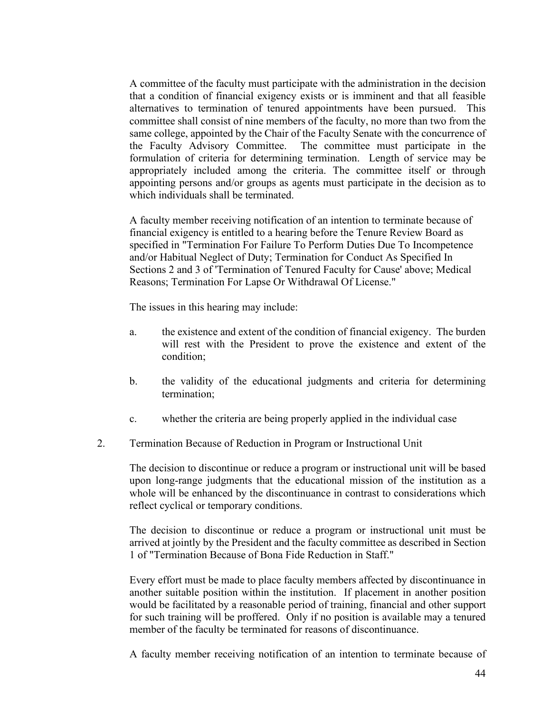A committee of the faculty must participate with the administration in the decision that a condition of financial exigency exists or is imminent and that all feasible alternatives to termination of tenured appointments have been pursued. This committee shall consist of nine members of the faculty, no more than two from the same college, appointed by the Chair of the Faculty Senate with the concurrence of the Faculty Advisory Committee. The committee must participate in the formulation of criteria for determining termination. Length of service may be appropriately included among the criteria. The committee itself or through appointing persons and/or groups as agents must participate in the decision as to which individuals shall be terminated.

A faculty member receiving notification of an intention to terminate because of financial exigency is entitled to a hearing before the Tenure Review Board as specified in "Termination For Failure To Perform Duties Due To Incompetence and/or Habitual Neglect of Duty; Termination for Conduct As Specified In Sections 2 and 3 of 'Termination of Tenured Faculty for Cause' above; Medical Reasons; Termination For Lapse Or Withdrawal Of License."

The issues in this hearing may include:

- a. the existence and extent of the condition of financial exigency. The burden will rest with the President to prove the existence and extent of the condition;
- b. the validity of the educational judgments and criteria for determining termination;
- c. whether the criteria are being properly applied in the individual case
- 2. Termination Because of Reduction in Program or Instructional Unit

The decision to discontinue or reduce a program or instructional unit will be based upon long-range judgments that the educational mission of the institution as a whole will be enhanced by the discontinuance in contrast to considerations which reflect cyclical or temporary conditions.

The decision to discontinue or reduce a program or instructional unit must be arrived at jointly by the President and the faculty committee as described in Section 1 of "Termination Because of Bona Fide Reduction in Staff."

Every effort must be made to place faculty members affected by discontinuance in another suitable position within the institution. If placement in another position would be facilitated by a reasonable period of training, financial and other support for such training will be proffered. Only if no position is available may a tenured member of the faculty be terminated for reasons of discontinuance.

A faculty member receiving notification of an intention to terminate because of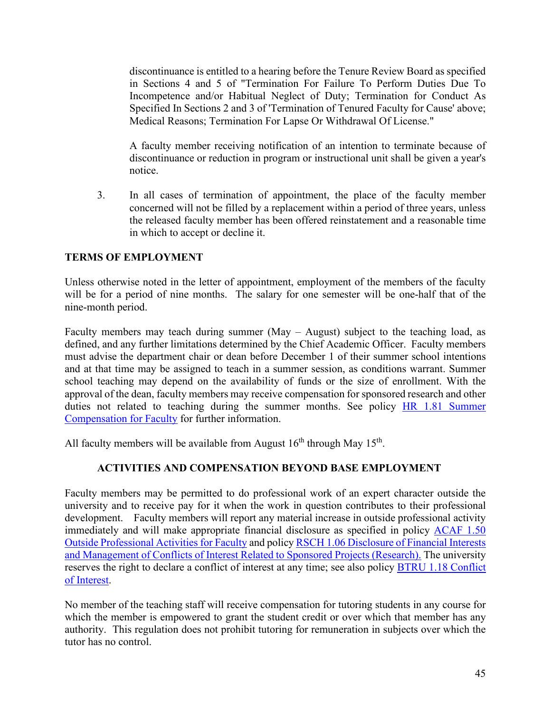discontinuance is entitled to a hearing before the Tenure Review Board as specified in Sections 4 and 5 of "Termination For Failure To Perform Duties Due To Incompetence and/or Habitual Neglect of Duty; Termination for Conduct As Specified In Sections 2 and 3 of 'Termination of Tenured Faculty for Cause' above; Medical Reasons; Termination For Lapse Or Withdrawal Of License."

A faculty member receiving notification of an intention to terminate because of discontinuance or reduction in program or instructional unit shall be given a year's notice.

3. In all cases of termination of appointment, the place of the faculty member concerned will not be filled by a replacement within a period of three years, unless the released faculty member has been offered reinstatement and a reasonable time in which to accept or decline it.

## **TERMS OF EMPLOYMENT**

Unless otherwise noted in the letter of appointment, employment of the members of the faculty will be for a period of nine months. The salary for one semester will be one-half that of the nine-month period.

Faculty members may teach during summer (May – August) subject to the teaching load, as defined, and any further limitations determined by the Chief Academic Officer. Faculty members must advise the department chair or dean before December 1 of their summer school intentions and at that time may be assigned to teach in a summer session, as conditions warrant. Summer school teaching may depend on the availability of funds or the size of enrollment. With the approval of the dean, faculty members may receive compensation for sponsored research and other duties not related to teaching during the summer months. See policy [HR 1.81 Summer](https://www.sc.edu/policies/ppm/hr181.pdf)  [Compensation for Faculty](https://www.sc.edu/policies/ppm/hr181.pdf) for further information.

All faculty members will be available from August  $16<sup>th</sup>$  through May  $15<sup>th</sup>$ .

## **ACTIVITIES AND COMPENSATION BEYOND BASE EMPLOYMENT**

Faculty members may be permitted to do professional work of an expert character outside the university and to receive pay for it when the work in question contributes to their professional development. Faculty members will report any material increase in outside professional activity immediately and will make appropriate financial disclosure as specified in policy [ACAF 1.50](https://www.sc.edu/policies/ppm/acaf150.pdf)  [Outside Professional Activities for Faculty](https://www.sc.edu/policies/ppm/acaf150.pdf) and policy [RSCH 1.06 Disclosure of Financial Interests](https://www.sc.edu/policies/ppm/rsch106.pdf)  [and Management of Conflicts of Interest Related to Sponsored Projects \(Research\).](https://www.sc.edu/policies/ppm/rsch106.pdf) The university reserves the right to declare a conflict of interest at any time; see also policy [BTRU 1.18 Conflict](https://www.sc.edu/policies/ppm/BTRU118.pdf)  [of Interest.](https://www.sc.edu/policies/ppm/BTRU118.pdf)

No member of the teaching staff will receive compensation for tutoring students in any course for which the member is empowered to grant the student credit or over which that member has any authority. This regulation does not prohibit tutoring for remuneration in subjects over which the tutor has no control.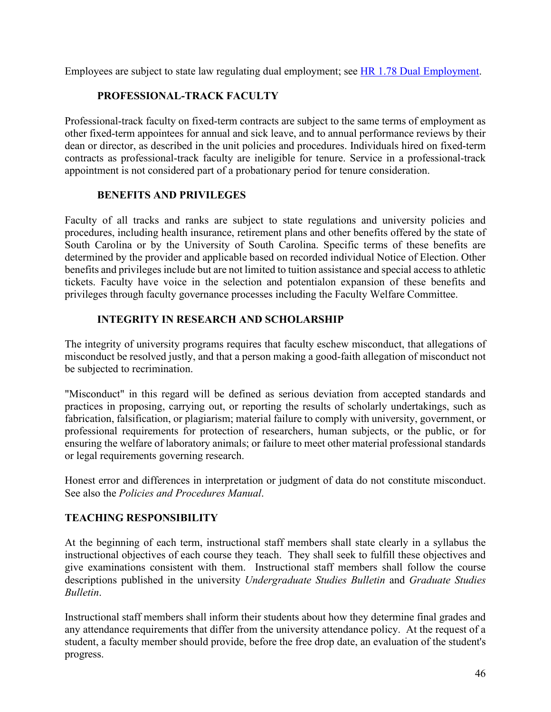Employees are subject to state law regulating dual employment; see [HR 1.78 Dual Employment.](https://www.sc.edu/policies/ppm/HR178.pdf)

# **PROFESSIONAL-TRACK FACULTY**

Professional-track faculty on fixed-term contracts are subject to the same terms of employment as other fixed-term appointees for annual and sick leave, and to annual performance reviews by their dean or director, as described in the unit policies and procedures. Individuals hired on fixed-term contracts as professional-track faculty are ineligible for tenure. Service in a professional-track appointment is not considered part of a probationary period for tenure consideration.

# **BENEFITS AND PRIVILEGES**

Faculty of all tracks and ranks are subject to state regulations and university policies and procedures, including health insurance, retirement plans and other benefits offered by the state of South Carolina or by the University of South Carolina. Specific terms of these benefits are determined by the provider and applicable based on recorded individual Notice of Election. Other benefits and privileges include but are not limited to tuition assistance and special access to athletic tickets. Faculty have voice in the selection and potentialon expansion of these benefits and privileges through faculty governance processes including the Faculty Welfare Committee.

# **INTEGRITY IN RESEARCH AND SCHOLARSHIP**

The integrity of university programs requires that faculty eschew misconduct, that allegations of misconduct be resolved justly, and that a person making a good-faith allegation of misconduct not be subjected to recrimination.

"Misconduct" in this regard will be defined as serious deviation from accepted standards and practices in proposing, carrying out, or reporting the results of scholarly undertakings, such as fabrication, falsification, or plagiarism; material failure to comply with university, government, or professional requirements for protection of researchers, human subjects, or the public, or for ensuring the welfare of laboratory animals; or failure to meet other material professional standards or legal requirements governing research.

Honest error and differences in interpretation or judgment of data do not constitute misconduct. See also the *Policies and Procedures Manual*.

# **TEACHING RESPONSIBILITY**

At the beginning of each term, instructional staff members shall state clearly in a syllabus the instructional objectives of each course they teach. They shall seek to fulfill these objectives and give examinations consistent with them. Instructional staff members shall follow the course descriptions published in the university *Undergraduate Studies Bulletin* and *Graduate Studies Bulletin*.

Instructional staff members shall inform their students about how they determine final grades and any attendance requirements that differ from the university attendance policy. At the request of a student, a faculty member should provide, before the free drop date, an evaluation of the student's progress.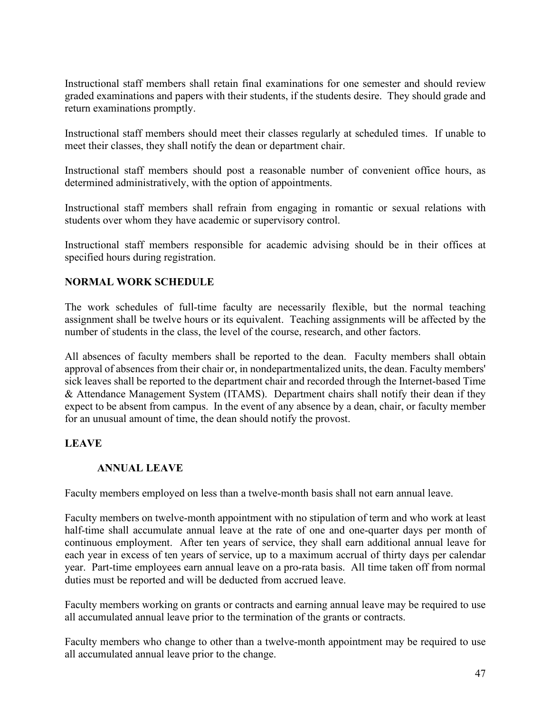Instructional staff members shall retain final examinations for one semester and should review graded examinations and papers with their students, if the students desire. They should grade and return examinations promptly.

Instructional staff members should meet their classes regularly at scheduled times. If unable to meet their classes, they shall notify the dean or department chair.

Instructional staff members should post a reasonable number of convenient office hours, as determined administratively, with the option of appointments.

Instructional staff members shall refrain from engaging in romantic or sexual relations with students over whom they have academic or supervisory control.

Instructional staff members responsible for academic advising should be in their offices at specified hours during registration.

## **NORMAL WORK SCHEDULE**

The work schedules of full-time faculty are necessarily flexible, but the normal teaching assignment shall be twelve hours or its equivalent. Teaching assignments will be affected by the number of students in the class, the level of the course, research, and other factors.

All absences of faculty members shall be reported to the dean. Faculty members shall obtain approval of absences from their chair or, in nondepartmentalized units, the dean. Faculty members' sick leaves shall be reported to the department chair and recorded through the Internet-based Time & Attendance Management System (ITAMS). Department chairs shall notify their dean if they expect to be absent from campus. In the event of any absence by a dean, chair, or faculty member for an unusual amount of time, the dean should notify the provost.

## **LEAVE**

### **ANNUAL LEAVE**

Faculty members employed on less than a twelve-month basis shall not earn annual leave.

Faculty members on twelve-month appointment with no stipulation of term and who work at least half-time shall accumulate annual leave at the rate of one and one-quarter days per month of continuous employment. After ten years of service, they shall earn additional annual leave for each year in excess of ten years of service, up to a maximum accrual of thirty days per calendar year. Part-time employees earn annual leave on a pro-rata basis. All time taken off from normal duties must be reported and will be deducted from accrued leave.

Faculty members working on grants or contracts and earning annual leave may be required to use all accumulated annual leave prior to the termination of the grants or contracts.

Faculty members who change to other than a twelve-month appointment may be required to use all accumulated annual leave prior to the change.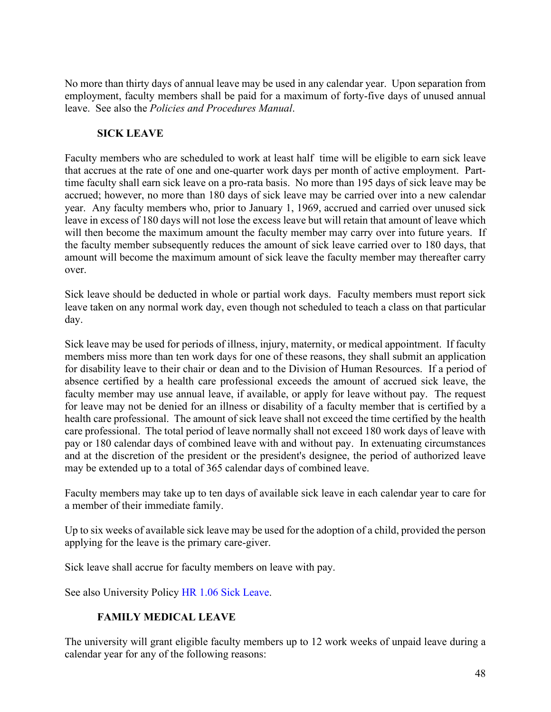No more than thirty days of annual leave may be used in any calendar year. Upon separation from employment, faculty members shall be paid for a maximum of forty-five days of unused annual leave. See also the *Policies and Procedures Manual*.

## **SICK LEAVE**

Faculty members who are scheduled to work at least half time will be eligible to earn sick leave that accrues at the rate of one and one-quarter work days per month of active employment. Parttime faculty shall earn sick leave on a pro-rata basis. No more than 195 days of sick leave may be accrued; however, no more than 180 days of sick leave may be carried over into a new calendar year. Any faculty members who, prior to January 1, 1969, accrued and carried over unused sick leave in excess of 180 days will not lose the excess leave but will retain that amount of leave which will then become the maximum amount the faculty member may carry over into future years. If the faculty member subsequently reduces the amount of sick leave carried over to 180 days, that amount will become the maximum amount of sick leave the faculty member may thereafter carry over.

Sick leave should be deducted in whole or partial work days. Faculty members must report sick leave taken on any normal work day, even though not scheduled to teach a class on that particular day.

Sick leave may be used for periods of illness, injury, maternity, or medical appointment. If faculty members miss more than ten work days for one of these reasons, they shall submit an application for disability leave to their chair or dean and to the Division of Human Resources. If a period of absence certified by a health care professional exceeds the amount of accrued sick leave, the faculty member may use annual leave, if available, or apply for leave without pay. The request for leave may not be denied for an illness or disability of a faculty member that is certified by a health care professional. The amount of sick leave shall not exceed the time certified by the health care professional. The total period of leave normally shall not exceed 180 work days of leave with pay or 180 calendar days of combined leave with and without pay. In extenuating circumstances and at the discretion of the president or the president's designee, the period of authorized leave may be extended up to a total of 365 calendar days of combined leave.

Faculty members may take up to ten days of available sick leave in each calendar year to care for a member of their immediate family.

Up to six weeks of available sick leave may be used for the adoption of a child, provided the person applying for the leave is the primary care-giver.

Sick leave shall accrue for faculty members on leave with pay.

See also University Policy [HR 1.06 Sick Leave.](http://www.sc.edu/policies/hr106.pdf)

# **FAMILY MEDICAL LEAVE**

The university will grant eligible faculty members up to 12 work weeks of unpaid leave during a calendar year for any of the following reasons: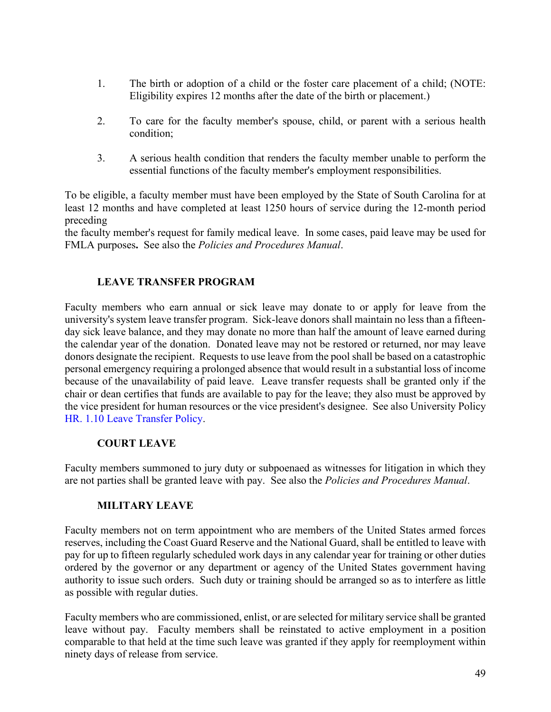- 1. The birth or adoption of a child or the foster care placement of a child; (NOTE: Eligibility expires 12 months after the date of the birth or placement.)
- 2. To care for the faculty member's spouse, child, or parent with a serious health condition;
- 3. A serious health condition that renders the faculty member unable to perform the essential functions of the faculty member's employment responsibilities.

To be eligible, a faculty member must have been employed by the State of South Carolina for at least 12 months and have completed at least 1250 hours of service during the 12-month period preceding

the faculty member's request for family medical leave. In some cases, paid leave may be used for FMLA purposes**.** See also the *Policies and Procedures Manual*.

# **LEAVE TRANSFER PROGRAM**

Faculty members who earn annual or sick leave may donate to or apply for leave from the university's system leave transfer program. Sick-leave donors shall maintain no less than a fifteenday sick leave balance, and they may donate no more than half the amount of leave earned during the calendar year of the donation. Donated leave may not be restored or returned, nor may leave donors designate the recipient. Requests to use leave from the pool shall be based on a catastrophic personal emergency requiring a prolonged absence that would result in a substantial loss of income because of the unavailability of paid leave. Leave transfer requests shall be granted only if the chair or dean certifies that funds are available to pay for the leave; they also must be approved by the vice president for human resources or the vice president's designee. See also University Policy [HR. 1.10 Leave Transfer Policy.](http://www.sc.edu/policies/hr110.pdf)

## **COURT LEAVE**

Faculty members summoned to jury duty or subpoenaed as witnesses for litigation in which they are not parties shall be granted leave with pay. See also the *Policies and Procedures Manual*.

## **MILITARY LEAVE**

Faculty members not on term appointment who are members of the United States armed forces reserves, including the Coast Guard Reserve and the National Guard, shall be entitled to leave with pay for up to fifteen regularly scheduled work days in any calendar year for training or other duties ordered by the governor or any department or agency of the United States government having authority to issue such orders. Such duty or training should be arranged so as to interfere as little as possible with regular duties.

Faculty members who are commissioned, enlist, or are selected for military service shall be granted leave without pay. Faculty members shall be reinstated to active employment in a position comparable to that held at the time such leave was granted if they apply for reemployment within ninety days of release from service.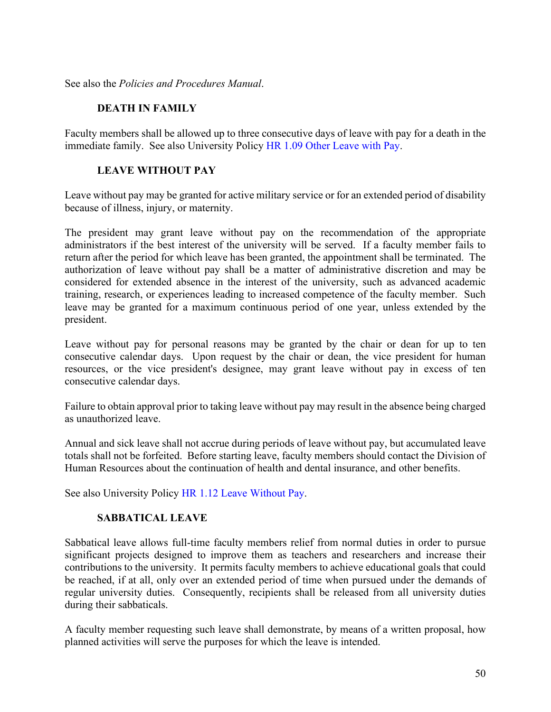See also the *Policies and Procedures Manual*.

### **DEATH IN FAMILY**

Faculty members shall be allowed up to three consecutive days of leave with pay for a death in the immediate family. See also University Policy [HR 1.09 Other Leave with Pay.](http://www.sc.edu/policies/hr109.pdf)

### **LEAVE WITHOUT PAY**

Leave without pay may be granted for active military service or for an extended period of disability because of illness, injury, or maternity.

The president may grant leave without pay on the recommendation of the appropriate administrators if the best interest of the university will be served. If a faculty member fails to return after the period for which leave has been granted, the appointment shall be terminated. The authorization of leave without pay shall be a matter of administrative discretion and may be considered for extended absence in the interest of the university, such as advanced academic training, research, or experiences leading to increased competence of the faculty member. Such leave may be granted for a maximum continuous period of one year, unless extended by the president.

Leave without pay for personal reasons may be granted by the chair or dean for up to ten consecutive calendar days. Upon request by the chair or dean, the vice president for human resources, or the vice president's designee, may grant leave without pay in excess of ten consecutive calendar days.

Failure to obtain approval prior to taking leave without pay may result in the absence being charged as unauthorized leave.

Annual and sick leave shall not accrue during periods of leave without pay, but accumulated leave totals shall not be forfeited. Before starting leave, faculty members should contact the Division of Human Resources about the continuation of health and dental insurance, and other benefits.

See also University Policy [HR 1.12 Leave Without Pay.](http://www.sc.edu/policies/hr112.pdf)

## **SABBATICAL LEAVE**

Sabbatical leave allows full-time faculty members relief from normal duties in order to pursue significant projects designed to improve them as teachers and researchers and increase their contributions to the university. It permits faculty members to achieve educational goals that could be reached, if at all, only over an extended period of time when pursued under the demands of regular university duties. Consequently, recipients shall be released from all university duties during their sabbaticals.

A faculty member requesting such leave shall demonstrate, by means of a written proposal, how planned activities will serve the purposes for which the leave is intended.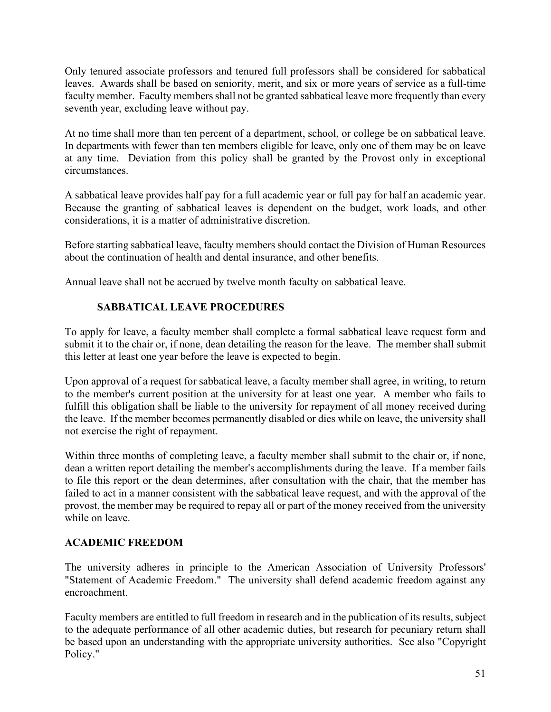Only tenured associate professors and tenured full professors shall be considered for sabbatical leaves. Awards shall be based on seniority, merit, and six or more years of service as a full-time faculty member. Faculty members shall not be granted sabbatical leave more frequently than every seventh year, excluding leave without pay.

At no time shall more than ten percent of a department, school, or college be on sabbatical leave. In departments with fewer than ten members eligible for leave, only one of them may be on leave at any time. Deviation from this policy shall be granted by the Provost only in exceptional circumstances.

A sabbatical leave provides half pay for a full academic year or full pay for half an academic year. Because the granting of sabbatical leaves is dependent on the budget, work loads, and other considerations, it is a matter of administrative discretion.

Before starting sabbatical leave, faculty members should contact the Division of Human Resources about the continuation of health and dental insurance, and other benefits.

Annual leave shall not be accrued by twelve month faculty on sabbatical leave.

# **SABBATICAL LEAVE PROCEDURES**

To apply for leave, a faculty member shall complete a formal sabbatical leave request form and submit it to the chair or, if none, dean detailing the reason for the leave. The member shall submit this letter at least one year before the leave is expected to begin.

Upon approval of a request for sabbatical leave, a faculty member shall agree, in writing, to return to the member's current position at the university for at least one year. A member who fails to fulfill this obligation shall be liable to the university for repayment of all money received during the leave. If the member becomes permanently disabled or dies while on leave, the university shall not exercise the right of repayment.

Within three months of completing leave, a faculty member shall submit to the chair or, if none, dean a written report detailing the member's accomplishments during the leave. If a member fails to file this report or the dean determines, after consultation with the chair, that the member has failed to act in a manner consistent with the sabbatical leave request, and with the approval of the provost, the member may be required to repay all or part of the money received from the university while on leave.

# **ACADEMIC FREEDOM**

The university adheres in principle to the American Association of University Professors' "Statement of Academic Freedom." The university shall defend academic freedom against any encroachment.

Faculty members are entitled to full freedom in research and in the publication of its results, subject to the adequate performance of all other academic duties, but research for pecuniary return shall be based upon an understanding with the appropriate university authorities. See also "Copyright Policy."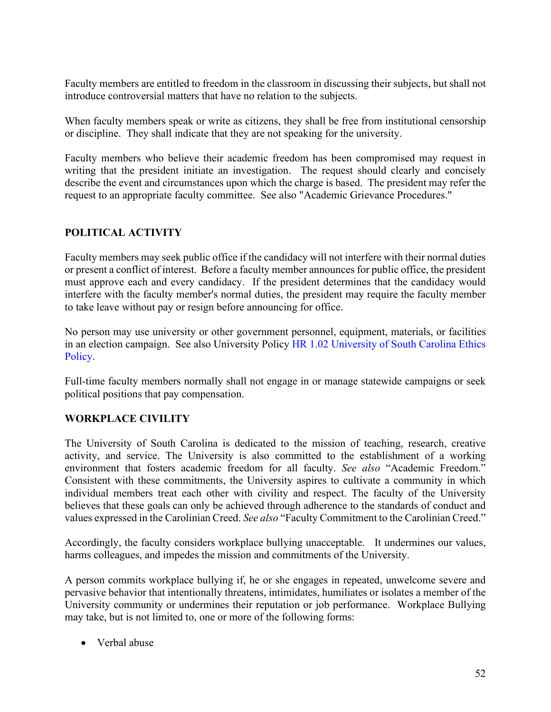Faculty members are entitled to freedom in the classroom in discussing their subjects, but shall not introduce controversial matters that have no relation to the subjects.

When faculty members speak or write as citizens, they shall be free from institutional censorship or discipline. They shall indicate that they are not speaking for the university.

Faculty members who believe their academic freedom has been compromised may request in writing that the president initiate an investigation. The request should clearly and concisely describe the event and circumstances upon which the charge is based. The president may refer the request to an appropriate faculty committee. See also "Academic Grievance Procedures."

# **POLITICAL ACTIVITY**

Faculty members may seek public office if the candidacy will not interfere with their normal duties or present a conflict of interest. Before a faculty member announces for public office, the president must approve each and every candidacy. If the president determines that the candidacy would interfere with the faculty member's normal duties, the president may require the faculty member to take leave without pay or resign before announcing for office.

No person may use university or other government personnel, equipment, materials, or facilities in an election campaign. See also University Policy [HR 1.02 University of South Carolina Ethics](http://www.sc.edu/policies/hr102.pdf)  [Policy.](http://www.sc.edu/policies/hr102.pdf)

Full-time faculty members normally shall not engage in or manage statewide campaigns or seek political positions that pay compensation.

# **WORKPLACE CIVILITY**

The University of South Carolina is dedicated to the mission of teaching, research, creative activity, and service. The University is also committed to the establishment of a working environment that fosters academic freedom for all faculty. *See also* "Academic Freedom." Consistent with these commitments, the University aspires to cultivate a community in which individual members treat each other with civility and respect. The faculty of the University believes that these goals can only be achieved through adherence to the standards of conduct and values expressed in the Carolinian Creed. *See also* "Faculty Commitment to the Carolinian Creed."

Accordingly, the faculty considers workplace bullying unacceptable. It undermines our values, harms colleagues, and impedes the mission and commitments of the University.

A person commits workplace bullying if, he or she engages in repeated, unwelcome severe and pervasive behavior that intentionally threatens, intimidates, humiliates or isolates a member of the University community or undermines their reputation or job performance. Workplace Bullying may take, but is not limited to, one or more of the following forms:

• Verbal abuse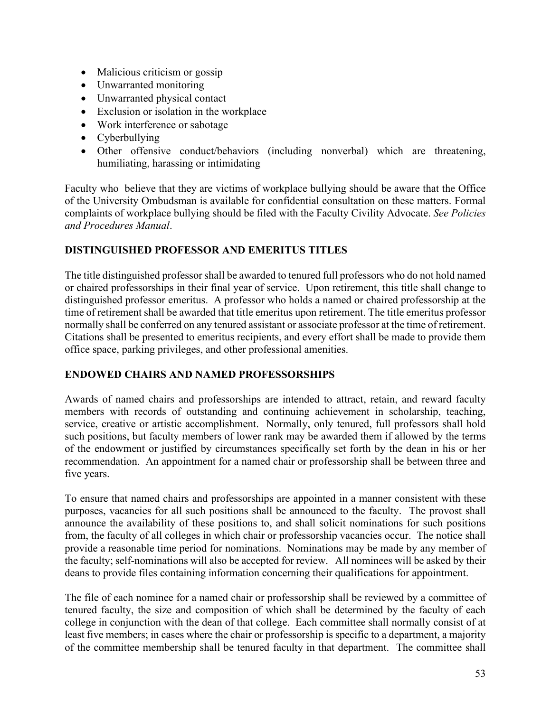- Malicious criticism or gossip
- Unwarranted monitoring
- Unwarranted physical contact
- Exclusion or isolation in the workplace
- Work interference or sabotage
- Cyberbullying
- Other offensive conduct/behaviors (including nonverbal) which are threatening, humiliating, harassing or intimidating

Faculty who believe that they are victims of workplace bullying should be aware that the Office of the University Ombudsman is available for confidential consultation on these matters. Formal complaints of workplace bullying should be filed with the Faculty Civility Advocate. *See Policies and Procedures Manual*.

## **DISTINGUISHED PROFESSOR AND EMERITUS TITLES**

The title distinguished professor shall be awarded to tenured full professors who do not hold named or chaired professorships in their final year of service. Upon retirement, this title shall change to distinguished professor emeritus. A professor who holds a named or chaired professorship at the time of retirement shall be awarded that title emeritus upon retirement. The title emeritus professor normally shall be conferred on any tenured assistant or associate professor at the time of retirement. Citations shall be presented to emeritus recipients, and every effort shall be made to provide them office space, parking privileges, and other professional amenities.

# **ENDOWED CHAIRS AND NAMED PROFESSORSHIPS**

Awards of named chairs and professorships are intended to attract, retain, and reward faculty members with records of outstanding and continuing achievement in scholarship, teaching, service, creative or artistic accomplishment. Normally, only tenured, full professors shall hold such positions, but faculty members of lower rank may be awarded them if allowed by the terms of the endowment or justified by circumstances specifically set forth by the dean in his or her recommendation. An appointment for a named chair or professorship shall be between three and five years.

To ensure that named chairs and professorships are appointed in a manner consistent with these purposes, vacancies for all such positions shall be announced to the faculty. The provost shall announce the availability of these positions to, and shall solicit nominations for such positions from, the faculty of all colleges in which chair or professorship vacancies occur. The notice shall provide a reasonable time period for nominations. Nominations may be made by any member of the faculty; self-nominations will also be accepted for review. All nominees will be asked by their deans to provide files containing information concerning their qualifications for appointment.

The file of each nominee for a named chair or professorship shall be reviewed by a committee of tenured faculty, the size and composition of which shall be determined by the faculty of each college in conjunction with the dean of that college. Each committee shall normally consist of at least five members; in cases where the chair or professorship is specific to a department, a majority of the committee membership shall be tenured faculty in that department. The committee shall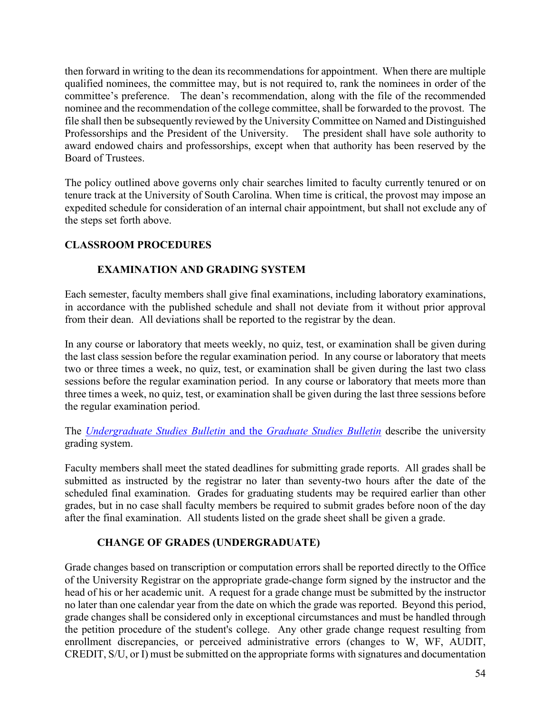then forward in writing to the dean its recommendations for appointment. When there are multiple qualified nominees, the committee may, but is not required to, rank the nominees in order of the committee's preference. The dean's recommendation, along with the file of the recommended nominee and the recommendation of the college committee, shall be forwarded to the provost. The file shall then be subsequently reviewed by the University Committee on Named and Distinguished Professorships and the President of the University. The president shall have sole authority to award endowed chairs and professorships, except when that authority has been reserved by the Board of Trustees.

The policy outlined above governs only chair searches limited to faculty currently tenured or on tenure track at the University of South Carolina. When time is critical, the provost may impose an expedited schedule for consideration of an internal chair appointment, but shall not exclude any of the steps set forth above.

## **CLASSROOM PROCEDURES**

## **EXAMINATION AND GRADING SYSTEM**

Each semester, faculty members shall give final examinations, including laboratory examinations, in accordance with the published schedule and shall not deviate from it without prior approval from their dean. All deviations shall be reported to the registrar by the dean.

In any course or laboratory that meets weekly, no quiz, test, or examination shall be given during the last class session before the regular examination period. In any course or laboratory that meets two or three times a week, no quiz, test, or examination shall be given during the last two class sessions before the regular examination period. In any course or laboratory that meets more than three times a week, no quiz, test, or examination shall be given during the last three sessions before the regular examination period.

The *[Undergraduate Studies Bulletin](https://academicbulletins.sc.edu/)* and the *Graduate Studies Bulletin* describe the university grading system.

Faculty members shall meet the stated deadlines for submitting grade reports. All grades shall be submitted as instructed by the registrar no later than seventy-two hours after the date of the scheduled final examination. Grades for graduating students may be required earlier than other grades, but in no case shall faculty members be required to submit grades before noon of the day after the final examination. All students listed on the grade sheet shall be given a grade.

# **CHANGE OF GRADES (UNDERGRADUATE)**

Grade changes based on transcription or computation errors shall be reported directly to the Office of the University Registrar on the appropriate grade-change form signed by the instructor and the head of his or her academic unit. A request for a grade change must be submitted by the instructor no later than one calendar year from the date on which the grade was reported. Beyond this period, grade changes shall be considered only in exceptional circumstances and must be handled through the petition procedure of the student's college. Any other grade change request resulting from enrollment discrepancies, or perceived administrative errors (changes to W, WF, AUDIT, CREDIT, S/U, or I) must be submitted on the appropriate forms with signatures and documentation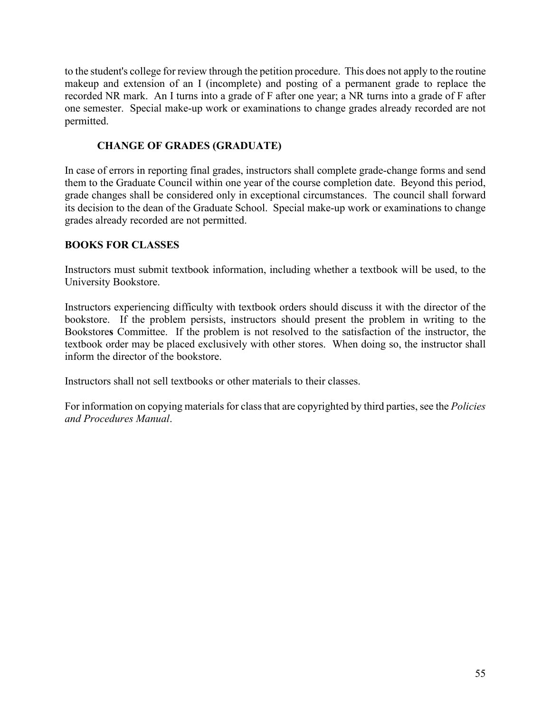to the student's college for review through the petition procedure. This does not apply to the routine makeup and extension of an I (incomplete) and posting of a permanent grade to replace the recorded NR mark. An I turns into a grade of F after one year; a NR turns into a grade of F after one semester. Special make-up work or examinations to change grades already recorded are not permitted.

## **CHANGE OF GRADES (GRADUATE)**

In case of errors in reporting final grades, instructors shall complete grade-change forms and send them to the Graduate Council within one year of the course completion date. Beyond this period, grade changes shall be considered only in exceptional circumstances. The council shall forward its decision to the dean of the Graduate School. Special make-up work or examinations to change grades already recorded are not permitted.

## **BOOKS FOR CLASSES**

Instructors must submit textbook information, including whether a textbook will be used, to the University Bookstore.

Instructors experiencing difficulty with textbook orders should discuss it with the director of the bookstore. If the problem persists, instructors should present the problem in writing to the Bookstore**s** Committee. If the problem is not resolved to the satisfaction of the instructor, the textbook order may be placed exclusively with other stores. When doing so, the instructor shall inform the director of the bookstore.

Instructors shall not sell textbooks or other materials to their classes.

For information on copying materials for class that are copyrighted by third parties, see the *Policies and Procedures Manual*.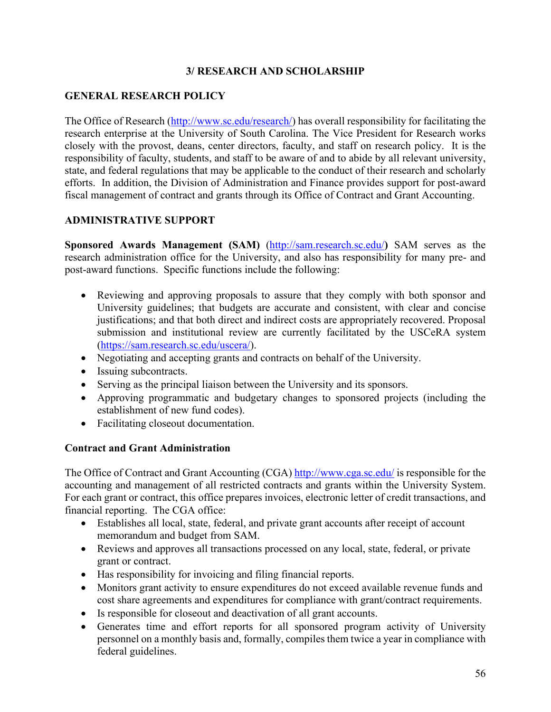## **3/ RESEARCH AND SCHOLARSHIP**

## **GENERAL RESEARCH POLICY**

The Office of Research [\(http://www.sc.edu/research/\)](http://www.sc.edu/research/) has overall responsibility for facilitating the research enterprise at the University of South Carolina. The Vice President for Research works closely with the provost, deans, center directors, faculty, and staff on research policy. It is the responsibility of faculty, students, and staff to be aware of and to abide by all relevant university, state, and federal regulations that may be applicable to the conduct of their research and scholarly efforts. In addition, the Division of Administration and Finance provides support for post-award fiscal management of contract and grants through its Office of Contract and Grant Accounting.

## **ADMINISTRATIVE SUPPORT**

**Sponsored Awards Management (SAM)** [\(http://sam.research.sc.edu/](http://sam.research.sc.edu/)**)** SAM serves as the research administration office for the University, and also has responsibility for many pre- and post-award functions. Specific functions include the following:

- Reviewing and approving proposals to assure that they comply with both sponsor and University guidelines; that budgets are accurate and consistent, with clear and concise justifications; and that both direct and indirect costs are appropriately recovered. Proposal submission and institutional review are currently facilitated by the USCeRA system [\(https://sam.research.sc.edu/uscera/\)](https://sam.research.sc.edu/uscera/).
- Negotiating and accepting grants and contracts on behalf of the University.
- Issuing subcontracts.
- Serving as the principal liaison between the University and its sponsors.
- Approving programmatic and budgetary changes to sponsored projects (including the establishment of new fund codes).
- Facilitating closeout documentation.

## **Contract and Grant Administration**

The Office of Contract and Grant Accounting (CGA)<http://www.cga.sc.edu/> is responsible for the accounting and management of all restricted contracts and grants within the University System. For each grant or contract, this office prepares invoices, electronic letter of credit transactions, and financial reporting. The CGA office:

- Establishes all local, state, federal, and private grant accounts after receipt of account memorandum and budget from SAM.
- Reviews and approves all transactions processed on any local, state, federal, or private grant or contract.
- Has responsibility for invoicing and filing financial reports.
- Monitors grant activity to ensure expenditures do not exceed available revenue funds and cost share agreements and expenditures for compliance with grant/contract requirements.
- Is responsible for closeout and deactivation of all grant accounts.
- Generates time and effort reports for all sponsored program activity of University personnel on a monthly basis and, formally, compiles them twice a year in compliance with federal guidelines.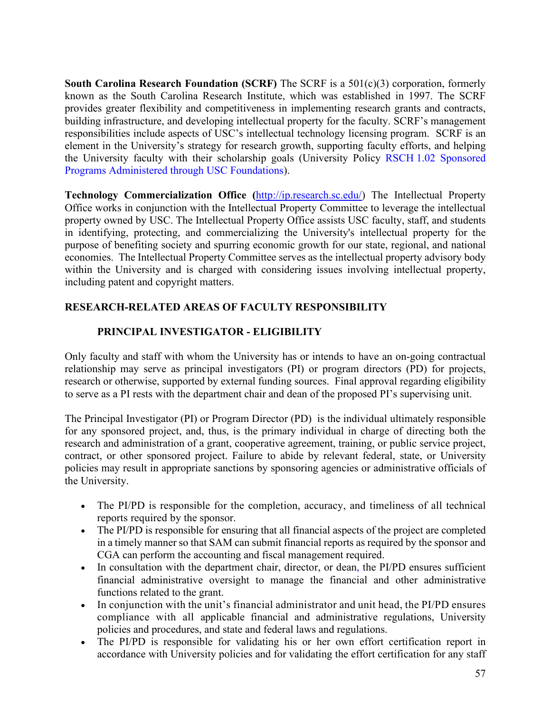**South Carolina Research Foundation (SCRF)** The SCRF is a 501(c)(3) corporation, formerly known as the South Carolina Research Institute, which was established in 1997. The SCRF provides greater flexibility and competitiveness in implementing research grants and contracts, building infrastructure, and developing intellectual property for the faculty. SCRF's management responsibilities include aspects of USC's intellectual technology licensing program. SCRF is an element in the University's strategy for research growth, supporting faculty efforts, and helping the University faculty with their scholarship goals (University Policy RSCH 1.02 [Sponsored](http://www.sc.edu/policies/rsch102.pdf)  [Programs Administered through USC Foundations\)](http://www.sc.edu/policies/rsch102.pdf).

**Technology Commercialization Office (**[http://ip.research.sc.edu/\)](http://ip.research.sc.edu/) The Intellectual Property Office works in conjunction with the Intellectual Property Committee to leverage the intellectual property owned by USC. The Intellectual Property Office assists USC faculty, staff, and students in identifying, protecting, and commercializing the University's intellectual property for the purpose of benefiting society and spurring economic growth for our state, regional, and national economies. The Intellectual Property Committee serves as the intellectual property advisory body within the University and is charged with considering issues involving intellectual property, including patent and copyright matters.

# **RESEARCH-RELATED AREAS OF FACULTY RESPONSIBILITY**

# **PRINCIPAL INVESTIGATOR - ELIGIBILITY**

Only faculty and staff with whom the University has or intends to have an on-going contractual relationship may serve as principal investigators (PI) or program directors (PD) for projects, research or otherwise, supported by external funding sources. Final approval regarding eligibility to serve as a PI rests with the department chair and dean of the proposed PI's supervising unit.

The Principal Investigator (PI) or Program Director (PD) is the individual ultimately responsible for any sponsored project, and, thus, is the primary individual in charge of directing both the research and administration of a grant, cooperative agreement, training, or public service project, contract, or other sponsored project. Failure to abide by relevant federal, state, or University policies may result in appropriate sanctions by sponsoring agencies or administrative officials of the University.

- The PI/PD is responsible for the completion, accuracy, and timeliness of all technical reports required by the sponsor.
- The PI/PD is responsible for ensuring that all financial aspects of the project are completed in a timely manner so that SAM can submit financial reports as required by the sponsor and CGA can perform the accounting and fiscal management required.
- In consultation with the department chair, director, or dean, the PI/PD ensures sufficient financial administrative oversight to manage the financial and other administrative functions related to the grant.
- In conjunction with the unit's financial administrator and unit head, the PI/PD ensures compliance with all applicable financial and administrative regulations, University policies and procedures, and state and federal laws and regulations.
- The PI/PD is responsible for validating his or her own effort certification report in accordance with University policies and for validating the effort certification for any staff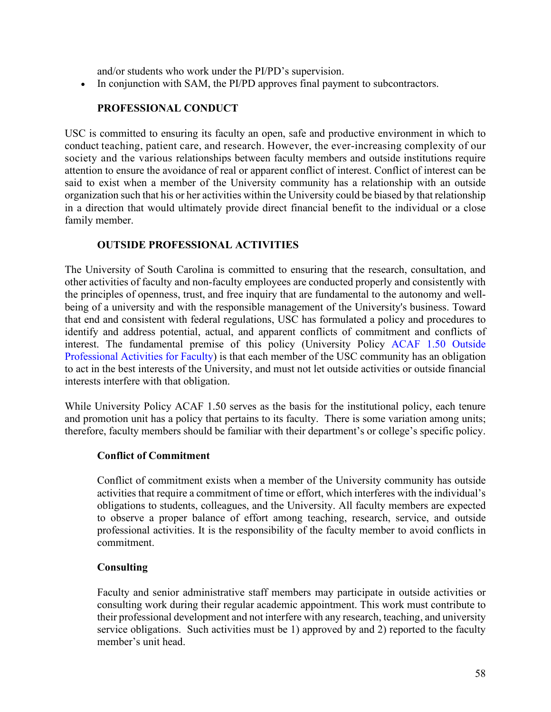and/or students who work under the PI/PD's supervision.

• In conjunction with SAM, the PI/PD approves final payment to subcontractors.

### **PROFESSIONAL CONDUCT**

USC is committed to ensuring its faculty an open, safe and productive environment in which to conduct teaching, patient care, and research. However, the ever-increasing complexity of our society and the various relationships between faculty members and outside institutions require attention to ensure the avoidance of real or apparent conflict of interest. Conflict of interest can be said to exist when a member of the University community has a relationship with an outside organization such that his or her activities within the University could be biased by that relationship in a direction that would ultimately provide direct financial benefit to the individual or a close family member.

### **OUTSIDE PROFESSIONAL ACTIVITIES**

The University of South Carolina is committed to ensuring that the research, consultation, and other activities of faculty and non-faculty employees are conducted properly and consistently with the principles of openness, trust, and free inquiry that are fundamental to the autonomy and wellbeing of a university and with the responsible management of the University's business. Toward that end and consistent with federal regulations, USC has formulated a policy and procedures to identify and address potential, actual, and apparent conflicts of commitment and conflicts of interest. The fundamental premise of this policy (University Policy [ACAF 1.50 Outside](http://www.sc.edu/policies/acaf150.pdf)  [Professional Activities for Faculty\)](http://www.sc.edu/policies/acaf150.pdf) is that each member of the USC community has an obligation to act in the best interests of the University, and must not let outside activities or outside financial interests interfere with that obligation.

While University Policy ACAF 1.50 serves as the basis for the institutional policy, each tenure and promotion unit has a policy that pertains to its faculty. There is some variation among units; therefore, faculty members should be familiar with their department's or college's specific policy.

### **Conflict of Commitment**

Conflict of commitment exists when a member of the University community has outside activities that require a commitment of time or effort, which interferes with the individual's obligations to students, colleagues, and the University. All faculty members are expected to observe a proper balance of effort among teaching, research, service, and outside professional activities. It is the responsibility of the faculty member to avoid conflicts in commitment.

### **Consulting**

Faculty and senior administrative staff members may participate in outside activities or consulting work during their regular academic appointment. This work must contribute to their professional development and not interfere with any research, teaching, and university service obligations. Such activities must be 1) approved by and 2) reported to the faculty member's unit head.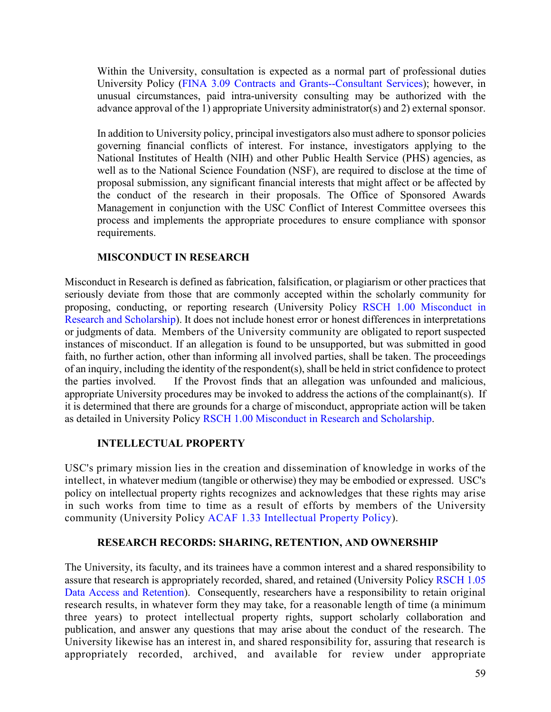Within the University, consultation is expected as a normal part of professional duties University Policy [\(FINA 3.09 Contracts and Grants--Consultant Services\)](http://www.sc.edu/policies/fina309.pdf); however, in unusual circumstances, paid intra-university consulting may be authorized with the advance approval of the 1) appropriate University administrator(s) and 2) external sponsor.

In addition to University policy, principal investigators also must adhere to sponsor policies governing financial conflicts of interest. For instance, investigators applying to the National Institutes of Health (NIH) and other Public Health Service (PHS) agencies, as well as to the National Science Foundation (NSF), are required to disclose at the time of proposal submission, any significant financial interests that might affect or be affected by the conduct of the research in their proposals. The Office of Sponsored Awards Management in conjunction with the USC Conflict of Interest Committee oversees this process and implements the appropriate procedures to ensure compliance with sponsor requirements.

## **MISCONDUCT IN RESEARCH**

Misconduct in Research is defined as fabrication, falsification, or plagiarism or other practices that seriously deviate from those that are commonly accepted within the scholarly community for proposing, conducting, or reporting research (University Policy RSCH 1.00 [Misconduct in](http://www.sc.edu/policies/rsch100.pdf)  [Research and Scholarship\)](http://www.sc.edu/policies/rsch100.pdf). It does not include honest error or honest differences in interpretations or judgments of data. Members of the University community are obligated to report suspected instances of misconduct. If an allegation is found to be unsupported, but was submitted in good faith, no further action, other than informing all involved parties, shall be taken. The proceedings of an inquiry, including the identity of the respondent(s), shall be held in strict confidence to protect the parties involved. If the Provost finds that an allegation was unfounded and malicious, appropriate University procedures may be invoked to address the actions of the complainant(s). If it is determined that there are grounds for a charge of misconduct, appropriate action will be taken as detailed in University Policy [RSCH 1.00 Misconduct in Research and Scholarship.](http://www.sc.edu/policies/rsch100.pdf)

### **INTELLECTUAL PROPERTY**

USC's primary mission lies in the creation and dissemination of knowledge in works of the intellect, in whatever medium (tangible or otherwise) they may be embodied or expressed. USC's policy on intellectual property rights recognizes and acknowledges that these rights may arise in such works from time to time as a result of efforts by members of the University community (University Policy [ACAF 1.33 Intellectual Property Policy\)](http://www.sc.edu/policies/acaf133.pdf).

### **RESEARCH RECORDS: SHARING, RETENTION, AND OWNERSHIP**

The University, its faculty, and its trainees have a common interest and a shared responsibility to assure that research is appropriately recorded, shared, and retained (University Policy [RSCH 1.05](http://www.sc.edu/policies/rsch105.pdf)  [Data Access and Retention\)](http://www.sc.edu/policies/rsch105.pdf). Consequently, researchers have a responsibility to retain original research results, in whatever form they may take, for a reasonable length of time (a minimum three years) to protect intellectual property rights, support scholarly collaboration and publication, and answer any questions that may arise about the conduct of the research. The University likewise has an interest in, and shared responsibility for, assuring that research is appropriately recorded, archived, and available for review under appropriate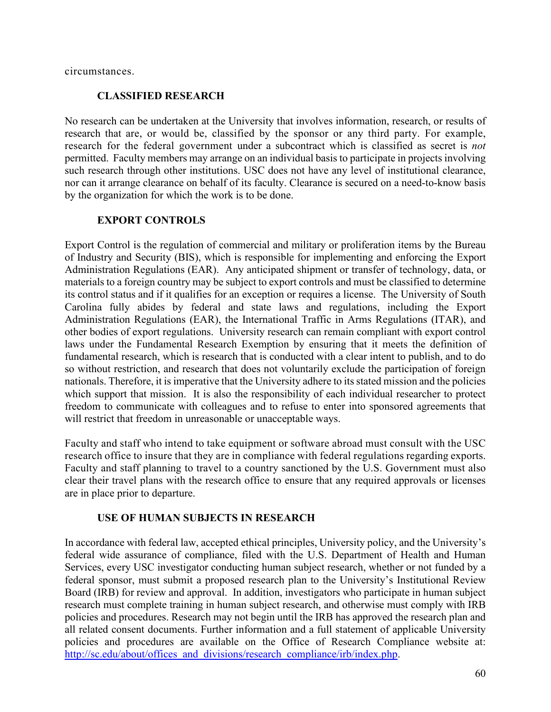circumstances.

### **CLASSIFIED RESEARCH**

No research can be undertaken at the University that involves information, research, or results of research that are, or would be, classified by the sponsor or any third party. For example, research for the federal government under a subcontract which is classified as secret is *not*  permitted. Faculty members may arrange on an individual basis to participate in projects involving such research through other institutions. USC does not have any level of institutional clearance, nor can it arrange clearance on behalf of its faculty. Clearance is secured on a need-to-know basis by the organization for which the work is to be done.

## **EXPORT CONTROLS**

Export Control is the regulation of commercial and military or proliferation items by the Bureau of Industry and Security (BIS), which is responsible for implementing and enforcing the Export Administration Regulations (EAR). Any anticipated shipment or transfer of technology, data, or materials to a foreign country may be subject to export controls and must be classified to determine its control status and if it qualifies for an exception or requires a license. The University of South Carolina fully abides by federal and state laws and regulations, including the Export Administration Regulations (EAR), the International Traffic in Arms Regulations (ITAR), and other bodies of export regulations. University research can remain compliant with export control laws under the Fundamental Research Exemption by ensuring that it meets the definition of fundamental research, which is research that is conducted with a clear intent to publish, and to do so without restriction, and research that does not voluntarily exclude the participation of foreign nationals. Therefore, it is imperative that the University adhere to its stated mission and the policies which support that mission. It is also the responsibility of each individual researcher to protect freedom to communicate with colleagues and to refuse to enter into sponsored agreements that will restrict that freedom in unreasonable or unacceptable ways.

Faculty and staff who intend to take equipment or software abroad must consult with the USC research office to insure that they are in compliance with federal regulations regarding exports. Faculty and staff planning to travel to a country sanctioned by the U.S. Government must also clear their travel plans with the research office to ensure that any required approvals or licenses are in place prior to departure.

### **USE OF HUMAN SUBJECTS IN RESEARCH**

In accordance with federal law, accepted ethical principles, University policy, and the University's federal wide assurance of compliance, filed with the U.S. Department of Health and Human Services, every USC investigator conducting human subject research, whether or not funded by a federal sponsor, must submit a proposed research plan to the University's Institutional Review Board (IRB) for review and approval. In addition, investigators who participate in human subject research must complete training in human subject research, and otherwise must comply with IRB policies and procedures. Research may not begin until the IRB has approved the research plan and all related consent documents. Further information and a full statement of applicable University policies and procedures are available on the Office of Research Compliance website at: [http://sc.edu/about/offices\\_and\\_divisions/research\\_compliance/irb/index.php.](http://sc.edu/about/offices_and_divisions/research_compliance/irb/index.php)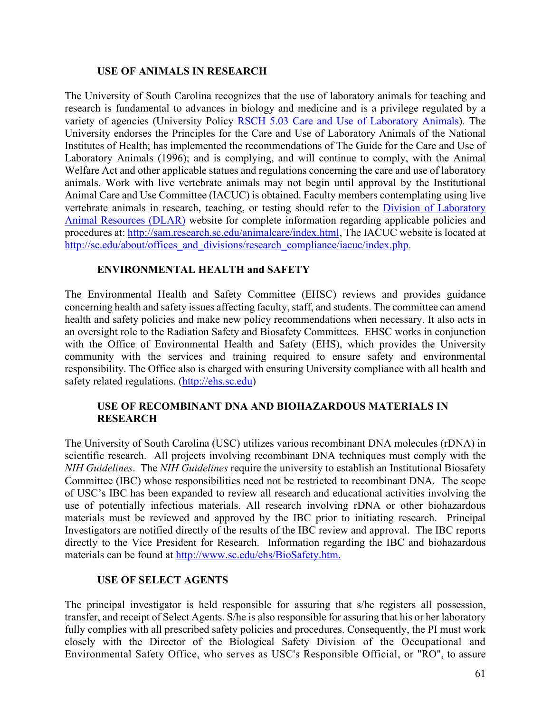### **USE OF ANIMALS IN RESEARCH**

The University of South Carolina recognizes that the use of laboratory animals for teaching and research is fundamental to advances in biology and medicine and is a privilege regulated by a variety of agencies (University Policy [RSCH 5.03 Care and Use of Laboratory Animals\)](http://www.sc.edu/policies/rsch503.pdf). The University endorses the Principles for the Care and Use of Laboratory Animals of the National Institutes of Health; has implemented the recommendations of The Guide for the Care and Use of Laboratory Animals (1996); and is complying, and will continue to comply, with the Animal Welfare Act and other applicable statues and regulations concerning the care and use of laboratory animals. Work with live vertebrate animals may not begin until approval by the Institutional Animal Care and Use Committee (IACUC) is obtained. Faculty members contemplating using live vertebrate animals in research, teaching, or testing should refer to the [Division of Laboratory](http://sam.research.sc.edu/animalcare/index.html)  [Animal Resources \(DLAR\)](http://sam.research.sc.edu/animalcare/index.html) website for complete information regarding applicable policies and procedures at: [http://sam.research.sc.edu/animalcare/index.html,](http://sam.research.sc.edu/animalcare/index.html) The IACUC website is located at [http://sc.edu/about/offices\\_and\\_divisions/research\\_compliance/iacuc/index.php.](http://sc.edu/about/offices_and_divisions/research_compliance/iacuc/index.php)

## **ENVIRONMENTAL HEALTH and SAFETY**

The Environmental Health and Safety Committee (EHSC) reviews and provides guidance concerning health and safety issues affecting faculty, staff, and students. The committee can amend health and safety policies and make new policy recommendations when necessary. It also acts in an oversight role to the Radiation Safety and Biosafety Committees. EHSC works in conjunction with the Office of Environmental Health and Safety (EHS), which provides the University community with the services and training required to ensure safety and environmental responsibility. The Office also is charged with ensuring University compliance with all health and safety related regulations. [\(http://ehs.sc.edu\)](http://ehs.sc.edu/)

### **USE OF RECOMBINANT DNA AND BIOHAZARDOUS MATERIALS IN RESEARCH**

The University of South Carolina (USC) utilizes various recombinant DNA molecules (rDNA) in scientific research. All projects involving recombinant DNA techniques must comply with the *NIH Guidelines*. The *NIH Guidelines* require the university to establish an Institutional Biosafety Committee (IBC) whose responsibilities need not be restricted to recombinant DNA. The scope of USC's IBC has been expanded to review all research and educational activities involving the use of potentially infectious materials. All research involving rDNA or other biohazardous materials must be reviewed and approved by the IBC prior to initiating research. Principal Investigators are notified directly of the results of the IBC review and approval. The IBC reports directly to the Vice President for Research. Information regarding the IBC and biohazardous materials can be found at [http://www.sc.edu/ehs/BioSafety.htm.](http://www.sc.edu/ehs/BioSafety.htm)

### **USE OF SELECT AGENTS**

The principal investigator is held responsible for assuring that s/he registers all possession, transfer, and receipt of Select Agents. S/he is also responsible for assuring that his or her laboratory fully complies with all prescribed safety policies and procedures. Consequently, the PI must work closely with the Director of the Biological Safety Division of the Occupational and Environmental Safety Office, who serves as USC's Responsible Official, or "RO", to assure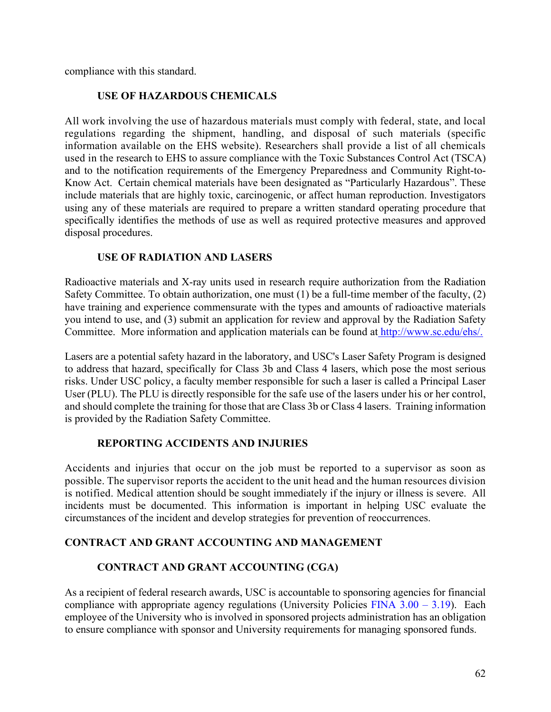compliance with this standard.

## **USE OF HAZARDOUS CHEMICALS**

All work involving the use of hazardous materials must comply with federal, state, and local regulations regarding the shipment, handling, and disposal of such materials (specific information available on the EHS website). Researchers shall provide a list of all chemicals used in the research to EHS to assure compliance with the Toxic Substances Control Act (TSCA) and to the notification requirements of the Emergency Preparedness and Community Right-to-Know Act. Certain chemical materials have been designated as "Particularly Hazardous". These include materials that are highly toxic, carcinogenic, or affect human reproduction. Investigators using any of these materials are required to prepare a written standard operating procedure that specifically identifies the methods of use as well as required protective measures and approved disposal procedures.

## **USE OF RADIATION AND LASERS**

Radioactive materials and X-ray units used in research require authorization from the Radiation Safety Committee. To obtain authorization, one must (1) be a full-time member of the faculty, (2) have training and experience commensurate with the types and amounts of radioactive materials you intend to use, and (3) submit an application for review and approval by the Radiation Safety Committee. More information and application materials can be found at [http://www.sc.edu/ehs/.](http://www.sc.edu/ehs/)

Lasers are a potential safety hazard in the laboratory, and USC's Laser Safety Program is designed to address that hazard, specifically for Class 3b and Class 4 lasers, which pose the most serious risks. Under USC policy, a faculty member responsible for such a laser is called a Principal Laser User (PLU). The PLU is directly responsible for the safe use of the lasers under his or her control, and should complete the training for those that are Class 3b or Class 4 lasers. Training information is provided by the Radiation Safety Committee.

## **REPORTING ACCIDENTS AND INJURIES**

Accidents and injuries that occur on the job must be reported to a supervisor as soon as possible. The supervisor reports the accident to the unit head and the human resources division is notified. Medical attention should be sought immediately if the injury or illness is severe. All incidents must be documented. This information is important in helping USC evaluate the circumstances of the incident and develop strategies for prevention of reoccurrences.

## **CONTRACT AND GRANT ACCOUNTING AND MANAGEMENT**

# **CONTRACT AND GRANT ACCOUNTING (CGA)**

As a recipient of federal research awards, USC is accountable to sponsoring agencies for financial compliance with appropriate agency regulations (University Policies FINA  $3.00 - 3.19$ ). Each employee of the University who is involved in sponsored projects administration has an obligation to ensure compliance with sponsor and University requirements for managing sponsored funds.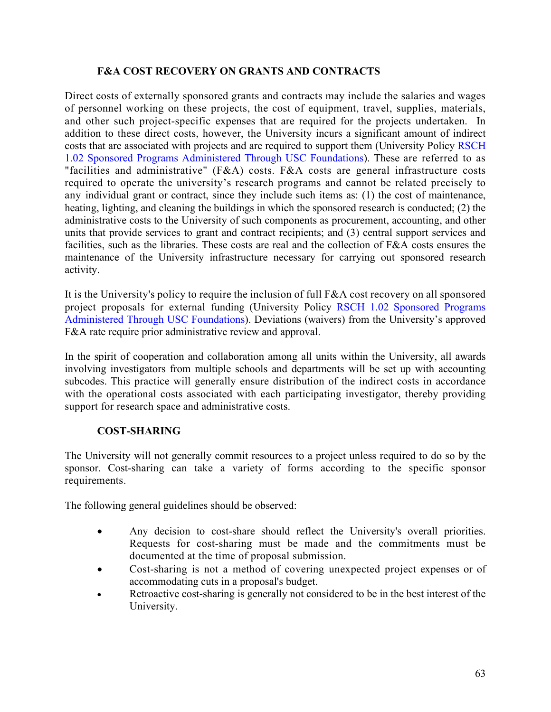### **F&A COST RECOVERY ON GRANTS AND CONTRACTS**

Direct costs of externally sponsored grants and contracts may include the salaries and wages of personnel working on these projects, the cost of equipment, travel, supplies, materials, and other such project-specific expenses that are required for the projects undertaken. In addition to these direct costs, however, the University incurs a significant amount of indirect costs that are associated with projects and are required to support them (University Policy [RSCH](http://www.sc.edu/policies/rsch102.pdf)  [1.02 Sponsored Programs Administered Through USC Foundations\)](http://www.sc.edu/policies/rsch102.pdf). These are referred to as "facilities and administrative" (F&A) costs. F&A costs are general infrastructure costs required to operate the university's research programs and cannot be related precisely to any individual grant or contract, since they include such items as: (1) the cost of maintenance, heating, lighting, and cleaning the buildings in which the sponsored research is conducted; (2) the administrative costs to the University of such components as procurement, accounting, and other units that provide services to grant and contract recipients; and (3) central support services and facilities, such as the libraries. These costs are real and the collection of F&A costs ensures the maintenance of the University infrastructure necessary for carrying out sponsored research activity.

It is the University's policy to require the inclusion of full F&A cost recovery on all sponsored project proposals for external funding (University Policy [RSCH 1.02 Sponsored Programs](http://www.sc.edu/policies/rsch102.pdf)  [Administered Through USC Foundations\)](http://www.sc.edu/policies/rsch102.pdf). Deviations (waivers) from the University's approved F&A rate require prior administrative review and approval.

In the spirit of cooperation and collaboration among all units within the University, all awards involving investigators from multiple schools and departments will be set up with accounting subcodes. This practice will generally ensure distribution of the indirect costs in accordance with the operational costs associated with each participating investigator, thereby providing support for research space and administrative costs.

## **COST-SHARING**

The University will not generally commit resources to a project unless required to do so by the sponsor. Cost-sharing can take a variety of forms according to the specific sponsor requirements.

The following general guidelines should be observed:

- Any decision to cost-share should reflect the University's overall priorities. Requests for cost-sharing must be made and the commitments must be documented at the time of proposal submission.
- Cost-sharing is not a method of covering unexpected project expenses or of accommodating cuts in a proposal's budget.
- Retroactive cost-sharing is generally not considered to be in the best interest of the University.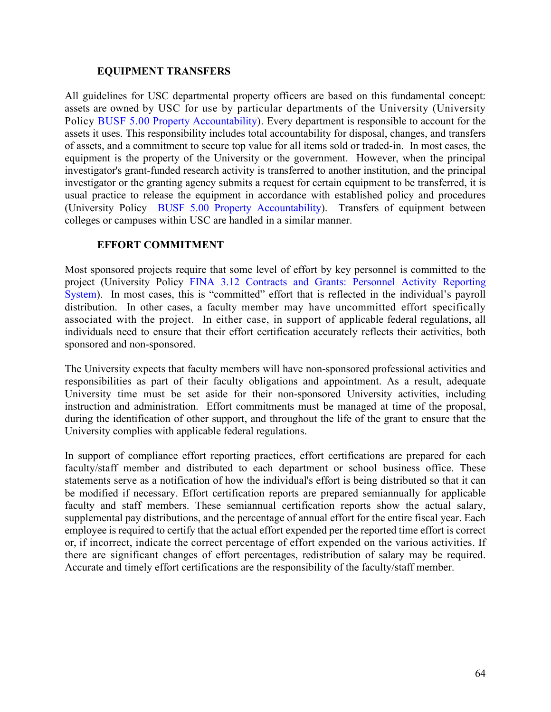### **EQUIPMENT TRANSFERS**

All guidelines for USC departmental property officers are based on this fundamental concept: assets are owned by USC for use by particular departments of the University (University Policy BUSF 5.00 [Property Accountability\)](http://www.sc.edu/policies/busf500.pdf). Every department is responsible to account for the assets it uses. This responsibility includes total accountability for disposal, changes, and transfers of assets, and a commitment to secure top value for all items sold or traded-in. In most cases, the equipment is the property of the University or the government. However, when the principal investigator's grant-funded research activity is transferred to another institution, and the principal investigator or the granting agency submits a request for certain equipment to be transferred, it is usual practice to release the equipment in accordance with established policy and procedures (University Policy [BUSF 5.00 Property Accountability\)](http://www.sc.edu/policies/busf500.pdf). Transfers of equipment between colleges or campuses within USC are handled in a similar manner.

## **EFFORT COMMITMENT**

Most sponsored projects require that some level of effort by key personnel is committed to the project (University Policy [FINA 3.12 Contracts and Grants: Personnel Activity Reporting](http://www.sc.edu/policies/fina312.pdf)  [System\)](http://www.sc.edu/policies/fina312.pdf). In most cases, this is "committed" effort that is reflected in the individual's payroll distribution. In other cases, a faculty member may have uncommitted effort specifically associated with the project. In either case, in support of applicable federal regulations, all individuals need to ensure that their effort certification accurately reflects their activities, both sponsored and non-sponsored.

The University expects that faculty members will have non-sponsored professional activities and responsibilities as part of their faculty obligations and appointment. As a result, adequate University time must be set aside for their non-sponsored University activities, including instruction and administration. Effort commitments must be managed at time of the proposal, during the identification of other support, and throughout the life of the grant to ensure that the University complies with applicable federal regulations.

In support of compliance effort reporting practices, effort certifications are prepared for each faculty/staff member and distributed to each department or school business office. These statements serve as a notification of how the individual's effort is being distributed so that it can be modified if necessary. Effort certification reports are prepared semiannually for applicable faculty and staff members. These semiannual certification reports show the actual salary, supplemental pay distributions, and the percentage of annual effort for the entire fiscal year. Each employee is required to certify that the actual effort expended per the reported time effort is correct or, if incorrect, indicate the correct percentage of effort expended on the various activities. If there are significant changes of effort percentages, redistribution of salary may be required. Accurate and timely effort certifications are the responsibility of the faculty/staff member.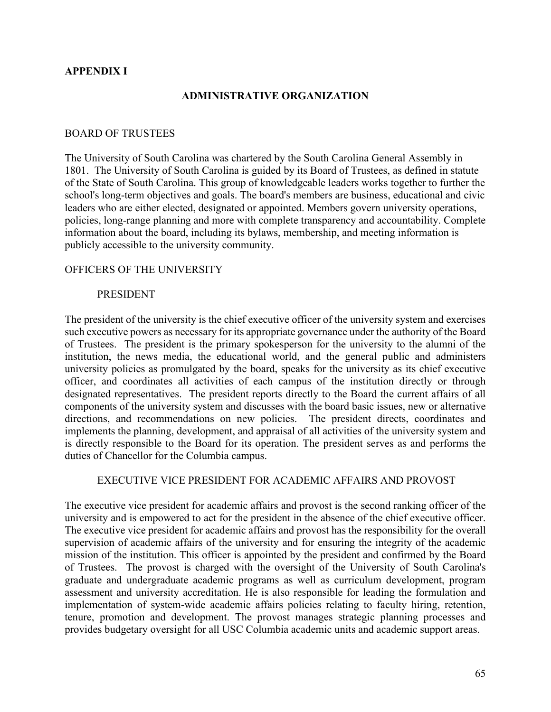### **APPENDIX I**

#### **ADMINISTRATIVE ORGANIZATION**

#### BOARD OF TRUSTEES

The University of South Carolina was chartered by the South Carolina General Assembly in 1801. The University of South Carolina is guided by its Board of Trustees, as defined in statute of the State of South Carolina. This group of knowledgeable leaders works together to further the school's long-term objectives and goals. The board's [members](https://sc.edu/about/offices_and_divisions/board_of_trustees/members/index.php) are business, educational and civic leaders who are either elected, designated or appointed. Members [govern](https://sc.edu/about/offices_and_divisions/board_of_trustees/governance/index.php) university operations, policies, long-range planning and more with complete transparency and accountability. Complete information about the [board,](https://sc.edu/about/offices_and_divisions/board_of_trustees/index.php) including its [bylaws,](https://sc.edu/about/offices_and_divisions/board_of_trustees/governance/index.php) [membership,](https://sc.edu/about/offices_and_divisions/board_of_trustees/members/index.php) and [meeting information](https://sc.edu/about/offices_and_divisions/board_of_trustees/meetings/index.php) is publicly accessible to the university community.

#### OFFICERS OF THE UNIVERSITY

#### PRESIDENT

The president of the university is the chief executive officer of the university system and exercises such executive powers as necessary for its appropriate governance under the authority of the Board of Trustees. The president is the primary spokesperson for the university to the alumni of the institution, the news media, the educational world, and the general public and administers university policies as promulgated by the board, speaks for the university as its chief executive officer, and coordinates all activities of each campus of the institution directly or through designated representatives. The president reports directly to the Board the current affairs of all components of the university system and discusses with the board basic issues, new or alternative directions, and recommendations on new policies. The president directs, coordinates and implements the planning, development, and appraisal of all activities of the university system and is directly responsible to the Board for its operation. The president serves as and performs the duties of Chancellor for the Columbia campus.

#### EXECUTIVE VICE PRESIDENT FOR ACADEMIC AFFAIRS AND PROVOST

The executive vice president for academic affairs and provost is the second ranking officer of the university and is empowered to act for the president in the absence of the chief executive officer. The executive vice president for academic affairs and provost has the responsibility for the overall supervision of academic affairs of the university and for ensuring the integrity of the academic mission of the institution. This officer is appointed by the president and confirmed by the Board of Trustees. The provost is charged with the oversight of the University of South Carolina's graduate and undergraduate academic programs as well as curriculum development, program assessment and university accreditation. He is also responsible for leading the formulation and implementation of system-wide academic affairs policies relating to faculty hiring, retention, tenure, promotion and development. The provost manages strategic planning processes and provides budgetary oversight for all USC Columbia academic units and academic support areas.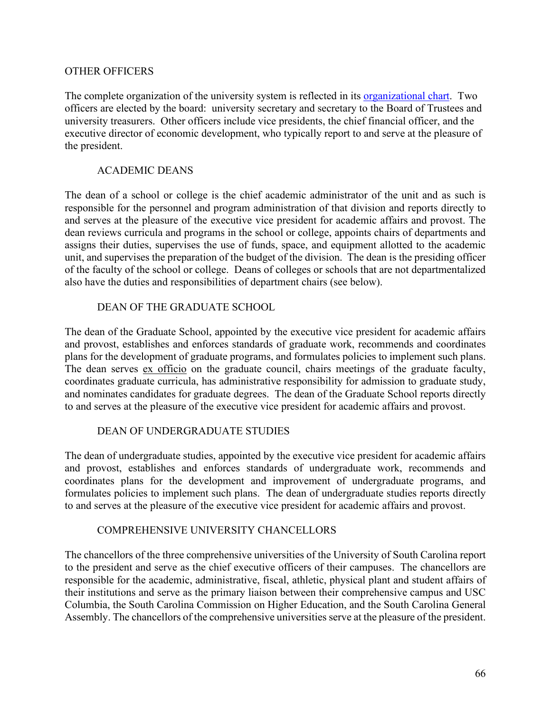### OTHER OFFICERS

The complete organization of the university system is reflected in its [organizational chart.](https://www.sc.edu/about/offices_and_divisions/human_resources/docs/usc_summary_org_chart.pdf) Two officers are elected by the board: university secretary and secretary to the Board of Trustees and university treasurers. Other officers include vice presidents, the chief financial officer, and the executive director of economic development, who typically report to and serve at the pleasure of the president.

### ACADEMIC DEANS

The dean of a school or college is the chief academic administrator of the unit and as such is responsible for the personnel and program administration of that division and reports directly to and serves at the pleasure of the executive vice president for academic affairs and provost. The dean reviews curricula and programs in the school or college, appoints chairs of departments and assigns their duties, supervises the use of funds, space, and equipment allotted to the academic unit, and supervises the preparation of the budget of the division. The dean is the presiding officer of the faculty of the school or college. Deans of colleges or schools that are not departmentalized also have the duties and responsibilities of department chairs (see below).

## DEAN OF THE GRADUATE SCHOOL

The dean of the Graduate School, appointed by the executive vice president for academic affairs and provost, establishes and enforces standards of graduate work, recommends and coordinates plans for the development of graduate programs, and formulates policies to implement such plans. The dean serves ex officio on the graduate council, chairs meetings of the graduate faculty, coordinates graduate curricula, has administrative responsibility for admission to graduate study, and nominates candidates for graduate degrees. The dean of the Graduate School reports directly to and serves at the pleasure of the executive vice president for academic affairs and provost.

### DEAN OF UNDERGRADUATE STUDIES

The dean of undergraduate studies, appointed by the executive vice president for academic affairs and provost, establishes and enforces standards of undergraduate work, recommends and coordinates plans for the development and improvement of undergraduate programs, and formulates policies to implement such plans. The dean of undergraduate studies reports directly to and serves at the pleasure of the executive vice president for academic affairs and provost.

### COMPREHENSIVE UNIVERSITY CHANCELLORS

The chancellors of the three comprehensive universities of the University of South Carolina report to the president and serve as the chief executive officers of their campuses. The chancellors are responsible for the academic, administrative, fiscal, athletic, physical plant and student affairs of their institutions and serve as the primary liaison between their comprehensive campus and USC Columbia, the South Carolina Commission on Higher Education, and the South Carolina General Assembly. The chancellors of the comprehensive universities serve at the pleasure of the president.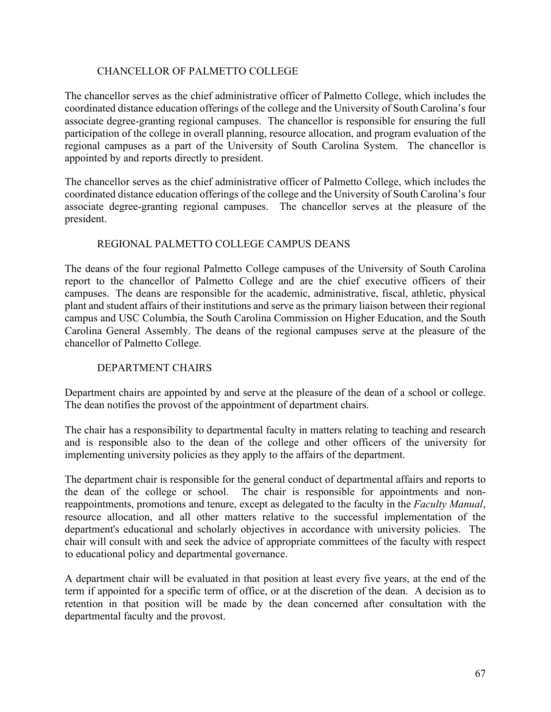# CHANCELLOR OF PALMETTO COLLEGE

The chancellor serves as the chief administrative officer of Palmetto College, which includes the coordinated distance education offerings of the college and the University of South Carolina's four associate degree-granting regional campuses. The chancellor is responsible for ensuring the full participation of the college in overall planning, resource allocation, and program evaluation of the regional campuses as a part of the University of South Carolina System. The chancellor is appointed by and reports directly to president.

The chancellor serves as the chief administrative officer of Palmetto College, which includes the coordinated distance education offerings of the college and the University of South Carolina's four associate degree-granting regional campuses. The chancellor serves at the pleasure of the president.

# REGIONAL PALMETTO COLLEGE CAMPUS DEANS

The deans of the four regional Palmetto College campuses of the University of South Carolina report to the chancellor of Palmetto College and are the chief executive officers of their campuses. The deans are responsible for the academic, administrative, fiscal, athletic, physical plant and student affairs of their institutions and serve as the primary liaison between their regional campus and USC Columbia, the South Carolina Commission on Higher Education, and the South Carolina General Assembly. The deans of the regional campuses serve at the pleasure of the chancellor of Palmetto College.

# DEPARTMENT CHAIRS

Department chairs are appointed by and serve at the pleasure of the dean of a school or college. The dean notifies the provost of the appointment of department chairs.

The chair has a responsibility to departmental faculty in matters relating to teaching and research and is responsible also to the dean of the college and other officers of the university for implementing university policies as they apply to the affairs of the department.

The department chair is responsible for the general conduct of departmental affairs and reports to the dean of the college or school. The chair is responsible for appointments and nonreappointments, promotions and tenure, except as delegated to the faculty in the *Faculty Manual*, resource allocation, and all other matters relative to the successful implementation of the department's educational and scholarly objectives in accordance with university policies. The chair will consult with and seek the advice of appropriate committees of the faculty with respect to educational policy and departmental governance.

A department chair will be evaluated in that position at least every five years, at the end of the term if appointed for a specific term of office, or at the discretion of the dean. A decision as to retention in that position will be made by the dean concerned after consultation with the departmental faculty and the provost.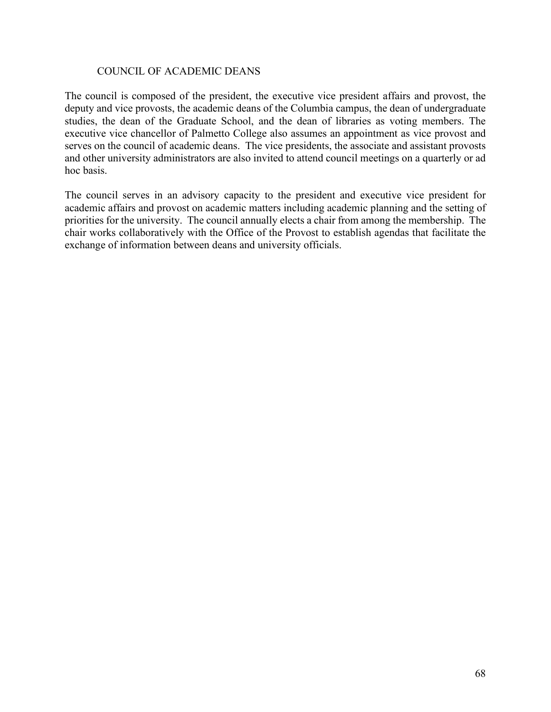#### COUNCIL OF ACADEMIC DEANS

The council is composed of the president, the executive vice president affairs and provost, the deputy and vice provosts, the academic deans of the Columbia campus, the dean of undergraduate studies, the dean of the Graduate School, and the dean of libraries as voting members. The executive vice chancellor of Palmetto College also assumes an appointment as vice provost and serves on the council of academic deans. The vice presidents, the associate and assistant provosts and other university administrators are also invited to attend council meetings on a quarterly or ad hoc basis.

The council serves in an advisory capacity to the president and executive vice president for academic affairs and provost on academic matters including academic planning and the setting of priorities for the university. The council annually elects a chair from among the membership. The chair works collaboratively with the Office of the Provost to establish agendas that facilitate the exchange of information between deans and university officials.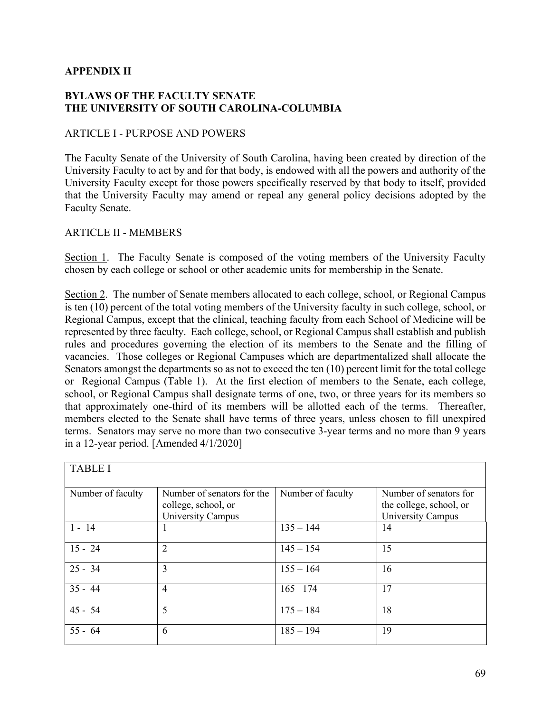### **APPENDIX II**

### **BYLAWS OF THE FACULTY SENATE THE UNIVERSITY OF SOUTH CAROLINA-COLUMBIA**

#### ARTICLE I - PURPOSE AND POWERS

The Faculty Senate of the University of South Carolina, having been created by direction of the University Faculty to act by and for that body, is endowed with all the powers and authority of the University Faculty except for those powers specifically reserved by that body to itself, provided that the University Faculty may amend or repeal any general policy decisions adopted by the Faculty Senate.

### ARTICLE II - MEMBERS

Section 1. The Faculty Senate is composed of the voting members of the University Faculty chosen by each college or school or other academic units for membership in the Senate.

Section 2. The number of Senate members allocated to each college, school, or Regional Campus is ten (10) percent of the total voting members of the University faculty in such college, school, or Regional Campus, except that the clinical, teaching faculty from each School of Medicine will be represented by three faculty. Each college, school, or Regional Campus shall establish and publish rules and procedures governing the election of its members to the Senate and the filling of vacancies. Those colleges or Regional Campuses which are departmentalized shall allocate the Senators amongst the departments so as not to exceed the ten (10) percent limit for the total college or Regional Campus (Table 1). At the first election of members to the Senate, each college, school, or Regional Campus shall designate terms of one, two, or three years for its members so that approximately one-third of its members will be allotted each of the terms. Thereafter, members elected to the Senate shall have terms of three years, unless chosen to fill unexpired terms. Senators may serve no more than two consecutive 3-year terms and no more than 9 years in a 12-year period. [Amended 4/1/2020]

| <b>TABLE I</b>    |                                                                        |                   |                                                                        |  |  |
|-------------------|------------------------------------------------------------------------|-------------------|------------------------------------------------------------------------|--|--|
| Number of faculty | Number of senators for the<br>college, school, or<br>University Campus | Number of faculty | Number of senators for<br>the college, school, or<br>University Campus |  |  |
| $1 - 14$          |                                                                        | $135 - 144$       | 14                                                                     |  |  |
| $15 - 24$         | $\overline{2}$                                                         | $145 - 154$       | 15                                                                     |  |  |
| $25 - 34$         | 3                                                                      | $155 - 164$       | 16                                                                     |  |  |
| $35 - 44$         | $\overline{4}$                                                         | 165 174           | 17                                                                     |  |  |
| $45 - 54$         | 5                                                                      | $175 - 184$       | 18                                                                     |  |  |
| $55 - 64$         | 6                                                                      | $185 - 194$       | 19                                                                     |  |  |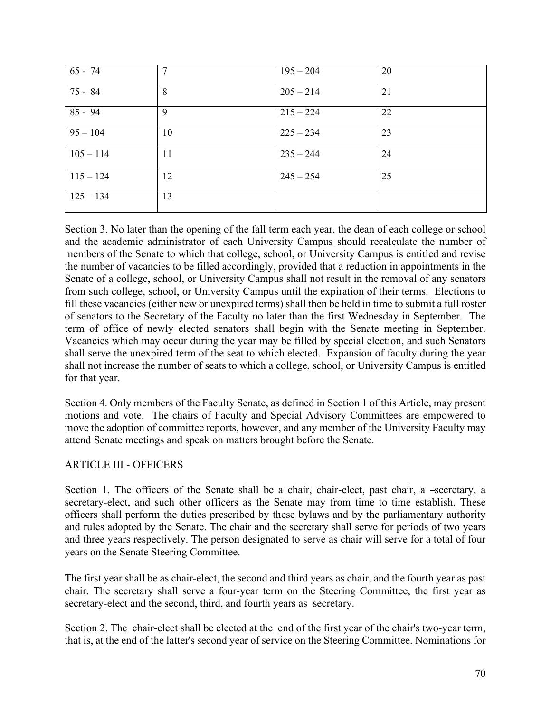| $65 - 74$   | 7  | $195 - 204$ | 20 |
|-------------|----|-------------|----|
| 75 - 84     | 8  | $205 - 214$ | 21 |
| $85 - 94$   | 9  | $215 - 224$ | 22 |
| $95 - 104$  | 10 | $225 - 234$ | 23 |
| $105 - 114$ | 11 | $235 - 244$ | 24 |
| $115 - 124$ | 12 | $245 - 254$ | 25 |
| $125 - 134$ | 13 |             |    |

Section 3. No later than the opening of the fall term each year, the dean of each college or school and the academic administrator of each University Campus should recalculate the number of members of the Senate to which that college, school, or University Campus is entitled and revise the number of vacancies to be filled accordingly, provided that a reduction in appointments in the Senate of a college, school, or University Campus shall not result in the removal of any senators from such college, school, or University Campus until the expiration of their terms. Elections to fill these vacancies (either new or unexpired terms) shall then be held in time to submit a full roster of senators to the Secretary of the Faculty no later than the first Wednesday in September. The term of office of newly elected senators shall begin with the Senate meeting in September. Vacancies which may occur during the year may be filled by special election, and such Senators shall serve the unexpired term of the seat to which elected. Expansion of faculty during the year shall not increase the number of seats to which a college, school, or University Campus is entitled for that year.

Section 4. Only members of the Faculty Senate, as defined in Section 1 of this Article, may present motions and vote. The chairs of Faculty and Special Advisory Committees are empowered to move the adoption of committee reports, however, and any member of the University Faculty may attend Senate meetings and speak on matters brought before the Senate.

# ARTICLE III - OFFICERS

Section 1. The officers of the Senate shall be a chair, chair-elect, past chair, a -secretary, a secretary-elect, and such other officers as the Senate may from time to time establish. These officers shall perform the duties prescribed by these bylaws and by the parliamentary authority and rules adopted by the Senate. The chair and the secretary shall serve for periods of two years and three years respectively. The person designated to serve as chair will serve for a total of four years on the Senate Steering Committee.

The first year shall be as chair-elect, the second and third years as chair, and the fourth year as past chair. The secretary shall serve a four-year term on the Steering Committee, the first year as secretary-elect and the second, third, and fourth years as secretary.

Section 2. The chair-elect shall be elected at the end of the first year of the chair's two-year term, that is, at the end of the latter's second year of service on the Steering Committee. Nominations for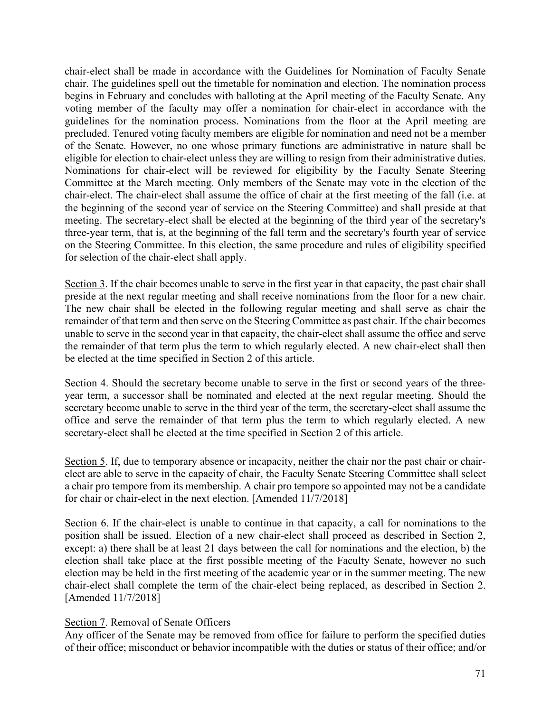chair-elect shall be made in accordance with the Guidelines for Nomination of Faculty Senate chair. The guidelines spell out the timetable for nomination and election. The nomination process begins in February and concludes with balloting at the April meeting of the Faculty Senate. Any voting member of the faculty may offer a nomination for chair-elect in accordance with the guidelines for the nomination process. Nominations from the floor at the April meeting are precluded. Tenured voting faculty members are eligible for nomination and need not be a member of the Senate. However, no one whose primary functions are administrative in nature shall be eligible for election to chair-elect unless they are willing to resign from their administrative duties. Nominations for chair-elect will be reviewed for eligibility by the Faculty Senate Steering Committee at the March meeting. Only members of the Senate may vote in the election of the chair-elect. The chair-elect shall assume the office of chair at the first meeting of the fall (i.e. at the beginning of the second year of service on the Steering Committee) and shall preside at that meeting. The secretary-elect shall be elected at the beginning of the third year of the secretary's three-year term, that is, at the beginning of the fall term and the secretary's fourth year of service on the Steering Committee. In this election, the same procedure and rules of eligibility specified for selection of the chair-elect shall apply.

Section 3. If the chair becomes unable to serve in the first year in that capacity, the past chair shall preside at the next regular meeting and shall receive nominations from the floor for a new chair. The new chair shall be elected in the following regular meeting and shall serve as chair the remainder of that term and then serve on the Steering Committee as past chair. If the chair becomes unable to serve in the second year in that capacity, the chair-elect shall assume the office and serve the remainder of that term plus the term to which regularly elected. A new chair-elect shall then be elected at the time specified in Section 2 of this article.

Section 4. Should the secretary become unable to serve in the first or second years of the threeyear term, a successor shall be nominated and elected at the next regular meeting. Should the secretary become unable to serve in the third year of the term, the secretary-elect shall assume the office and serve the remainder of that term plus the term to which regularly elected. A new secretary-elect shall be elected at the time specified in Section 2 of this article.

Section 5. If, due to temporary absence or incapacity, neither the chair nor the past chair or chairelect are able to serve in the capacity of chair, the Faculty Senate Steering Committee shall select a chair pro tempore from its membership. A chair pro tempore so appointed may not be a candidate for chair or chair-elect in the next election. [Amended 11/7/2018]

Section 6. If the chair-elect is unable to continue in that capacity, a call for nominations to the position shall be issued. Election of a new chair-elect shall proceed as described in Section 2, except: a) there shall be at least 21 days between the call for nominations and the election, b) the election shall take place at the first possible meeting of the Faculty Senate, however no such election may be held in the first meeting of the academic year or in the summer meeting. The new chair-elect shall complete the term of the chair-elect being replaced, as described in Section 2. [Amended 11/7/2018]

# Section 7. Removal of Senate Officers

Any officer of the Senate may be removed from office for failure to perform the specified duties of their office; misconduct or behavior incompatible with the duties or status of their office; and/or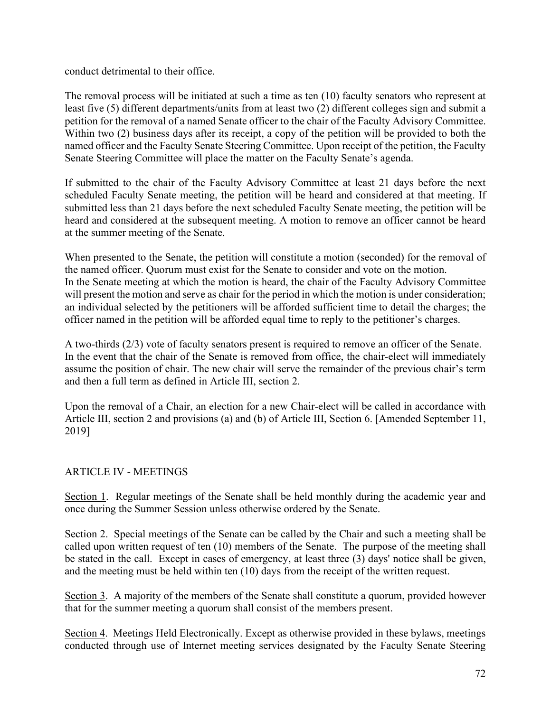conduct detrimental to their office.

The removal process will be initiated at such a time as ten (10) faculty senators who represent at least five (5) different departments/units from at least two (2) different colleges sign and submit a petition for the removal of a named Senate officer to the chair of the Faculty Advisory Committee. Within two (2) business days after its receipt, a copy of the petition will be provided to both the named officer and the Faculty Senate Steering Committee. Upon receipt of the petition, the Faculty Senate Steering Committee will place the matter on the Faculty Senate's agenda.

If submitted to the chair of the Faculty Advisory Committee at least 21 days before the next scheduled Faculty Senate meeting, the petition will be heard and considered at that meeting. If submitted less than 21 days before the next scheduled Faculty Senate meeting, the petition will be heard and considered at the subsequent meeting. A motion to remove an officer cannot be heard at the summer meeting of the Senate.

When presented to the Senate, the petition will constitute a motion (seconded) for the removal of the named officer. Quorum must exist for the Senate to consider and vote on the motion. In the Senate meeting at which the motion is heard, the chair of the Faculty Advisory Committee will present the motion and serve as chair for the period in which the motion is under consideration; an individual selected by the petitioners will be afforded sufficient time to detail the charges; the officer named in the petition will be afforded equal time to reply to the petitioner's charges.

A two-thirds (2/3) vote of faculty senators present is required to remove an officer of the Senate. In the event that the chair of the Senate is removed from office, the chair-elect will immediately assume the position of chair. The new chair will serve the remainder of the previous chair's term and then a full term as defined in Article III, section 2.

Upon the removal of a Chair, an election for a new Chair-elect will be called in accordance with Article III, section 2 and provisions (a) and (b) of Article III, Section 6. [Amended September 11, 2019]

# ARTICLE IV - MEETINGS

Section 1. Regular meetings of the Senate shall be held monthly during the academic year and once during the Summer Session unless otherwise ordered by the Senate.

Section 2. Special meetings of the Senate can be called by the Chair and such a meeting shall be called upon written request of ten (10) members of the Senate. The purpose of the meeting shall be stated in the call. Except in cases of emergency, at least three (3) days' notice shall be given, and the meeting must be held within ten (10) days from the receipt of the written request.

Section 3. A majority of the members of the Senate shall constitute a quorum, provided however that for the summer meeting a quorum shall consist of the members present.

Section 4. Meetings Held Electronically. Except as otherwise provided in these bylaws, meetings conducted through use of Internet meeting services designated by the Faculty Senate Steering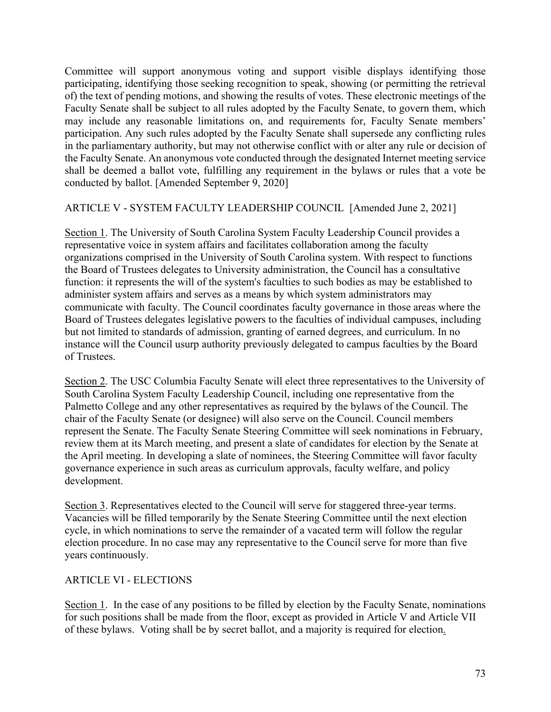Committee will support anonymous voting and support visible displays identifying those participating, identifying those seeking recognition to speak, showing (or permitting the retrieval of) the text of pending motions, and showing the results of votes. These electronic meetings of the Faculty Senate shall be subject to all rules adopted by the Faculty Senate, to govern them, which may include any reasonable limitations on, and requirements for, Faculty Senate members' participation. Any such rules adopted by the Faculty Senate shall supersede any conflicting rules in the parliamentary authority, but may not otherwise conflict with or alter any rule or decision of the Faculty Senate. An anonymous vote conducted through the designated Internet meeting service shall be deemed a ballot vote, fulfilling any requirement in the bylaws or rules that a vote be conducted by ballot. [Amended September 9, 2020]

# ARTICLE V - SYSTEM FACULTY LEADERSHIP COUNCIL [Amended June 2, 2021]

Section 1. The University of South Carolina System Faculty Leadership Council provides a representative voice in system affairs and facilitates collaboration among the faculty organizations comprised in the University of South Carolina system. With respect to functions the Board of Trustees delegates to University administration, the Council has a consultative function: it represents the will of the system's faculties to such bodies as may be established to administer system affairs and serves as a means by which system administrators may communicate with faculty. The Council coordinates faculty governance in those areas where the Board of Trustees delegates legislative powers to the faculties of individual campuses, including but not limited to standards of admission, granting of earned degrees, and curriculum. In no instance will the Council usurp authority previously delegated to campus faculties by the Board of Trustees.

Section 2. The USC Columbia Faculty Senate will elect three representatives to the University of South Carolina System Faculty Leadership Council, including one representative from the Palmetto College and any other representatives as required by the bylaws of the Council. The chair of the Faculty Senate (or designee) will also serve on the Council. Council members represent the Senate. The Faculty Senate Steering Committee will seek nominations in February, review them at its March meeting, and present a slate of candidates for election by the Senate at the April meeting. In developing a slate of nominees, the Steering Committee will favor faculty governance experience in such areas as curriculum approvals, faculty welfare, and policy development.

Section 3. Representatives elected to the Council will serve for staggered three-year terms. Vacancies will be filled temporarily by the Senate Steering Committee until the next election cycle, in which nominations to serve the remainder of a vacated term will follow the regular election procedure. In no case may any representative to the Council serve for more than five years continuously.

# ARTICLE VI - ELECTIONS

Section 1. In the case of any positions to be filled by election by the Faculty Senate, nominations for such positions shall be made from the floor, except as provided in Article V and Article VII of these bylaws. Voting shall be by secret ballot, and a majority is required for election.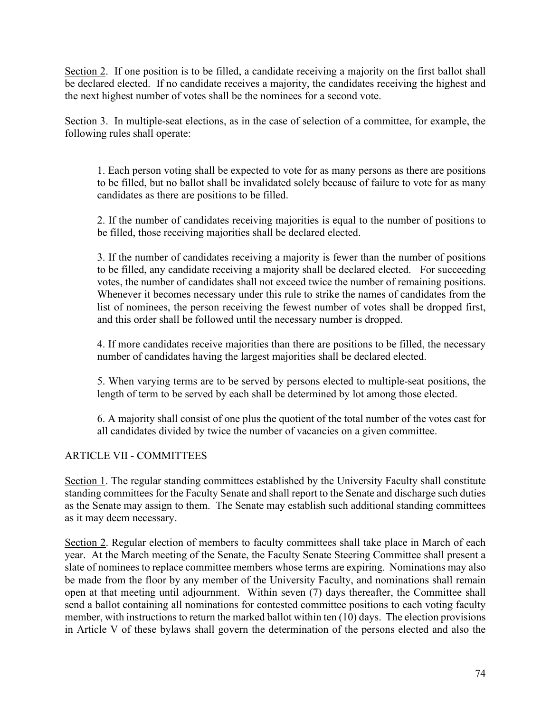Section 2. If one position is to be filled, a candidate receiving a majority on the first ballot shall be declared elected. If no candidate receives a majority, the candidates receiving the highest and the next highest number of votes shall be the nominees for a second vote.

Section 3. In multiple-seat elections, as in the case of selection of a committee, for example, the following rules shall operate:

1. Each person voting shall be expected to vote for as many persons as there are positions to be filled, but no ballot shall be invalidated solely because of failure to vote for as many candidates as there are positions to be filled.

2. If the number of candidates receiving majorities is equal to the number of positions to be filled, those receiving majorities shall be declared elected.

3. If the number of candidates receiving a majority is fewer than the number of positions to be filled, any candidate receiving a majority shall be declared elected. For succeeding votes, the number of candidates shall not exceed twice the number of remaining positions. Whenever it becomes necessary under this rule to strike the names of candidates from the list of nominees, the person receiving the fewest number of votes shall be dropped first, and this order shall be followed until the necessary number is dropped.

4. If more candidates receive majorities than there are positions to be filled, the necessary number of candidates having the largest majorities shall be declared elected.

5. When varying terms are to be served by persons elected to multiple-seat positions, the length of term to be served by each shall be determined by lot among those elected.

6. A majority shall consist of one plus the quotient of the total number of the votes cast for all candidates divided by twice the number of vacancies on a given committee.

# ARTICLE VII - COMMITTEES

Section 1. The regular standing committees established by the University Faculty shall constitute standing committees for the Faculty Senate and shall report to the Senate and discharge such duties as the Senate may assign to them. The Senate may establish such additional standing committees as it may deem necessary.

Section 2. Regular election of members to faculty committees shall take place in March of each year. At the March meeting of the Senate, the Faculty Senate Steering Committee shall present a slate of nominees to replace committee members whose terms are expiring. Nominations may also be made from the floor by any member of the University Faculty, and nominations shall remain open at that meeting until adjournment. Within seven (7) days thereafter, the Committee shall send a ballot containing all nominations for contested committee positions to each voting faculty member, with instructions to return the marked ballot within ten (10) days. The election provisions in Article V of these bylaws shall govern the determination of the persons elected and also the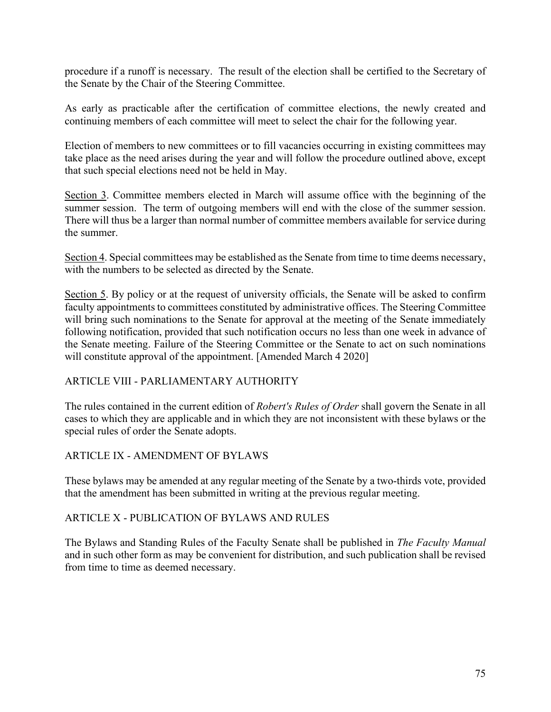procedure if a runoff is necessary. The result of the election shall be certified to the Secretary of the Senate by the Chair of the Steering Committee.

As early as practicable after the certification of committee elections, the newly created and continuing members of each committee will meet to select the chair for the following year.

Election of members to new committees or to fill vacancies occurring in existing committees may take place as the need arises during the year and will follow the procedure outlined above, except that such special elections need not be held in May.

Section 3. Committee members elected in March will assume office with the beginning of the summer session. The term of outgoing members will end with the close of the summer session. There will thus be a larger than normal number of committee members available for service during the summer.

Section 4. Special committees may be established as the Senate from time to time deems necessary, with the numbers to be selected as directed by the Senate.

Section 5. By policy or at the request of university officials, the Senate will be asked to confirm faculty appointments to committees constituted by administrative offices. The Steering Committee will bring such nominations to the Senate for approval at the meeting of the Senate immediately following notification, provided that such notification occurs no less than one week in advance of the Senate meeting. Failure of the Steering Committee or the Senate to act on such nominations will constitute approval of the appointment. [Amended March 4 2020]

# ARTICLE VIII - PARLIAMENTARY AUTHORITY

The rules contained in the current edition of *Robert's Rules of Order* shall govern the Senate in all cases to which they are applicable and in which they are not inconsistent with these bylaws or the special rules of order the Senate adopts.

# ARTICLE IX - AMENDMENT OF BYLAWS

These bylaws may be amended at any regular meeting of the Senate by a two-thirds vote, provided that the amendment has been submitted in writing at the previous regular meeting.

# ARTICLE X - PUBLICATION OF BYLAWS AND RULES

The Bylaws and Standing Rules of the Faculty Senate shall be published in *The Faculty Manual* and in such other form as may be convenient for distribution, and such publication shall be revised from time to time as deemed necessary.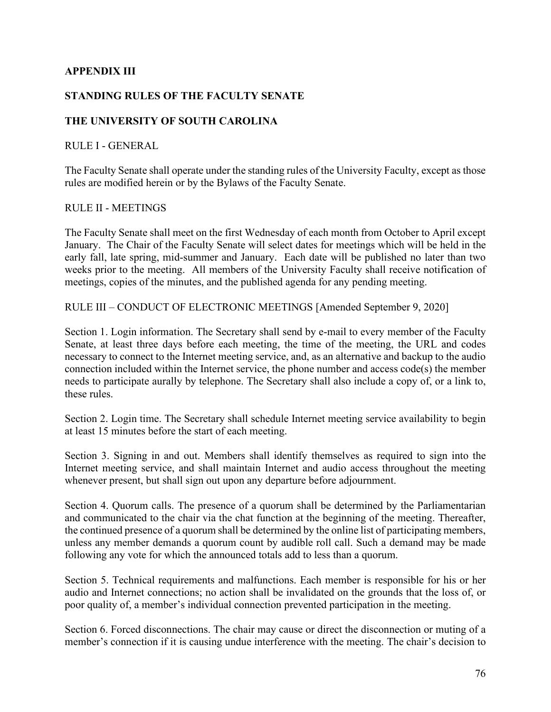# **APPENDIX III**

# **STANDING RULES OF THE FACULTY SENATE**

# **THE UNIVERSITY OF SOUTH CAROLINA**

#### RULE I - GENERAL

The Faculty Senate shall operate under the standing rules of the University Faculty, except as those rules are modified herein or by the Bylaws of the Faculty Senate.

#### RULE II - MEETINGS

The Faculty Senate shall meet on the first Wednesday of each month from October to April except January. The Chair of the Faculty Senate will select dates for meetings which will be held in the early fall, late spring, mid-summer and January. Each date will be published no later than two weeks prior to the meeting. All members of the University Faculty shall receive notification of meetings, copies of the minutes, and the published agenda for any pending meeting.

RULE III – CONDUCT OF ELECTRONIC MEETINGS [Amended September 9, 2020]

Section 1. Login information. The Secretary shall send by e-mail to every member of the Faculty Senate, at least three days before each meeting, the time of the meeting, the URL and codes necessary to connect to the Internet meeting service, and, as an alternative and backup to the audio connection included within the Internet service, the phone number and access code(s) the member needs to participate aurally by telephone. The Secretary shall also include a copy of, or a link to, these rules.

Section 2. Login time. The Secretary shall schedule Internet meeting service availability to begin at least 15 minutes before the start of each meeting.

Section 3. Signing in and out. Members shall identify themselves as required to sign into the Internet meeting service, and shall maintain Internet and audio access throughout the meeting whenever present, but shall sign out upon any departure before adjournment.

Section 4. Quorum calls. The presence of a quorum shall be determined by the Parliamentarian and communicated to the chair via the chat function at the beginning of the meeting. Thereafter, the continued presence of a quorum shall be determined by the online list of participating members, unless any member demands a quorum count by audible roll call. Such a demand may be made following any vote for which the announced totals add to less than a quorum.

Section 5. Technical requirements and malfunctions. Each member is responsible for his or her audio and Internet connections; no action shall be invalidated on the grounds that the loss of, or poor quality of, a member's individual connection prevented participation in the meeting.

Section 6. Forced disconnections. The chair may cause or direct the disconnection or muting of a member's connection if it is causing undue interference with the meeting. The chair's decision to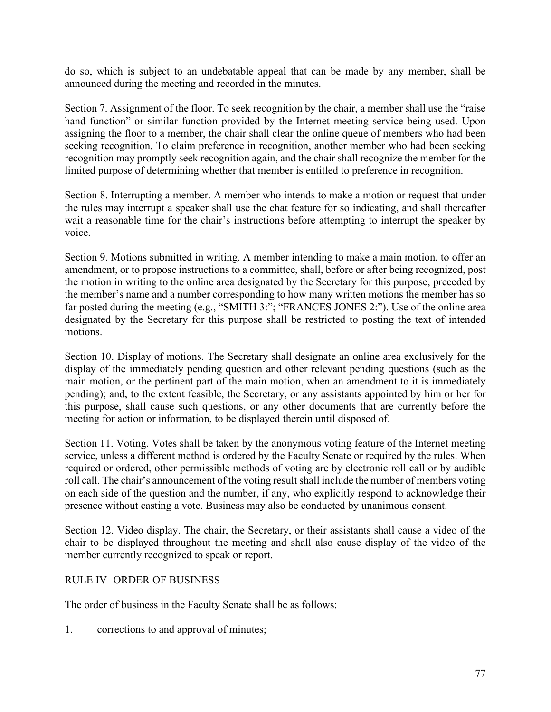do so, which is subject to an undebatable appeal that can be made by any member, shall be announced during the meeting and recorded in the minutes.

Section 7. Assignment of the floor. To seek recognition by the chair, a member shall use the "raise hand function" or similar function provided by the Internet meeting service being used. Upon assigning the floor to a member, the chair shall clear the online queue of members who had been seeking recognition. To claim preference in recognition, another member who had been seeking recognition may promptly seek recognition again, and the chair shall recognize the member for the limited purpose of determining whether that member is entitled to preference in recognition.

Section 8. Interrupting a member. A member who intends to make a motion or request that under the rules may interrupt a speaker shall use the chat feature for so indicating, and shall thereafter wait a reasonable time for the chair's instructions before attempting to interrupt the speaker by voice.

Section 9. Motions submitted in writing. A member intending to make a main motion, to offer an amendment, or to propose instructions to a committee, shall, before or after being recognized, post the motion in writing to the online area designated by the Secretary for this purpose, preceded by the member's name and a number corresponding to how many written motions the member has so far posted during the meeting (e.g., "SMITH 3:"; "FRANCES JONES 2:"). Use of the online area designated by the Secretary for this purpose shall be restricted to posting the text of intended motions.

Section 10. Display of motions. The Secretary shall designate an online area exclusively for the display of the immediately pending question and other relevant pending questions (such as the main motion, or the pertinent part of the main motion, when an amendment to it is immediately pending); and, to the extent feasible, the Secretary, or any assistants appointed by him or her for this purpose, shall cause such questions, or any other documents that are currently before the meeting for action or information, to be displayed therein until disposed of.

Section 11. Voting. Votes shall be taken by the anonymous voting feature of the Internet meeting service, unless a different method is ordered by the Faculty Senate or required by the rules. When required or ordered, other permissible methods of voting are by electronic roll call or by audible roll call. The chair's announcement of the voting result shall include the number of members voting on each side of the question and the number, if any, who explicitly respond to acknowledge their presence without casting a vote. Business may also be conducted by unanimous consent.

Section 12. Video display. The chair, the Secretary, or their assistants shall cause a video of the chair to be displayed throughout the meeting and shall also cause display of the video of the member currently recognized to speak or report.

# RULE IV- ORDER OF BUSINESS

The order of business in the Faculty Senate shall be as follows:

1. corrections to and approval of minutes;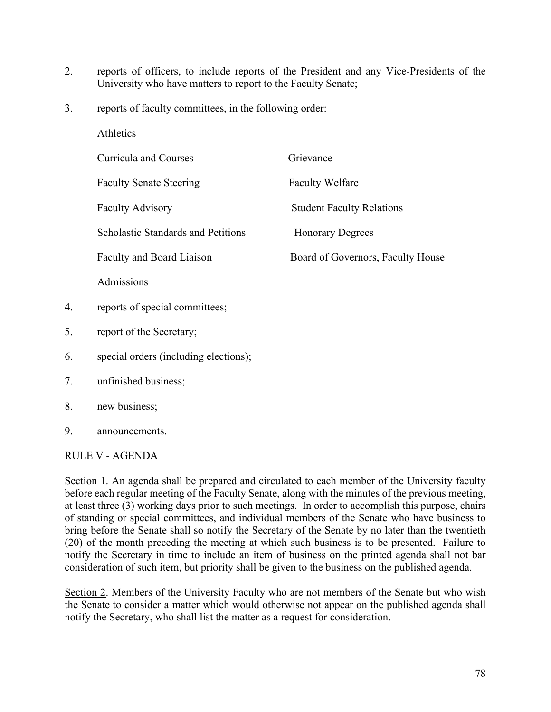- 2. reports of officers, to include reports of the President and any Vice-Presidents of the University who have matters to report to the Faculty Senate;
- 3. reports of faculty committees, in the following order:

|    | Athletics                                 |                                   |
|----|-------------------------------------------|-----------------------------------|
|    | Curricula and Courses                     | Grievance                         |
|    | <b>Faculty Senate Steering</b>            | <b>Faculty Welfare</b>            |
|    | <b>Faculty Advisory</b>                   | <b>Student Faculty Relations</b>  |
|    | <b>Scholastic Standards and Petitions</b> | <b>Honorary Degrees</b>           |
|    | Faculty and Board Liaison                 | Board of Governors, Faculty House |
|    | Admissions                                |                                   |
| 4. | reports of special committees;            |                                   |
| 5. | report of the Secretary;                  |                                   |
| 6. | special orders (including elections);     |                                   |
| 7. | unfinished business;                      |                                   |
| 8. | new business;                             |                                   |
| 9. | announcements.                            |                                   |

# RULE V - AGENDA

Section 1. An agenda shall be prepared and circulated to each member of the University faculty before each regular meeting of the Faculty Senate, along with the minutes of the previous meeting, at least three (3) working days prior to such meetings. In order to accomplish this purpose, chairs of standing or special committees, and individual members of the Senate who have business to bring before the Senate shall so notify the Secretary of the Senate by no later than the twentieth (20) of the month preceding the meeting at which such business is to be presented. Failure to notify the Secretary in time to include an item of business on the printed agenda shall not bar consideration of such item, but priority shall be given to the business on the published agenda.

Section 2. Members of the University Faculty who are not members of the Senate but who wish the Senate to consider a matter which would otherwise not appear on the published agenda shall notify the Secretary, who shall list the matter as a request for consideration.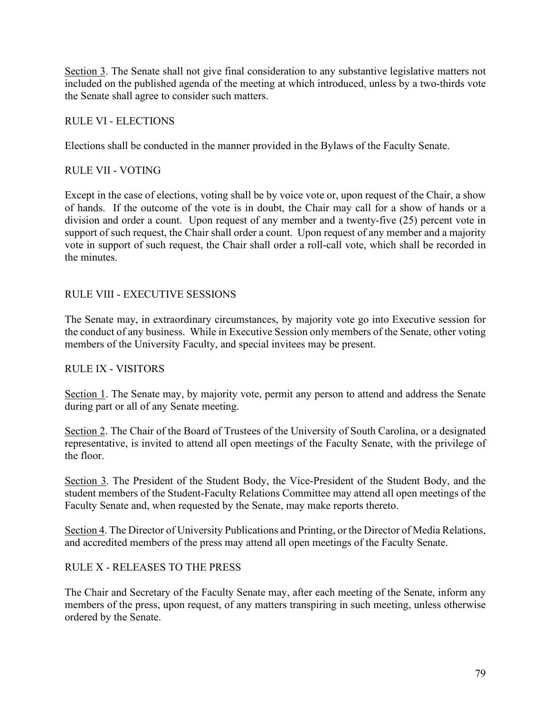Section 3. The Senate shall not give final consideration to any substantive legislative matters not included on the published agenda of the meeting at which introduced, unless by a two-thirds vote the Senate shall agree to consider such matters.

# RULE VI - ELECTIONS

Elections shall be conducted in the manner provided in the Bylaws of the Faculty Senate.

# RULE VII - VOTING

Except in the case of elections, voting shall be by voice vote or, upon request of the Chair, a show of hands. If the outcome of the vote is in doubt, the Chair may call for a show of hands or a division and order a count. Upon request of any member and a twenty-five (25) percent vote in support of such request, the Chair shall order a count. Upon request of any member and a majority vote in support of such request, the Chair shall order a roll-call vote, which shall be recorded in the minutes.

# RULE VIII - EXECUTIVE SESSIONS

The Senate may, in extraordinary circumstances, by majority vote go into Executive session for the conduct of any business. While in Executive Session only members of the Senate, other voting members of the University Faculty, and special invitees may be present.

# RULE IX - VISITORS

Section 1. The Senate may, by majority vote, permit any person to attend and address the Senate during part or all of any Senate meeting.

Section 2. The Chair of the Board of Trustees of the University of South Carolina, or a designated representative, is invited to attend all open meetings of the Faculty Senate, with the privilege of the floor.

Section 3. The President of the Student Body, the Vice-President of the Student Body, and the student members of the Student-Faculty Relations Committee may attend all open meetings of the Faculty Senate and, when requested by the Senate, may make reports thereto.

Section 4. The Director of University Publications and Printing, or the Director of Media Relations, and accredited members of the press may attend all open meetings of the Faculty Senate.

# RULE X - RELEASES TO THE PRESS

The Chair and Secretary of the Faculty Senate may, after each meeting of the Senate, inform any members of the press, upon request, of any matters transpiring in such meeting, unless otherwise ordered by the Senate.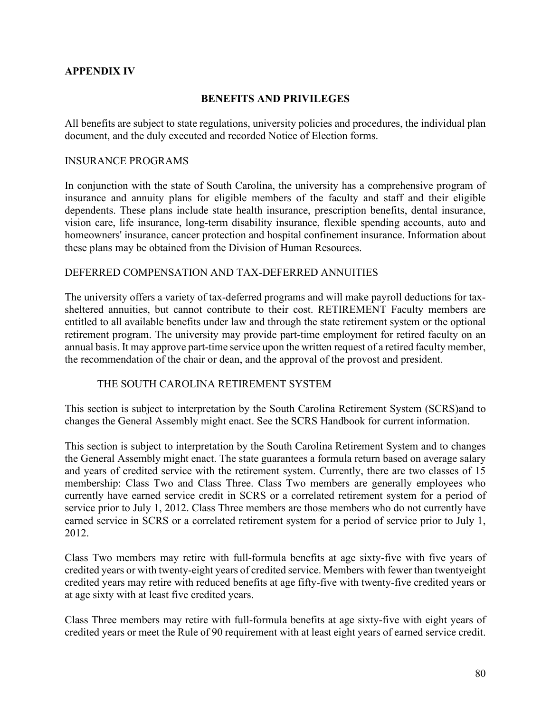# **APPENDIX IV**

### **BENEFITS AND PRIVILEGES**

All benefits are subject to state regulations, university policies and procedures, the individual plan document, and the duly executed and recorded Notice of Election forms.

#### INSURANCE PROGRAMS

In conjunction with the state of South Carolina, the university has a comprehensive program of insurance and annuity plans for eligible members of the faculty and staff and their eligible dependents. These plans include state health insurance, prescription benefits, dental insurance, vision care, life insurance, long-term disability insurance, flexible spending accounts, auto and homeowners' insurance, cancer protection and hospital confinement insurance. Information about these plans may be obtained from the Division of Human Resources.

#### DEFERRED COMPENSATION AND TAX-DEFERRED ANNUITIES

The university offers a variety of tax-deferred programs and will make payroll deductions for taxsheltered annuities, but cannot contribute to their cost. RETIREMENT Faculty members are entitled to all available benefits under law and through the state retirement system or the optional retirement program. The university may provide part-time employment for retired faculty on an annual basis. It may approve part-time service upon the written request of a retired faculty member, the recommendation of the chair or dean, and the approval of the provost and president.

#### THE SOUTH CAROLINA RETIREMENT SYSTEM

This section is subject to interpretation by the South Carolina Retirement System (SCRS)and to changes the General Assembly might enact. See the SCRS Handbook for current information.

This section is subject to interpretation by the South Carolina Retirement System and to changes the General Assembly might enact. The state guarantees a formula return based on average salary and years of credited service with the retirement system. Currently, there are two classes of 15 membership: Class Two and Class Three. Class Two members are generally employees who currently have earned service credit in SCRS or a correlated retirement system for a period of service prior to July 1, 2012. Class Three members are those members who do not currently have earned service in SCRS or a correlated retirement system for a period of service prior to July 1, 2012.

Class Two members may retire with full-formula benefits at age sixty-five with five years of credited years or with twenty-eight years of credited service. Members with fewer than twentyeight credited years may retire with reduced benefits at age fifty-five with twenty-five credited years or at age sixty with at least five credited years.

Class Three members may retire with full-formula benefits at age sixty-five with eight years of credited years or meet the Rule of 90 requirement with at least eight years of earned service credit.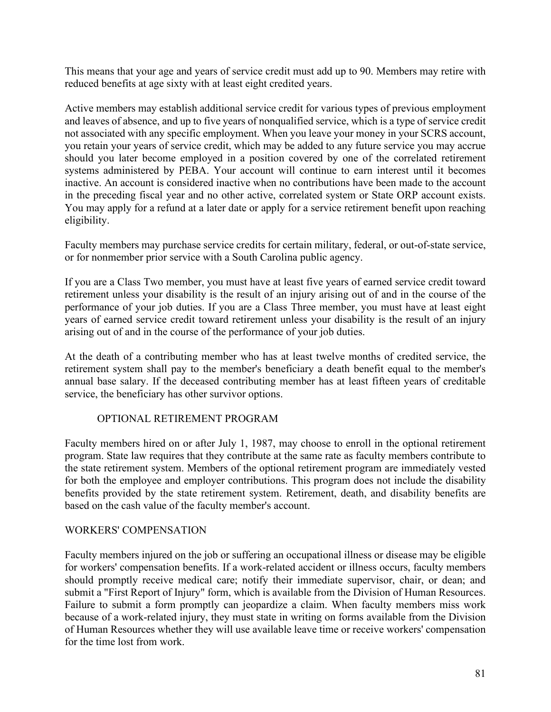This means that your age and years of service credit must add up to 90. Members may retire with reduced benefits at age sixty with at least eight credited years.

Active members may establish additional service credit for various types of previous employment and leaves of absence, and up to five years of nonqualified service, which is a type of service credit not associated with any specific employment. When you leave your money in your SCRS account, you retain your years of service credit, which may be added to any future service you may accrue should you later become employed in a position covered by one of the correlated retirement systems administered by PEBA. Your account will continue to earn interest until it becomes inactive. An account is considered inactive when no contributions have been made to the account in the preceding fiscal year and no other active, correlated system or State ORP account exists. You may apply for a refund at a later date or apply for a service retirement benefit upon reaching eligibility.

Faculty members may purchase service credits for certain military, federal, or out-of-state service, or for nonmember prior service with a South Carolina public agency.

If you are a Class Two member, you must have at least five years of earned service credit toward retirement unless your disability is the result of an injury arising out of and in the course of the performance of your job duties. If you are a Class Three member, you must have at least eight years of earned service credit toward retirement unless your disability is the result of an injury arising out of and in the course of the performance of your job duties.

At the death of a contributing member who has at least twelve months of credited service, the retirement system shall pay to the member's beneficiary a death benefit equal to the member's annual base salary. If the deceased contributing member has at least fifteen years of creditable service, the beneficiary has other survivor options.

# OPTIONAL RETIREMENT PROGRAM

Faculty members hired on or after July 1, 1987, may choose to enroll in the optional retirement program. State law requires that they contribute at the same rate as faculty members contribute to the state retirement system. Members of the optional retirement program are immediately vested for both the employee and employer contributions. This program does not include the disability benefits provided by the state retirement system. Retirement, death, and disability benefits are based on the cash value of the faculty member's account.

#### WORKERS' COMPENSATION

Faculty members injured on the job or suffering an occupational illness or disease may be eligible for workers' compensation benefits. If a work-related accident or illness occurs, faculty members should promptly receive medical care; notify their immediate supervisor, chair, or dean; and submit a "First Report of Injury" form, which is available from the Division of Human Resources. Failure to submit a form promptly can jeopardize a claim. When faculty members miss work because of a work-related injury, they must state in writing on forms available from the Division of Human Resources whether they will use available leave time or receive workers' compensation for the time lost from work.